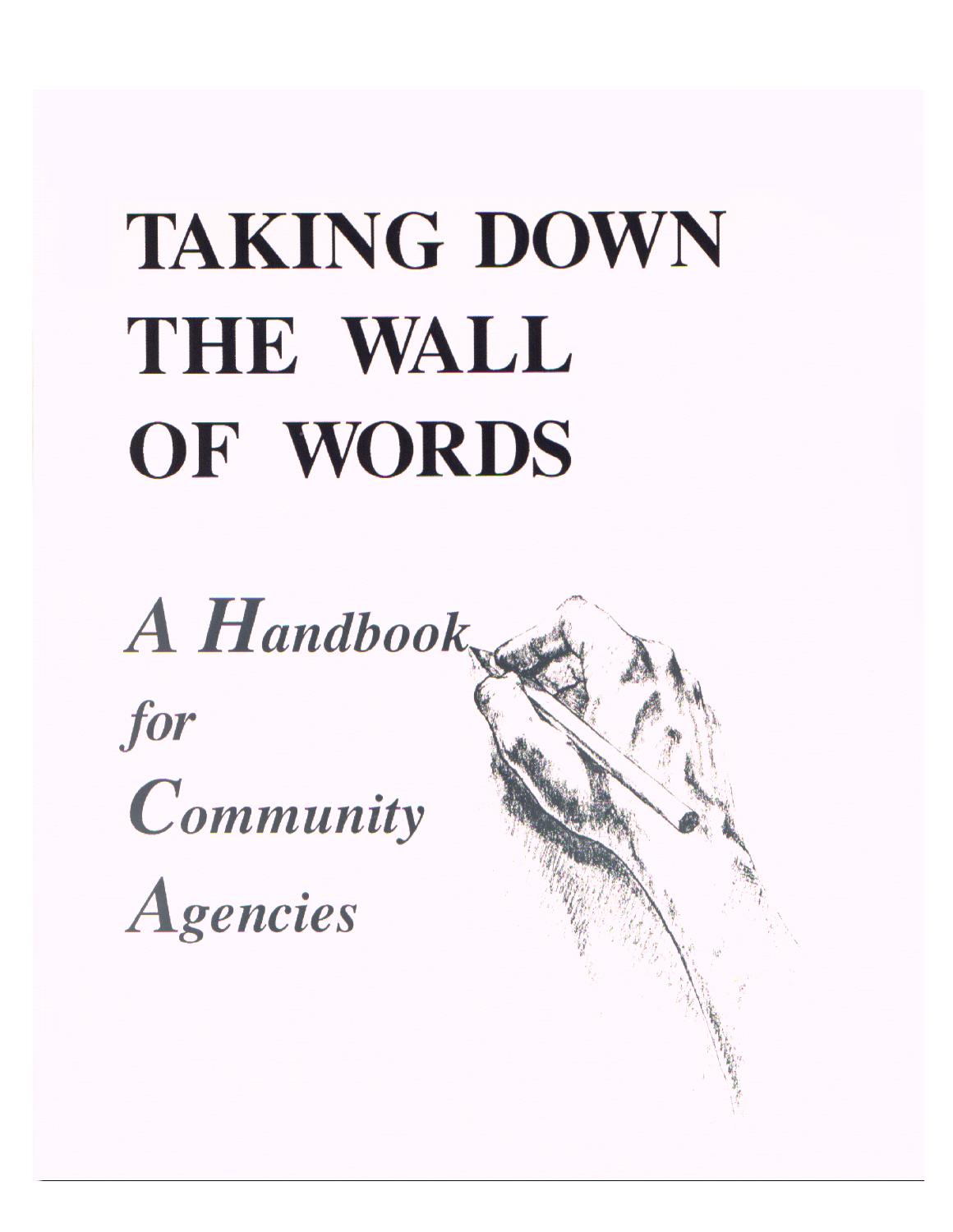# **TAKING DOWN** THE WALL OF WORDS

A Handbook for Community Agencies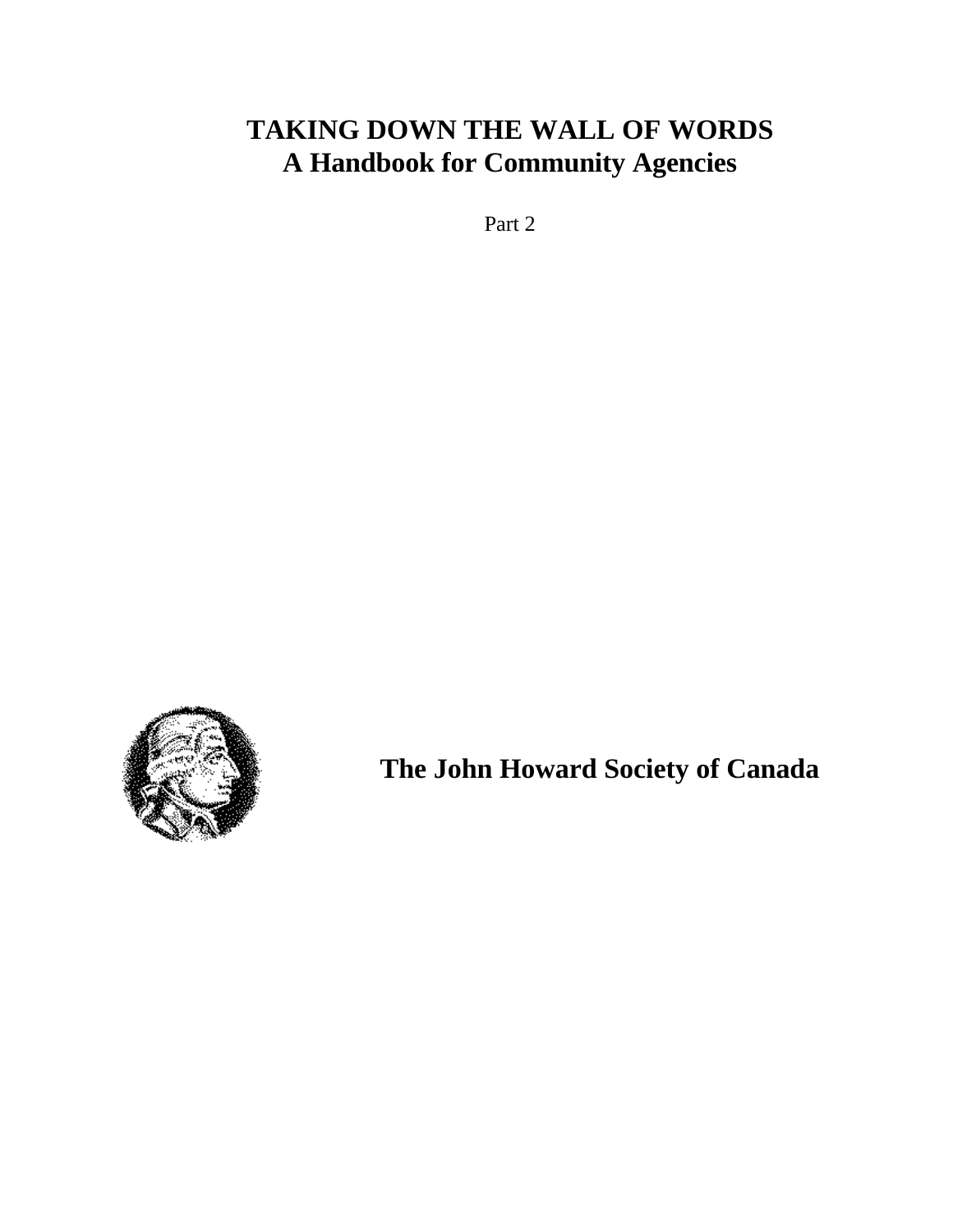# **TAKING DOWN THE WALL OF WORDS A Handbook for Community Agencies**

Part 2



**The John Howard Society of Canada**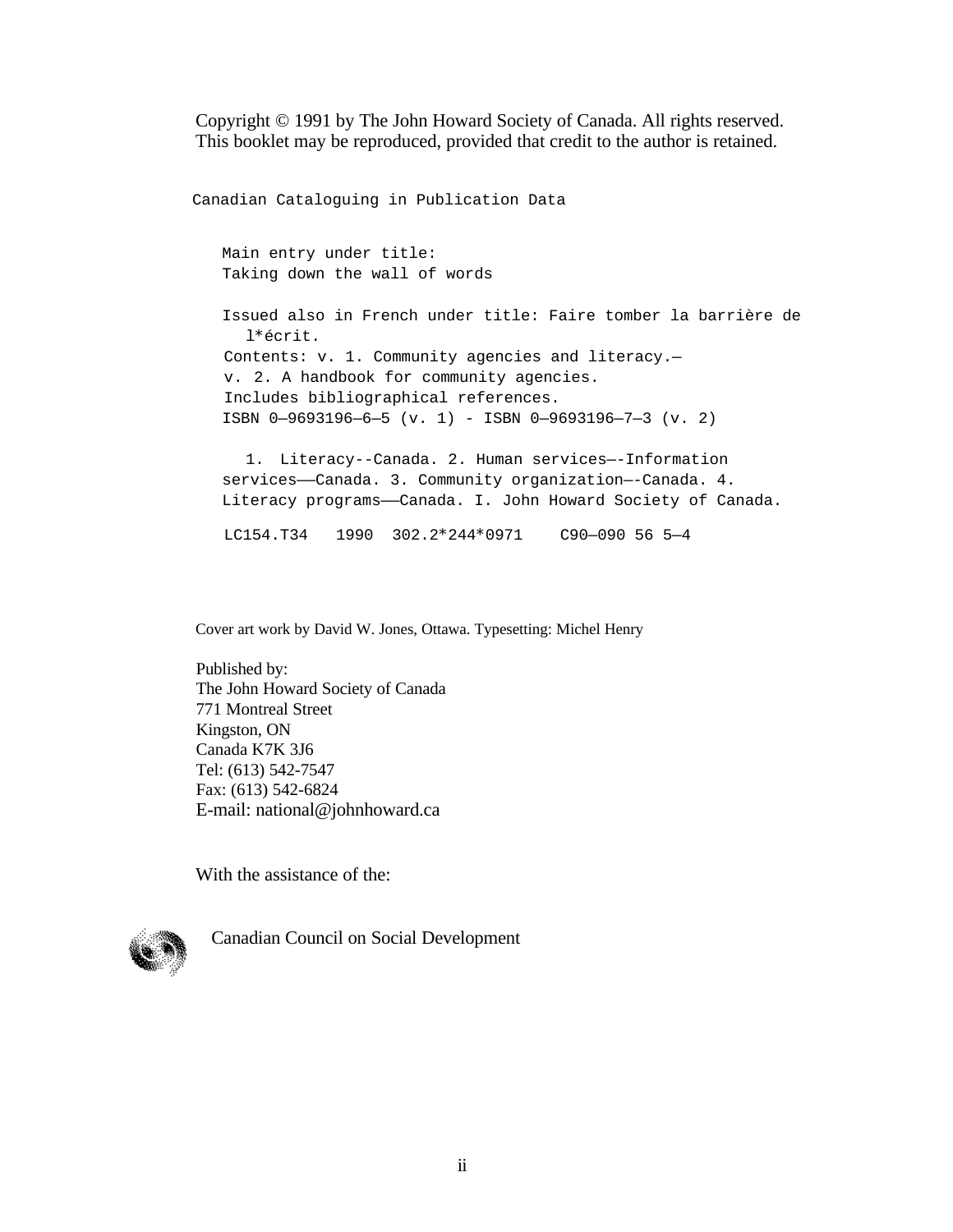Copyright © 1991 by The John Howard Society of Canada. All rights reserved. This booklet may be reproduced, provided that credit to the author is retained.

Canadian Cataloguing in Publication Data

Main entry under title: Taking down the wall of words

Issued also in French under title: Faire tomber la barrière de l\*écrit. Contents: v. 1. Community agencies and literacy. v. 2. A handbook for community agencies. Includes bibliographical references. ISBN 0—9693196—6—5 (v. 1) - ISBN 0—9693196—7—3 (v. 2)

1. Literacy--Canada. 2. Human services—-Information services-Canada. 3. Community organization--Canada. 4. Literacy programs——Canada. I. John Howard Society of Canada.

LC154.T34 1990 302.2\*244\*0971 C90—090 56 5—4

Cover art work by David W. Jones, Ottawa. Typesetting: Michel Henry

Published by: The John Howard Society of Canada 771 Montreal Street Kingston, ON Canada K7K 3J6 Tel: (613) 542-7547 Fax: (613) 542-6824 E-mail: national@johnhoward.ca

With the assistance of the:



Canadian Council on Social Development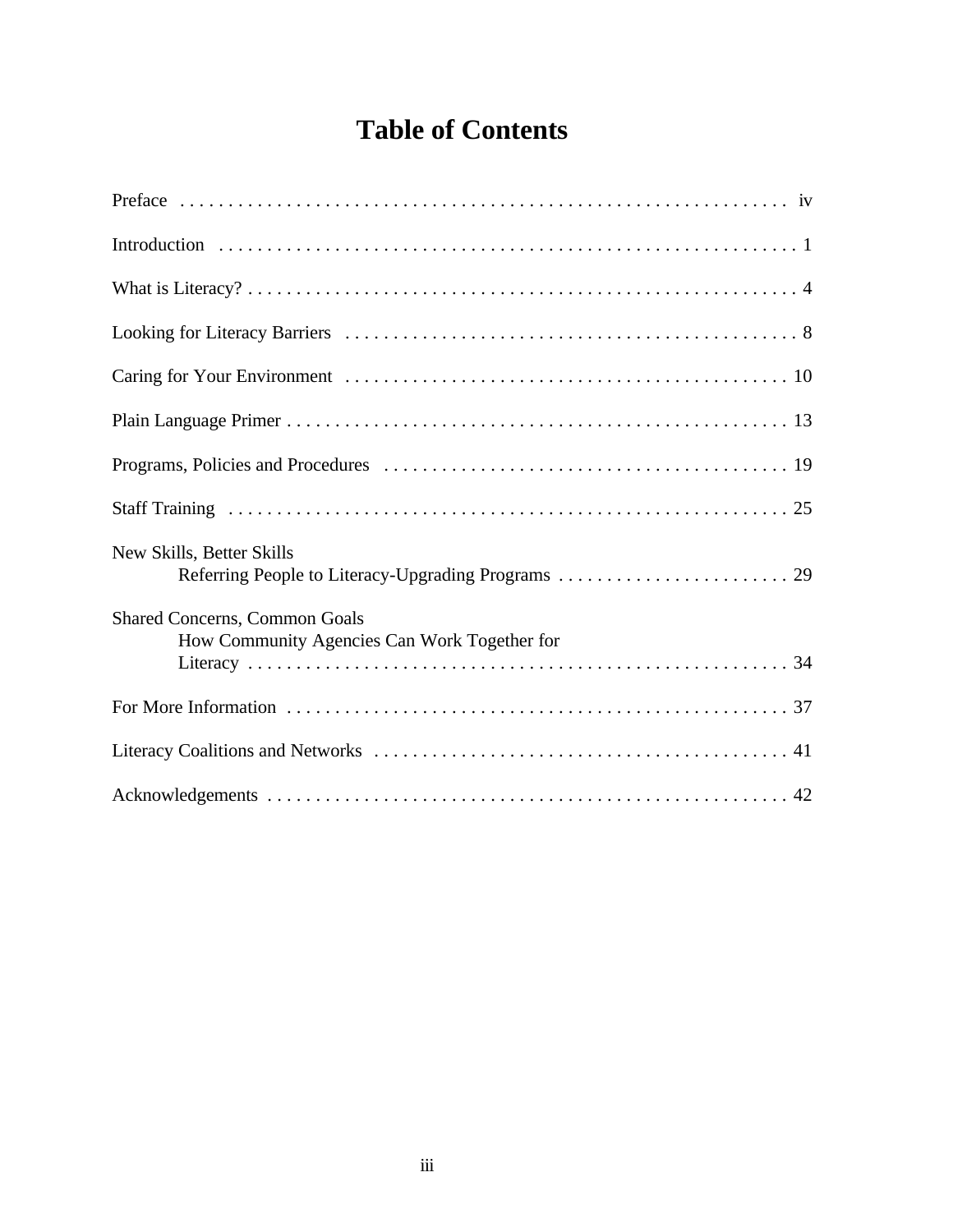# **Table of Contents**

| New Skills, Better Skills                                                            |
|--------------------------------------------------------------------------------------|
| <b>Shared Concerns, Common Goals</b><br>How Community Agencies Can Work Together for |
|                                                                                      |
|                                                                                      |
|                                                                                      |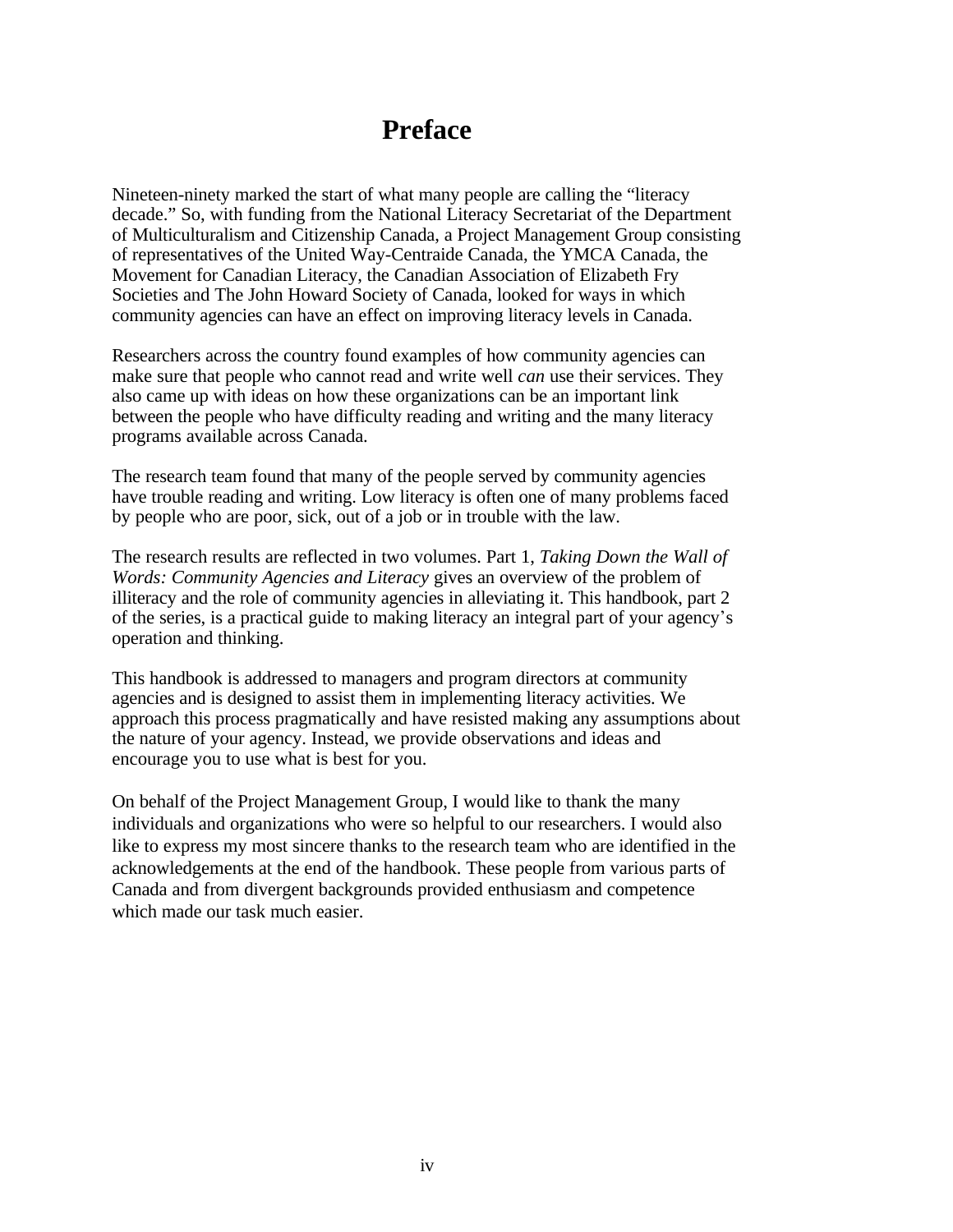# **Preface**

Nineteen-ninety marked the start of what many people are calling the "literacy decade." So, with funding from the National Literacy Secretariat of the Department of Multiculturalism and Citizenship Canada, a Project Management Group consisting of representatives of the United Way-Centraide Canada, the YMCA Canada, the Movement for Canadian Literacy, the Canadian Association of Elizabeth Fry Societies and The John Howard Society of Canada, looked for ways in which community agencies can have an effect on improving literacy levels in Canada.

Researchers across the country found examples of how community agencies can make sure that people who cannot read and write well *can* use their services. They also came up with ideas on how these organizations can be an important link between the people who have difficulty reading and writing and the many literacy programs available across Canada.

The research team found that many of the people served by community agencies have trouble reading and writing. Low literacy is often one of many problems faced by people who are poor, sick, out of a job or in trouble with the law.

The research results are reflected in two volumes. Part 1, *Taking Down the Wall of Words: Community Agencies and Literacy* gives an overview of the problem of illiteracy and the role of community agencies in alleviating it. This handbook, part 2 of the series, is a practical guide to making literacy an integral part of your agency\*s operation and thinking.

This handbook is addressed to managers and program directors at community agencies and is designed to assist them in implementing literacy activities. We approach this process pragmatically and have resisted making any assumptions about the nature of your agency. Instead, we provide observations and ideas and encourage you to use what is best for you.

On behalf of the Project Management Group, I would like to thank the many individuals and organizations who were so helpful to our researchers. I would also like to express my most sincere thanks to the research team who are identified in the acknowledgements at the end of the handbook. These people from various parts of Canada and from divergent backgrounds provided enthusiasm and competence which made our task much easier.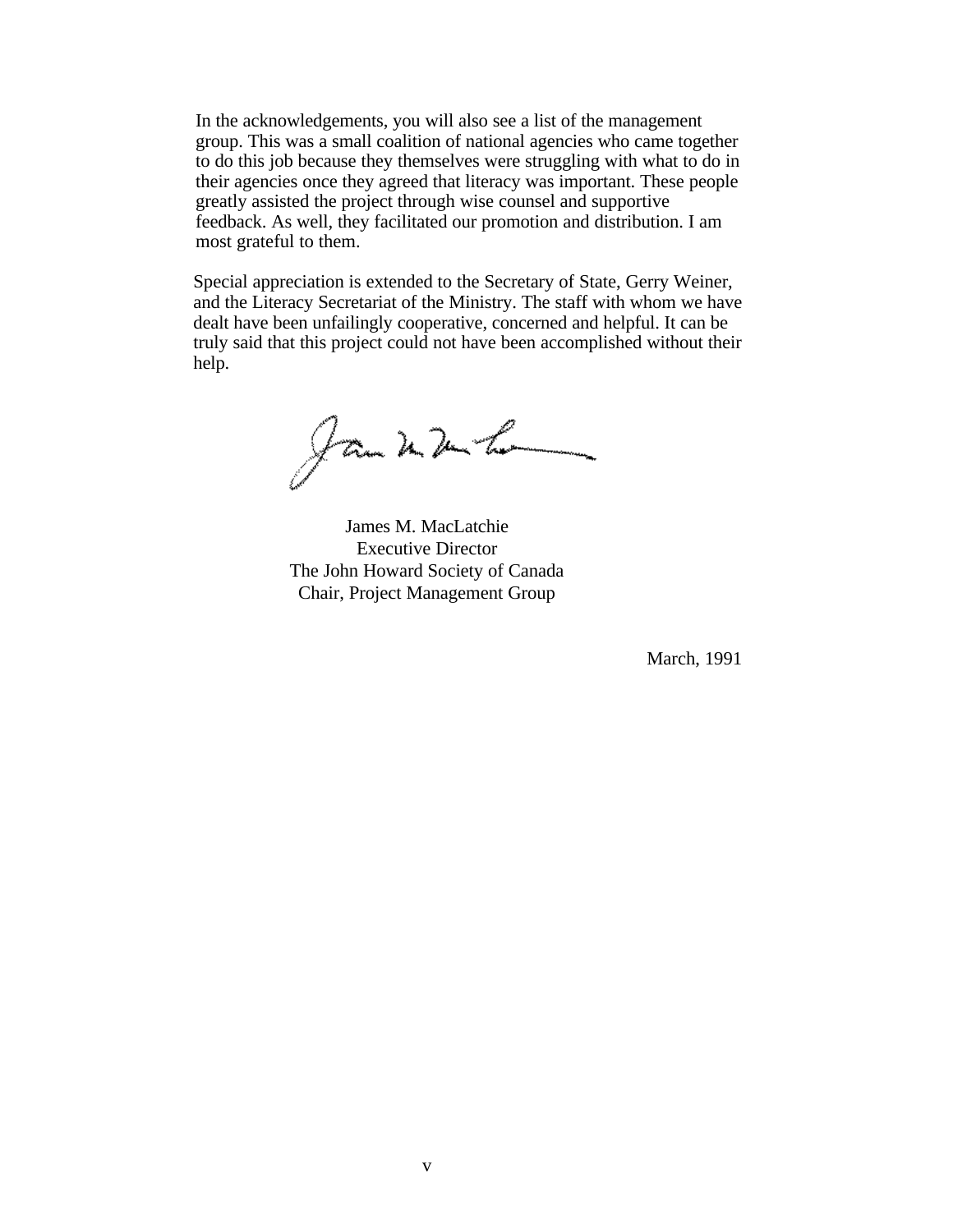In the acknowledgements, you will also see a list of the management group. This was a small coalition of national agencies who came together to do this job because they themselves were struggling with what to do in their agencies once they agreed that literacy was important. These people greatly assisted the project through wise counsel and supportive feedback. As well, they facilitated our promotion and distribution. I am most grateful to them.

Special appreciation is extended to the Secretary of State, Gerry Weiner, and the Literacy Secretariat of the Ministry. The staff with whom we have dealt have been unfailingly cooperative, concerned and helpful. It can be truly said that this project could not have been accomplished without their help.

Jan 2 2 h

James M. MacLatchie Executive Director The John Howard Society of Canada Chair, Project Management Group

March, 1991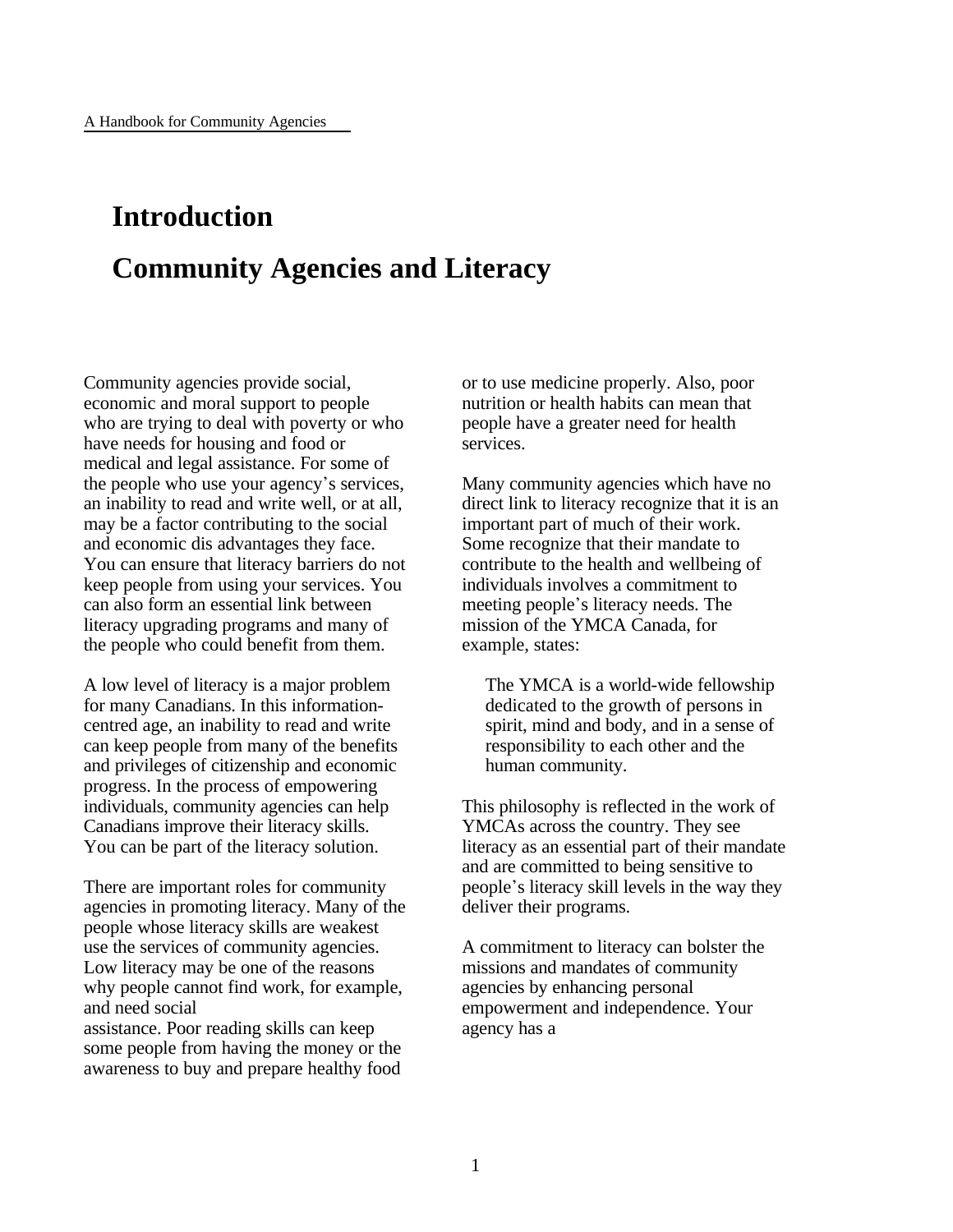# **Introduction Community Agencies and Literacy**

Community agencies provide social, economic and moral support to people who are trying to deal with poverty or who have needs for housing and food or medical and legal assistance. For some of the people who use your agency's services, an inability to read and write well, or at all, may be a factor contributing to the social and economic dis advantages they face. You can ensure that literacy barriers do not keep people from using your services. You can also form an essential link between literacy upgrading programs and many of the people who could benefit from them.

A low level of literacy is a major problem for many Canadians. In this informationcentred age, an inability to read and write can keep people from many of the benefits and privileges of citizenship and economic progress. In the process of empowering individuals, community agencies can help Canadians improve their literacy skills. You can be part of the literacy solution.

There are important roles for community agencies in promoting literacy. Many of the people whose literacy skills are weakest use the services of community agencies. Low literacy may be one of the reasons why people cannot find work, for example, and need social assistance. Poor reading skills can keep some people from having the money or the awareness to buy and prepare healthy food

or to use medicine properly. Also, poor nutrition or health habits can mean that people have a greater need for health services.

Many community agencies which have no direct link to literacy recognize that it is an important part of much of their work. Some recognize that their mandate to contribute to the health and wellbeing of individuals involves a commitment to meeting people's literacy needs. The mission of the YMCA Canada, for example, states:

The YMCA is a world-wide fellowship dedicated to the growth of persons in spirit, mind and body, and in a sense of responsibility to each other and the human community.

This philosophy is reflected in the work of YMCAs across the country. They see literacy as an essential part of their mandate and are committed to being sensitive to people\*s literacy skill levels in the way they deliver their programs.

A commitment to literacy can bolster the missions and mandates of community agencies by enhancing personal empowerment and independence. Your agency has a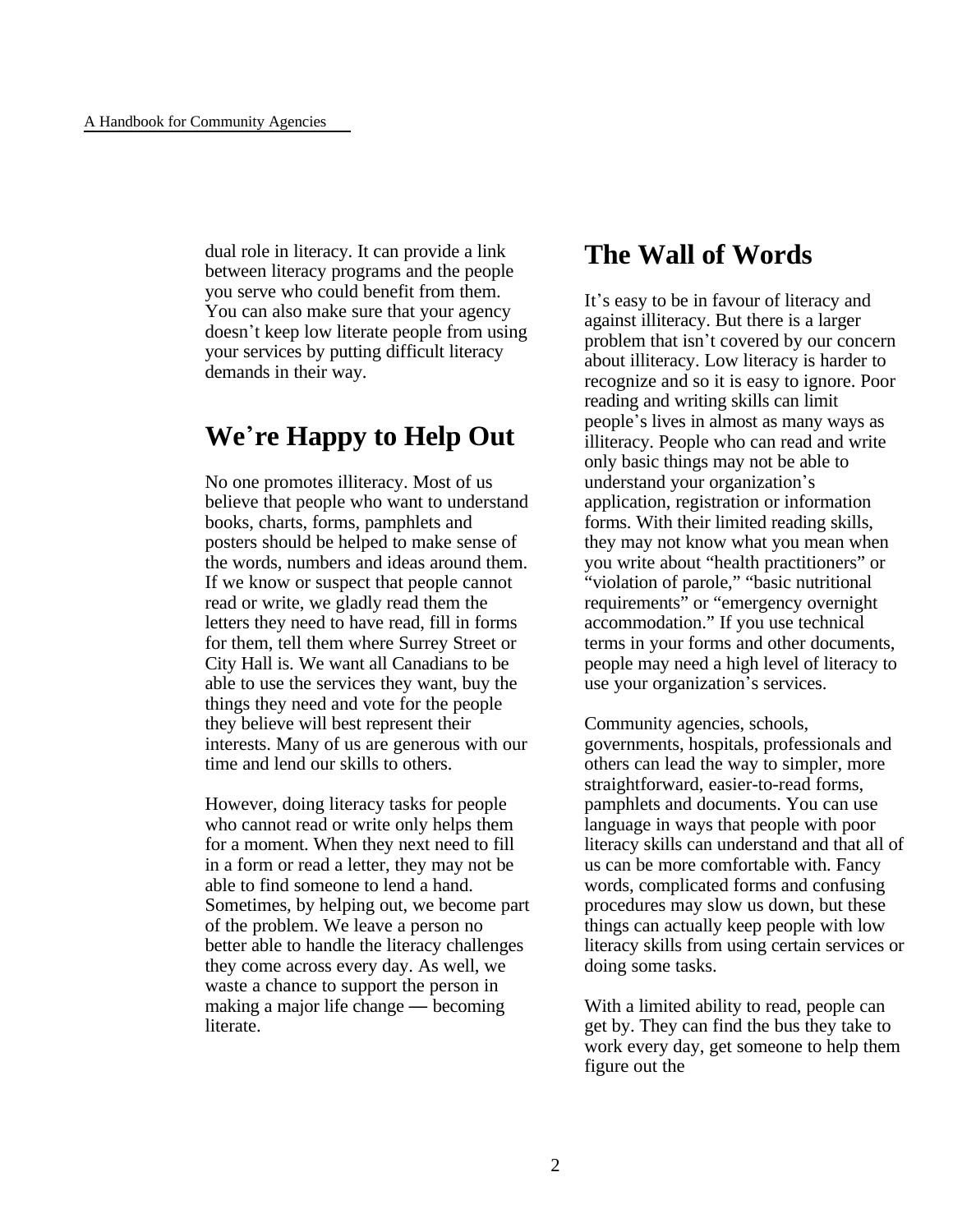dual role in literacy. It can provide a link between literacy programs and the people you serve who could benefit from them. You can also make sure that your agency doesn't keep low literate people from using your services by putting difficult literacy demands in their way.

# **We**\***re Happy to Help Out**

No one promotes illiteracy. Most of us believe that people who want to understand books, charts, forms, pamphlets and posters should be helped to make sense of the words, numbers and ideas around them. If we know or suspect that people cannot read or write, we gladly read them the letters they need to have read, fill in forms for them, tell them where Surrey Street or City Hall is. We want all Canadians to be able to use the services they want, buy the things they need and vote for the people they believe will best represent their interests. Many of us are generous with our time and lend our skills to others.

However, doing literacy tasks for people who cannot read or write only helps them for a moment. When they next need to fill in a form or read a letter, they may not be able to find someone to lend a hand. Sometimes, by helping out, we become part of the problem. We leave a person no better able to handle the literacy challenges they come across every day. As well, we waste a chance to support the person in making a major life change — becoming literate.

### **The Wall of Words**

It's easy to be in favour of literacy and against illiteracy. But there is a larger problem that isn't covered by our concern about illiteracy. Low literacy is harder to recognize and so it is easy to ignore. Poor reading and writing skills can limit people\*s lives in almost as many ways as illiteracy. People who can read and write only basic things may not be able to understand your organization's application, registration or information forms. With their limited reading skills, they may not know what you mean when you write about "health practitioners" or "violation of parole," "basic nutritional requirements" or "emergency overnight accommodation." If you use technical terms in your forms and other documents, people may need a high level of literacy to use your organization's services.

Community agencies, schools, governments, hospitals, professionals and others can lead the way to simpler, more straightforward, easier-to-read forms, pamphlets and documents. You can use language in ways that people with poor literacy skills can understand and that all of us can be more comfortable with. Fancy words, complicated forms and confusing procedures may slow us down, but these things can actually keep people with low literacy skills from using certain services or doing some tasks.

With a limited ability to read, people can get by. They can find the bus they take to work every day, get someone to help them figure out the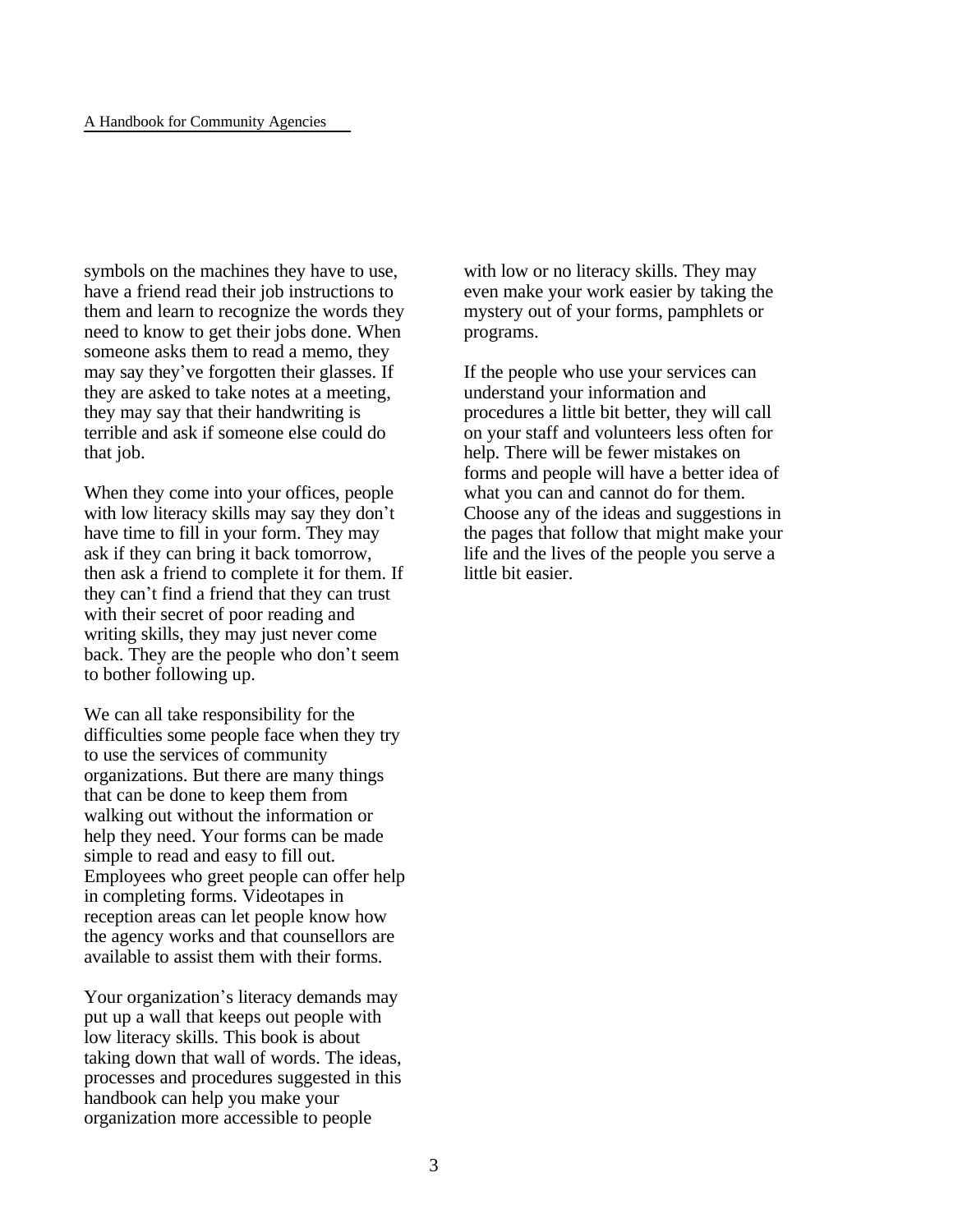symbols on the machines they have to use, have a friend read their job instructions to them and learn to recognize the words they need to know to get their jobs done. When someone asks them to read a memo, they may say they've forgotten their glasses. If they are asked to take notes at a meeting, they may say that their handwriting is terrible and ask if someone else could do that job.

When they come into your offices, people with low literacy skills may say they don't have time to fill in your form. They may ask if they can bring it back tomorrow, then ask a friend to complete it for them. If they can\*t find a friend that they can trust with their secret of poor reading and writing skills, they may just never come back. They are the people who don't seem to bother following up.

We can all take responsibility for the difficulties some people face when they try to use the services of community organizations. But there are many things that can be done to keep them from walking out without the information or help they need. Your forms can be made simple to read and easy to fill out. Employees who greet people can offer help in completing forms. Videotapes in reception areas can let people know how the agency works and that counsellors are available to assist them with their forms.

Your organization's literacy demands may put up a wall that keeps out people with low literacy skills. This book is about taking down that wall of words. The ideas, processes and procedures suggested in this handbook can help you make your organization more accessible to people

with low or no literacy skills. They may even make your work easier by taking the mystery out of your forms, pamphlets or programs.

If the people who use your services can understand your information and procedures a little bit better, they will call on your staff and volunteers less often for help. There will be fewer mistakes on forms and people will have a better idea of what you can and cannot do for them. Choose any of the ideas and suggestions in the pages that follow that might make your life and the lives of the people you serve a little bit easier.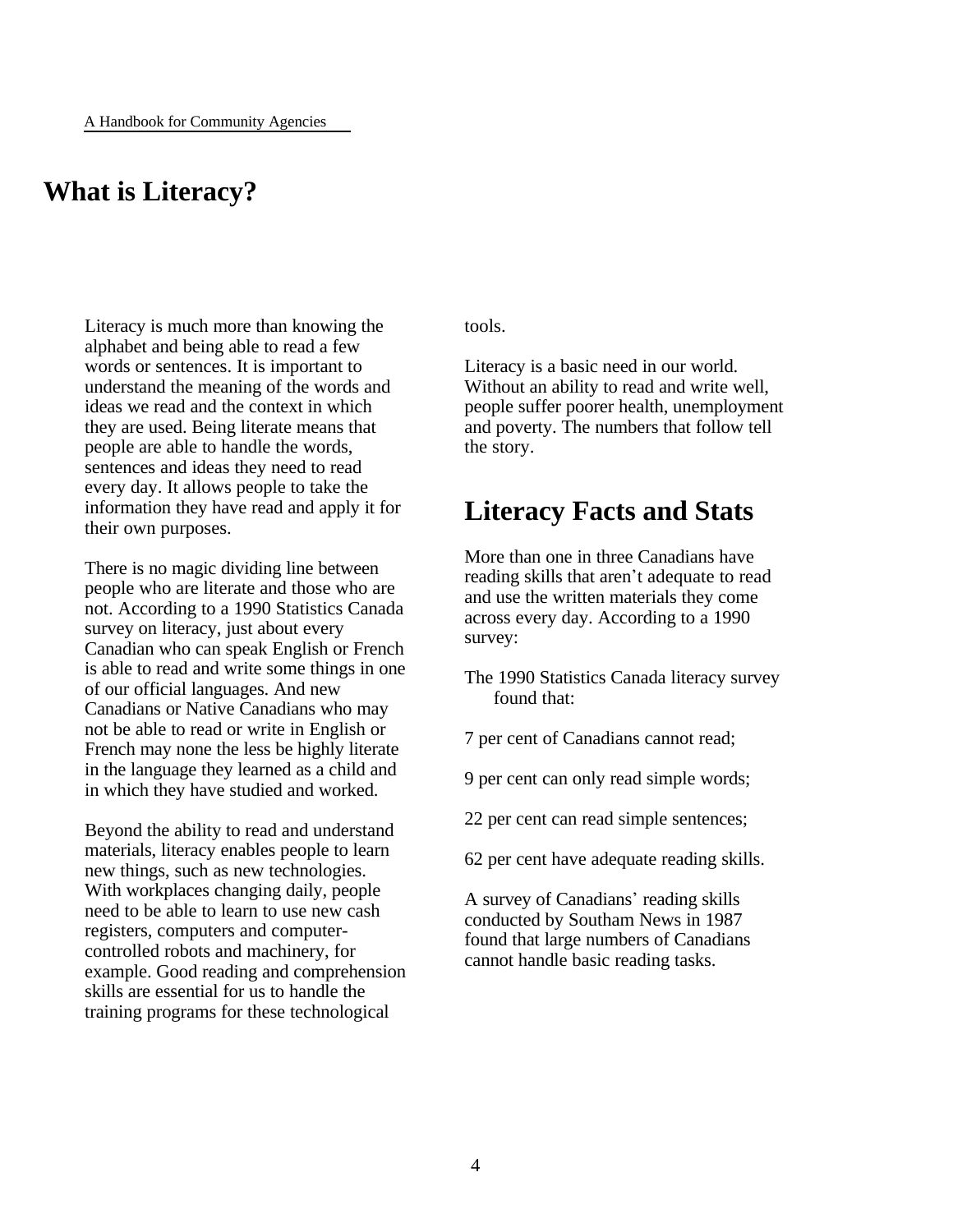# **What is Literacy?**

Literacy is much more than knowing the alphabet and being able to read a few words or sentences. It is important to understand the meaning of the words and ideas we read and the context in which they are used. Being literate means that people are able to handle the words, sentences and ideas they need to read every day. It allows people to take the information they have read and apply it for their own purposes.

There is no magic dividing line between people who are literate and those who are not. According to a 1990 Statistics Canada survey on literacy, just about every Canadian who can speak English or French is able to read and write some things in one of our official languages. And new Canadians or Native Canadians who may not be able to read or write in English or French may none the less be highly literate in the language they learned as a child and in which they have studied and worked.

Beyond the ability to read and understand materials, literacy enables people to learn new things, such as new technologies. With workplaces changing daily, people need to be able to learn to use new cash registers, computers and computercontrolled robots and machinery, for example. Good reading and comprehension skills are essential for us to handle the training programs for these technological

tools.

Literacy is a basic need in our world. Without an ability to read and write well, people suffer poorer health, unemployment and poverty. The numbers that follow tell the story.

### **Literacy Facts and Stats**

More than one in three Canadians have reading skills that aren't adequate to read and use the written materials they come across every day. According to a 1990 survey:

- The 1990 Statistics Canada literacy survey found that:
- 7 per cent of Canadians cannot read;
- 9 per cent can only read simple words;
- 22 per cent can read simple sentences;
- 62 per cent have adequate reading skills.

A survey of Canadians' reading skills conducted by Southam News in 1987 found that large numbers of Canadians cannot handle basic reading tasks.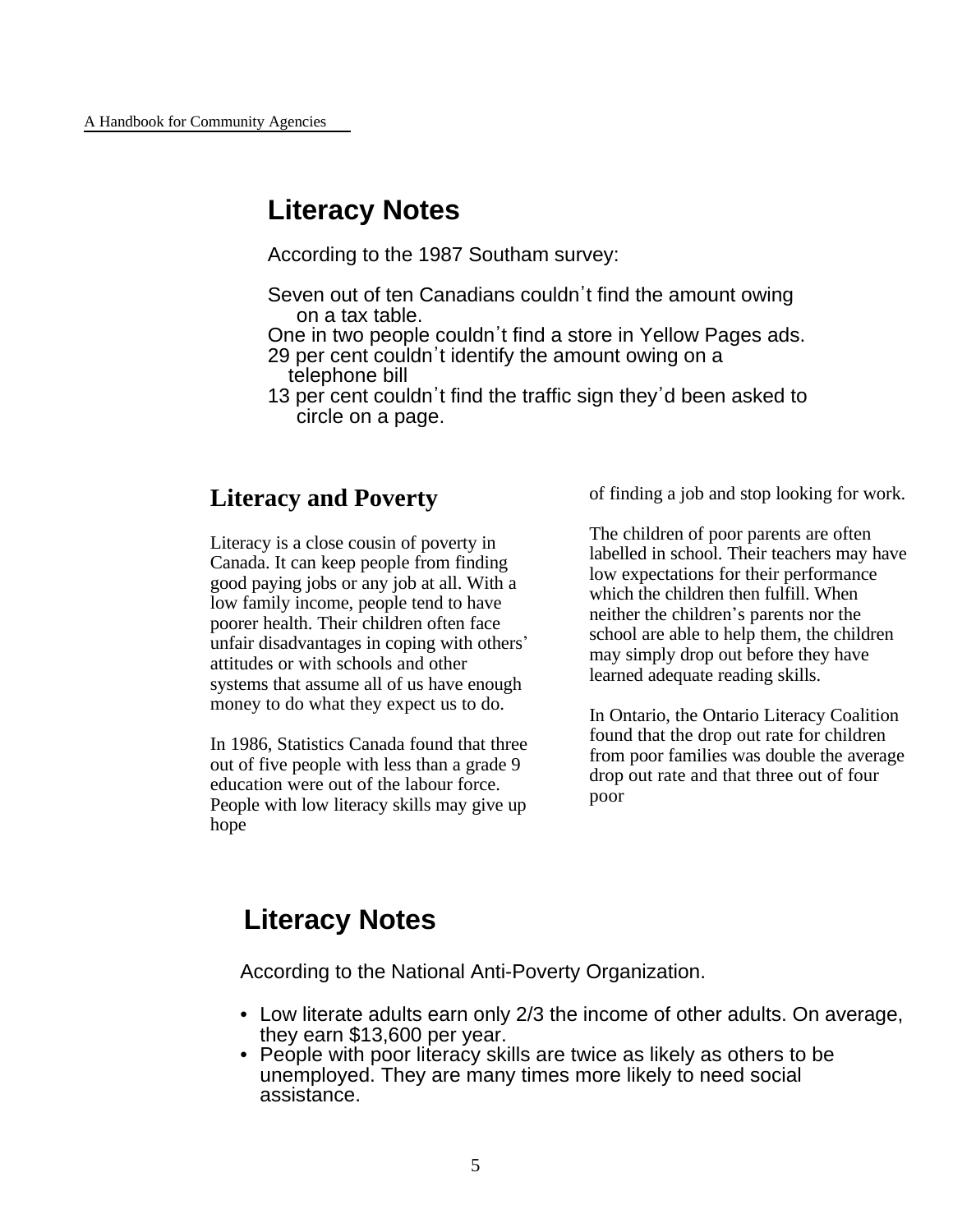# **Literacy Notes**

According to the 1987 Southam survey:

- Seven out of ten Canadians couldn't find the amount owing on a tax table.
- One in two people couldn't find a store in Yellow Pages ads.
- 29 per cent couldn't identify the amount owing on a telephone bill
- 13 per cent couldn't find the traffic sign they'd been asked to circle on a page.

### **Literacy and Poverty**

Literacy is a close cousin of poverty in Canada. It can keep people from finding good paying jobs or any job at all. With a low family income, people tend to have poorer health. Their children often face unfair disadvantages in coping with others\* attitudes or with schools and other systems that assume all of us have enough money to do what they expect us to do.

In 1986, Statistics Canada found that three out of five people with less than a grade 9 education were out of the labour force. People with low literacy skills may give up hope

of finding a job and stop looking for work.

The children of poor parents are often labelled in school. Their teachers may have low expectations for their performance which the children then fulfill. When neither the children's parents nor the school are able to help them, the children may simply drop out before they have learned adequate reading skills.

In Ontario, the Ontario Literacy Coalition found that the drop out rate for children from poor families was double the average drop out rate and that three out of four poor

# **Literacy Notes**

According to the National Anti-Poverty Organization.

- Low literate adults earn only 2/3 the income of other adults. On average, they earn \$13,600 per year.
- People with poor literacy skills are twice as likely as others to be unemployed. They are many times more likely to need social assistance.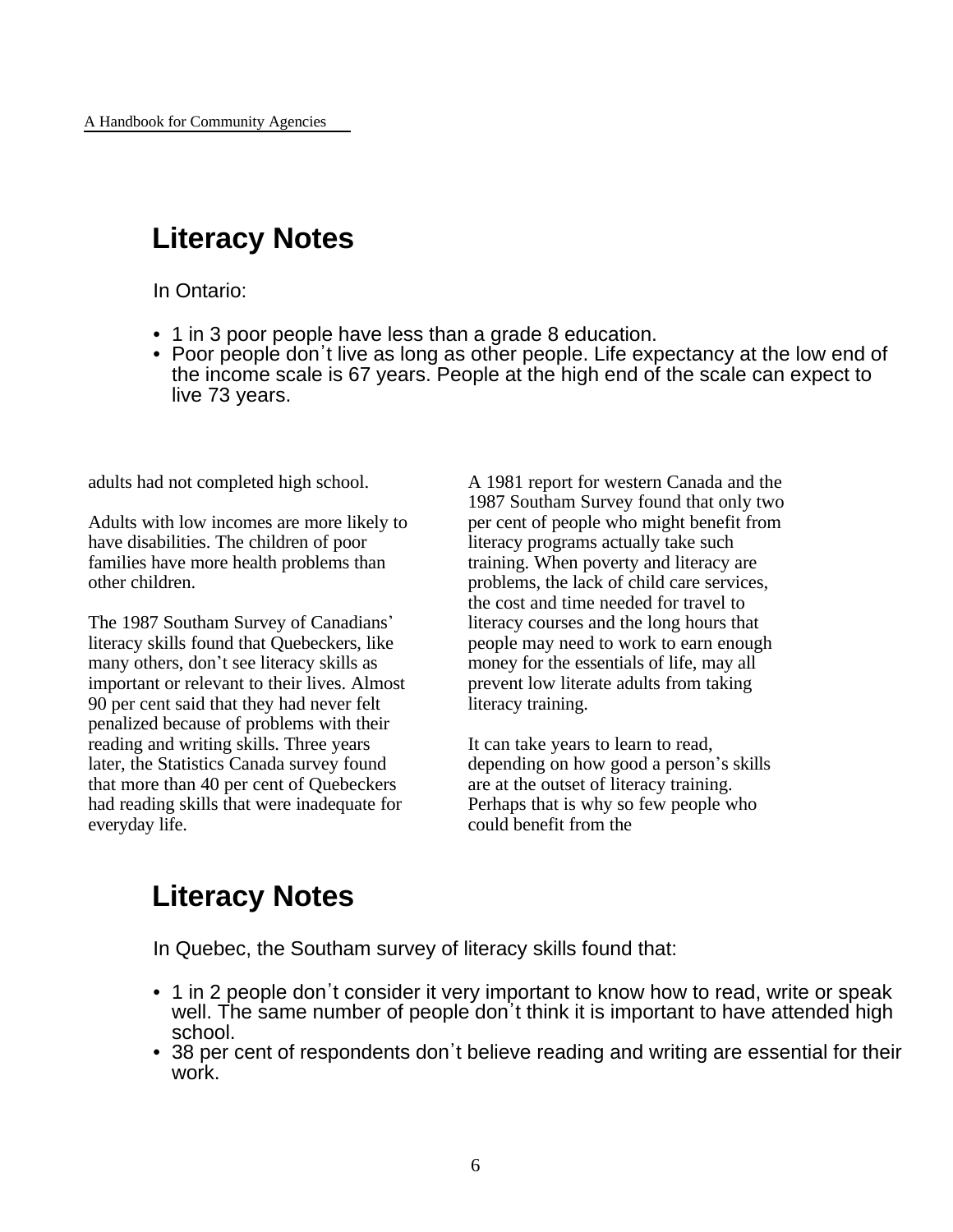# **Literacy Notes**

In Ontario:

- 1 in 3 poor people have less than a grade 8 education.
- Poor people don't live as long as other people. Life expectancy at the low end of the income scale is 67 years. People at the high end of the scale can expect to live 73 years.

adults had not completed high school.

Adults with low incomes are more likely to have disabilities. The children of poor families have more health problems than other children.

The 1987 Southam Survey of Canadians' literacy skills found that Quebeckers, like many others, don't see literacy skills as important or relevant to their lives. Almost 90 per cent said that they had never felt penalized because of problems with their reading and writing skills. Three years later, the Statistics Canada survey found that more than 40 per cent of Quebeckers had reading skills that were inadequate for everyday life.

A 1981 report for western Canada and the 1987 Southam Survey found that only two per cent of people who might benefit from literacy programs actually take such training. When poverty and literacy are problems, the lack of child care services, the cost and time needed for travel to literacy courses and the long hours that people may need to work to earn enough money for the essentials of life, may all prevent low literate adults from taking literacy training.

It can take years to learn to read, depending on how good a person's skills are at the outset of literacy training. Perhaps that is why so few people who could benefit from the

# **Literacy Notes**

In Quebec, the Southam survey of literacy skills found that:

- 1 in 2 people don't consider it very important to know how to read, write or speak well. The same number of people don't think it is important to have attended high school.
- 38 per cent of respondents don't believe reading and writing are essential for their work.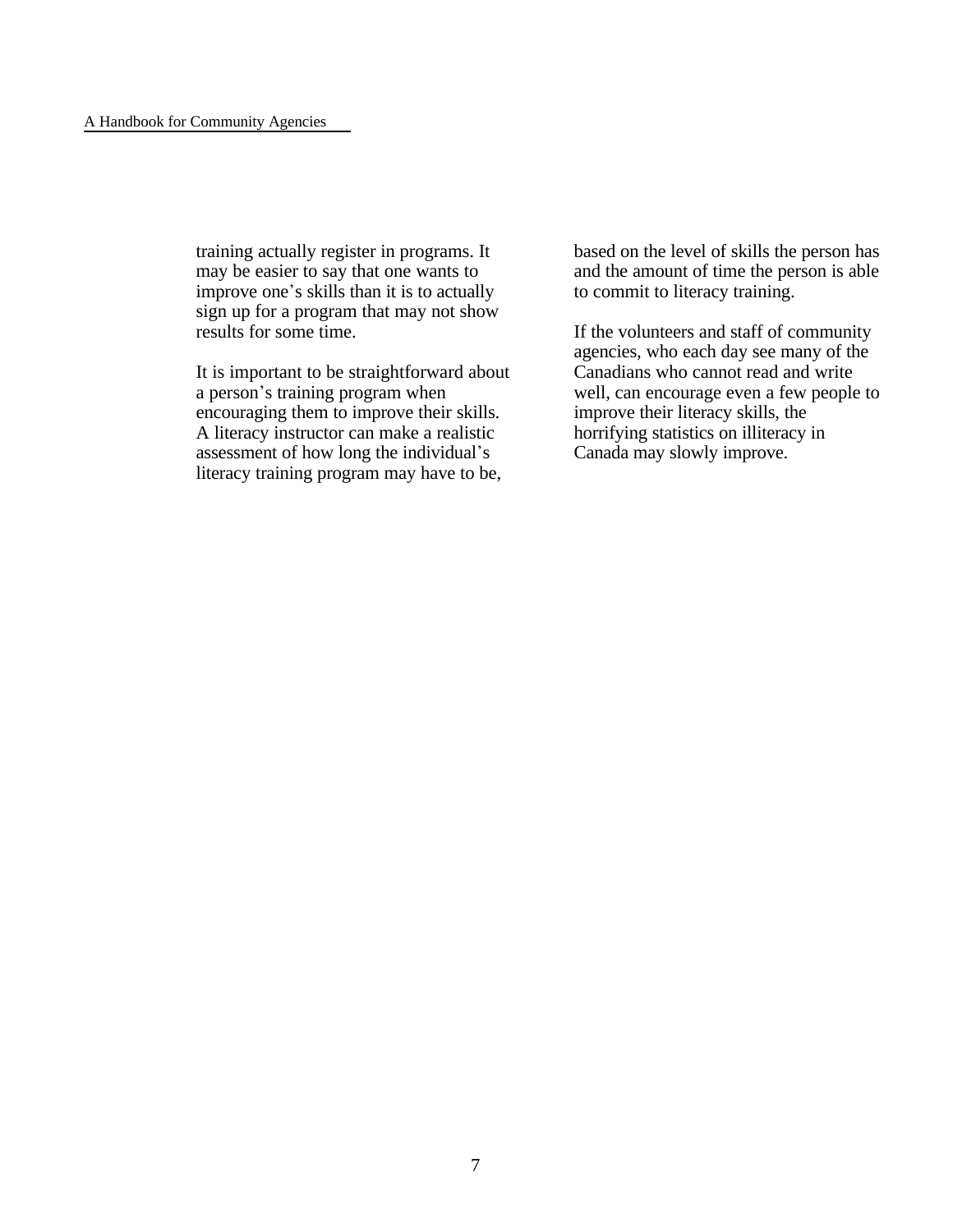training actually register in programs. It may be easier to say that one wants to improve one's skills than it is to actually sign up for a program that may not show results for some time.

It is important to be straightforward about a person's training program when encouraging them to improve their skills. A literacy instructor can make a realistic assessment of how long the individual's literacy training program may have to be,

based on the level of skills the person has and the amount of time the person is able to commit to literacy training.

If the volunteers and staff of community agencies, who each day see many of the Canadians who cannot read and write well, can encourage even a few people to improve their literacy skills, the horrifying statistics on illiteracy in Canada may slowly improve.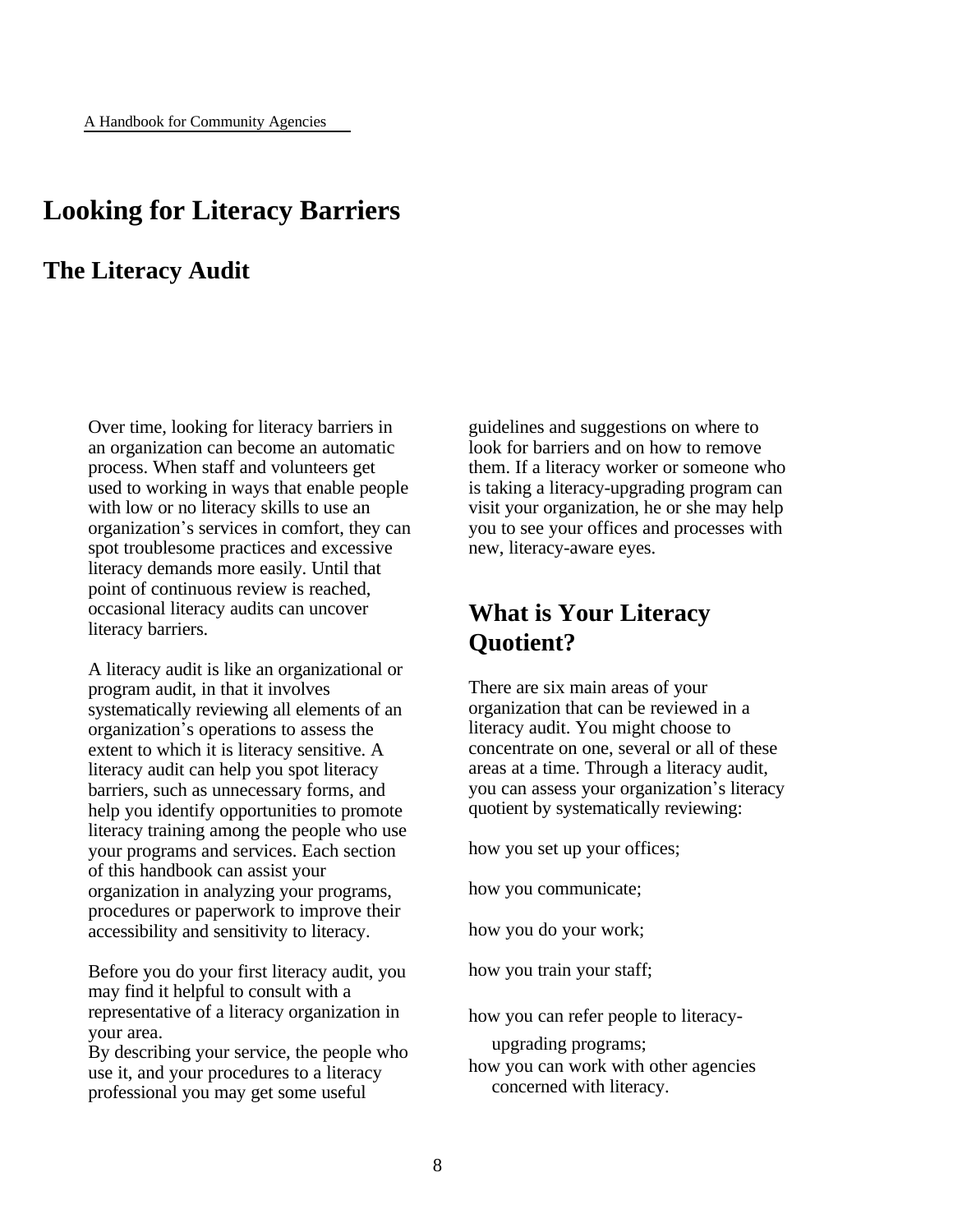### **Looking for Literacy Barriers**

### **The Literacy Audit**

Over time, looking for literacy barriers in an organization can become an automatic process. When staff and volunteers get used to working in ways that enable people with low or no literacy skills to use an organization\*s services in comfort, they can spot troublesome practices and excessive literacy demands more easily. Until that point of continuous review is reached, occasional literacy audits can uncover literacy barriers.

A literacy audit is like an organizational or program audit, in that it involves systematically reviewing all elements of an organization\*s operations to assess the extent to which it is literacy sensitive. A literacy audit can help you spot literacy barriers, such as unnecessary forms, and help you identify opportunities to promote literacy training among the people who use your programs and services. Each section of this handbook can assist your organization in analyzing your programs, procedures or paperwork to improve their accessibility and sensitivity to literacy.

Before you do your first literacy audit, you may find it helpful to consult with a representative of a literacy organization in your area.

By describing your service, the people who use it, and your procedures to a literacy professional you may get some useful

guidelines and suggestions on where to look for barriers and on how to remove them. If a literacy worker or someone who is taking a literacy-upgrading program can visit your organization, he or she may help you to see your offices and processes with new, literacy-aware eyes.

### **What is Your Literacy Quotient?**

There are six main areas of your organization that can be reviewed in a literacy audit. You might choose to concentrate on one, several or all of these areas at a time. Through a literacy audit, you can assess your organization's literacy quotient by systematically reviewing:

how you set up your offices;

how you communicate;

how you do your work;

how you train your staff;

how you can refer people to literacy-

upgrading programs;

how you can work with other agencies concerned with literacy.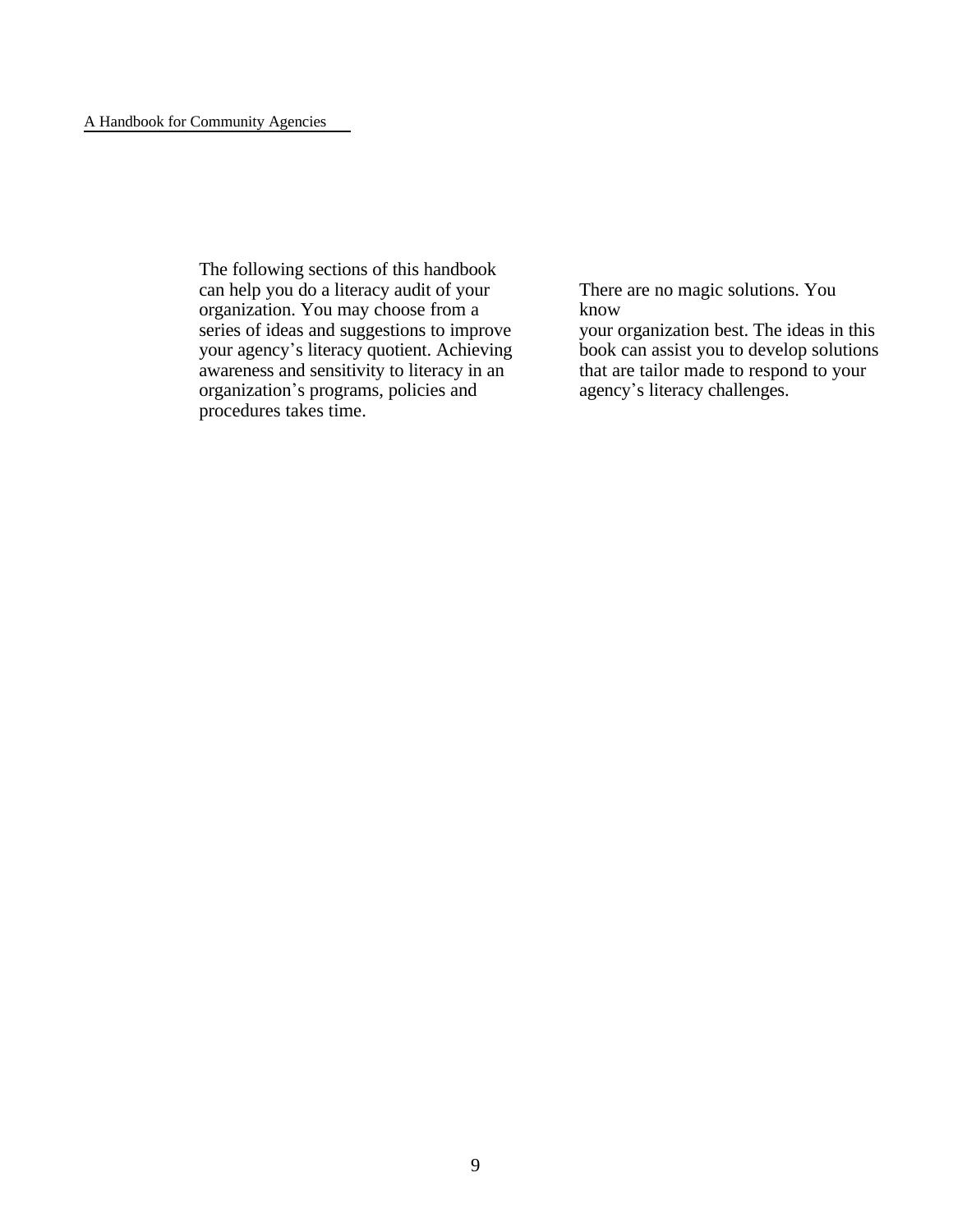The following sections of this handbook can help you do a literacy audit of your organization. You may choose from a series of ideas and suggestions to improve your agency's literacy quotient. Achieving awareness and sensitivity to literacy in an organization's programs, policies and procedures takes time.

There are no magic solutions. You know

your organization best. The ideas in this book can assist you to develop solutions that are tailor made to respond to your agency's literacy challenges.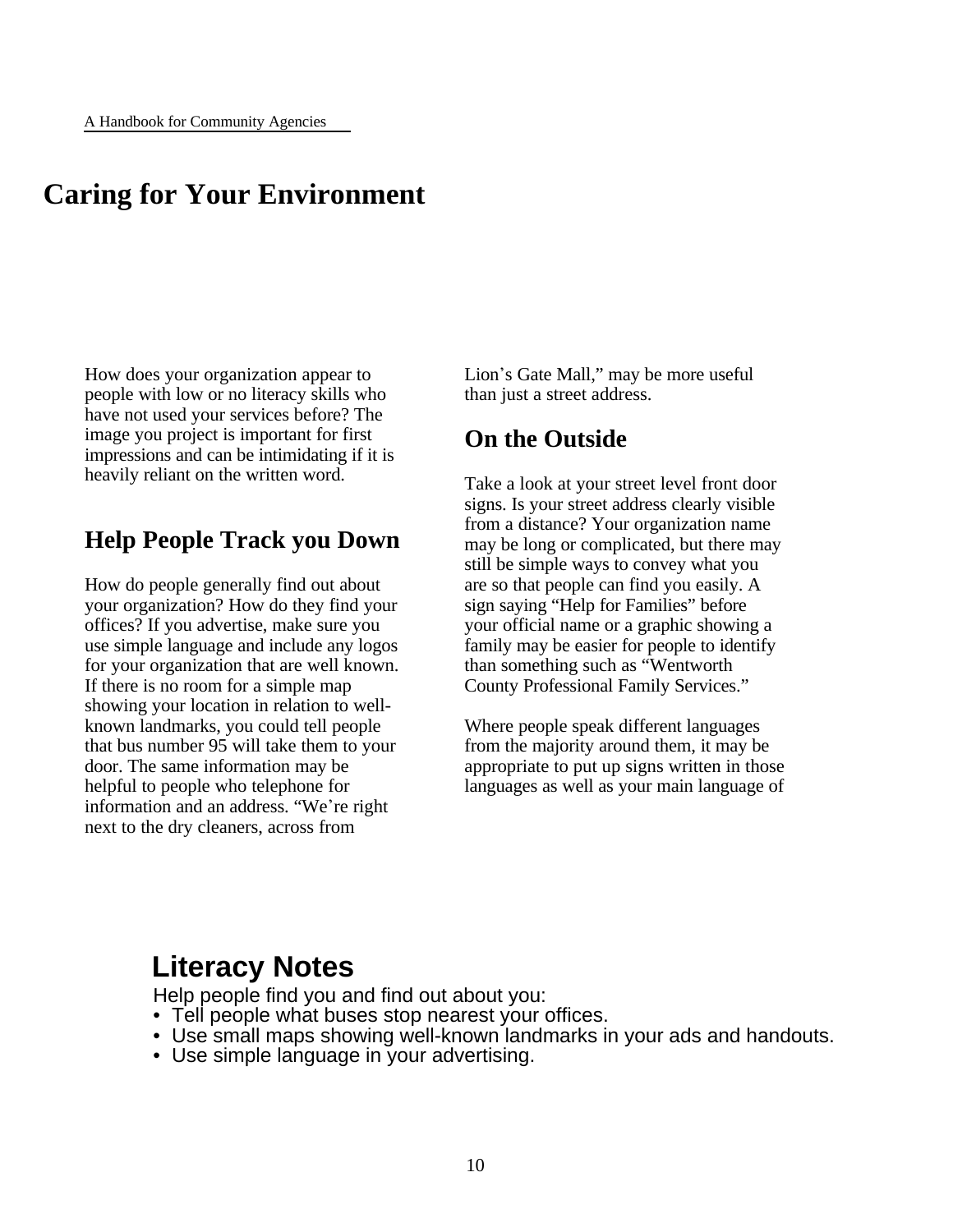# **Caring for Your Environment**

How does your organization appear to people with low or no literacy skills who have not used your services before? The image you project is important for first impressions and can be intimidating if it is heavily reliant on the written word.

### **Help People Track you Down**

How do people generally find out about your organization? How do they find your offices? If you advertise, make sure you use simple language and include any logos for your organization that are well known. If there is no room for a simple map showing your location in relation to wellknown landmarks, you could tell people that bus number 95 will take them to your door. The same information may be helpful to people who telephone for information and an address. "We're right next to the dry cleaners, across from

Lion's Gate Mall," may be more useful than just a street address.

### **On the Outside**

Take a look at your street level front door signs. Is your street address clearly visible from a distance? Your organization name may be long or complicated, but there may still be simple ways to convey what you are so that people can find you easily. A sign saying "Help for Families" before your official name or a graphic showing a family may be easier for people to identify than something such as "Wentworth County Professional Family Services."

Where people speak different languages from the majority around them, it may be appropriate to put up signs written in those languages as well as your main language of

# **Literacy Notes**

Help people find you and find out about you:

- Tell people what buses stop nearest your offices.
- Use small maps showing well-known landmarks in your ads and handouts.
- Use simple language in your advertising.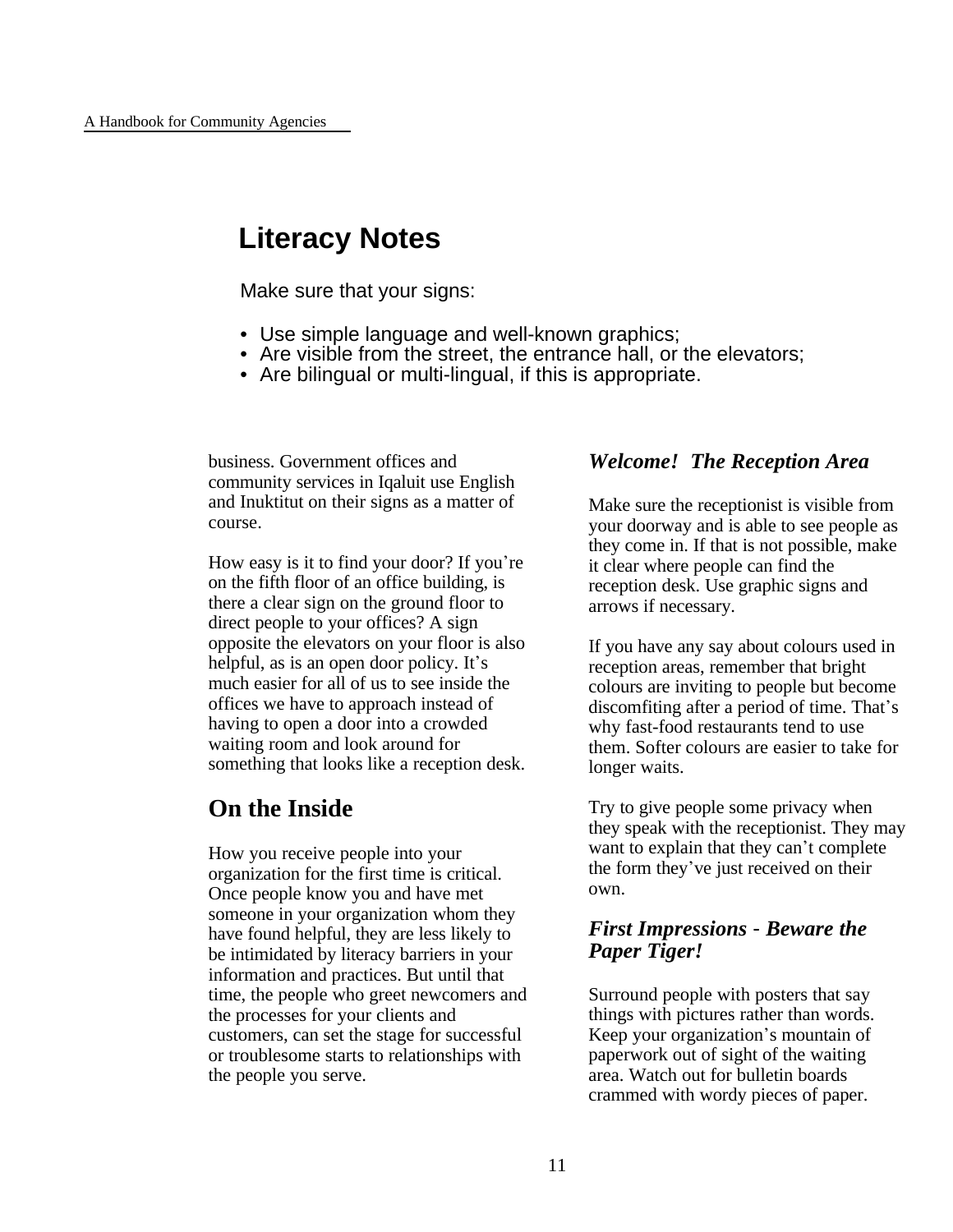# **Literacy Notes**

Make sure that your signs:

- Use simple language and well-known graphics;
- Are visible from the street, the entrance hall, or the elevators;
- Are bilingual or multi-lingual, if this is appropriate.

business. Government offices and community services in Iqaluit use English and Inuktitut on their signs as a matter of course.

How easy is it to find your door? If you're on the fifth floor of an office building, is there a clear sign on the ground floor to direct people to your offices? A sign opposite the elevators on your floor is also helpful, as is an open door policy. It's much easier for all of us to see inside the offices we have to approach instead of having to open a door into a crowded waiting room and look around for something that looks like a reception desk.

### **On the Inside**

How you receive people into your organization for the first time is critical. Once people know you and have met someone in your organization whom they have found helpful, they are less likely to be intimidated by literacy barriers in your information and practices. But until that time, the people who greet newcomers and the processes for your clients and customers, can set the stage for successful or troublesome starts to relationships with the people you serve.

#### *Welcome! The Reception Area*

Make sure the receptionist is visible from your doorway and is able to see people as they come in. If that is not possible, make it clear where people can find the reception desk. Use graphic signs and arrows if necessary.

If you have any say about colours used in reception areas, remember that bright colours are inviting to people but become discomfiting after a period of time. That's why fast-food restaurants tend to use them. Softer colours are easier to take for longer waits.

Try to give people some privacy when they speak with the receptionist. They may want to explain that they can't complete the form they've just received on their own.

#### *First Impressions* - *Beware the Paper Tiger!*

Surround people with posters that say things with pictures rather than words. Keep your organization's mountain of paperwork out of sight of the waiting area. Watch out for bulletin boards crammed with wordy pieces of paper.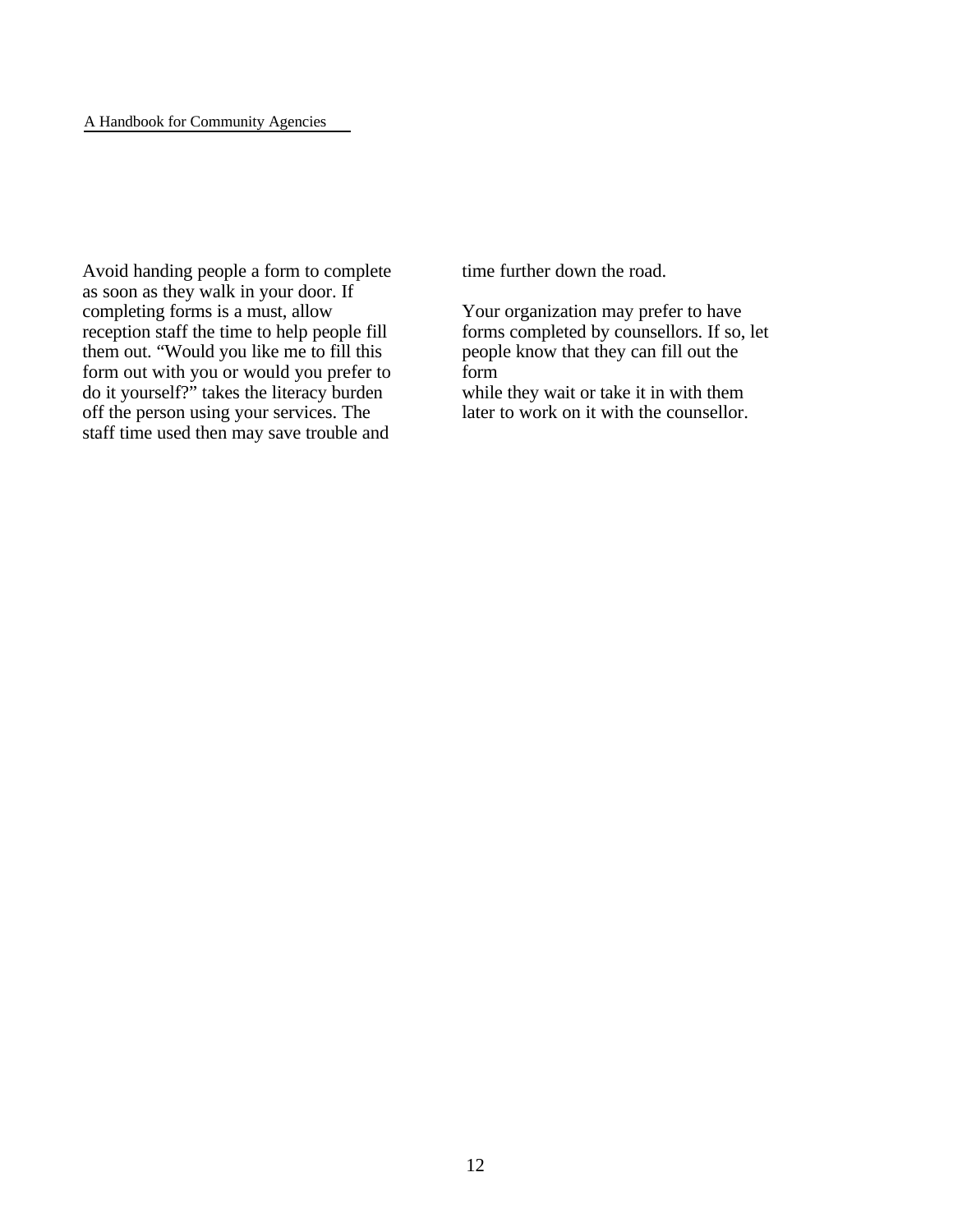Avoid handing people a form to complete as soon as they walk in your door. If completing forms is a must, allow reception staff the time to help people fill them out. "Would you like me to fill this form out with you or would you prefer to do it yourself?" takes the literacy burden off the person using your services. The staff time used then may save trouble and

time further down the road.

Your organization may prefer to have forms completed by counsellors. If so, let people know that they can fill out the form while they wait or take it in with them later to work on it with the counsellor.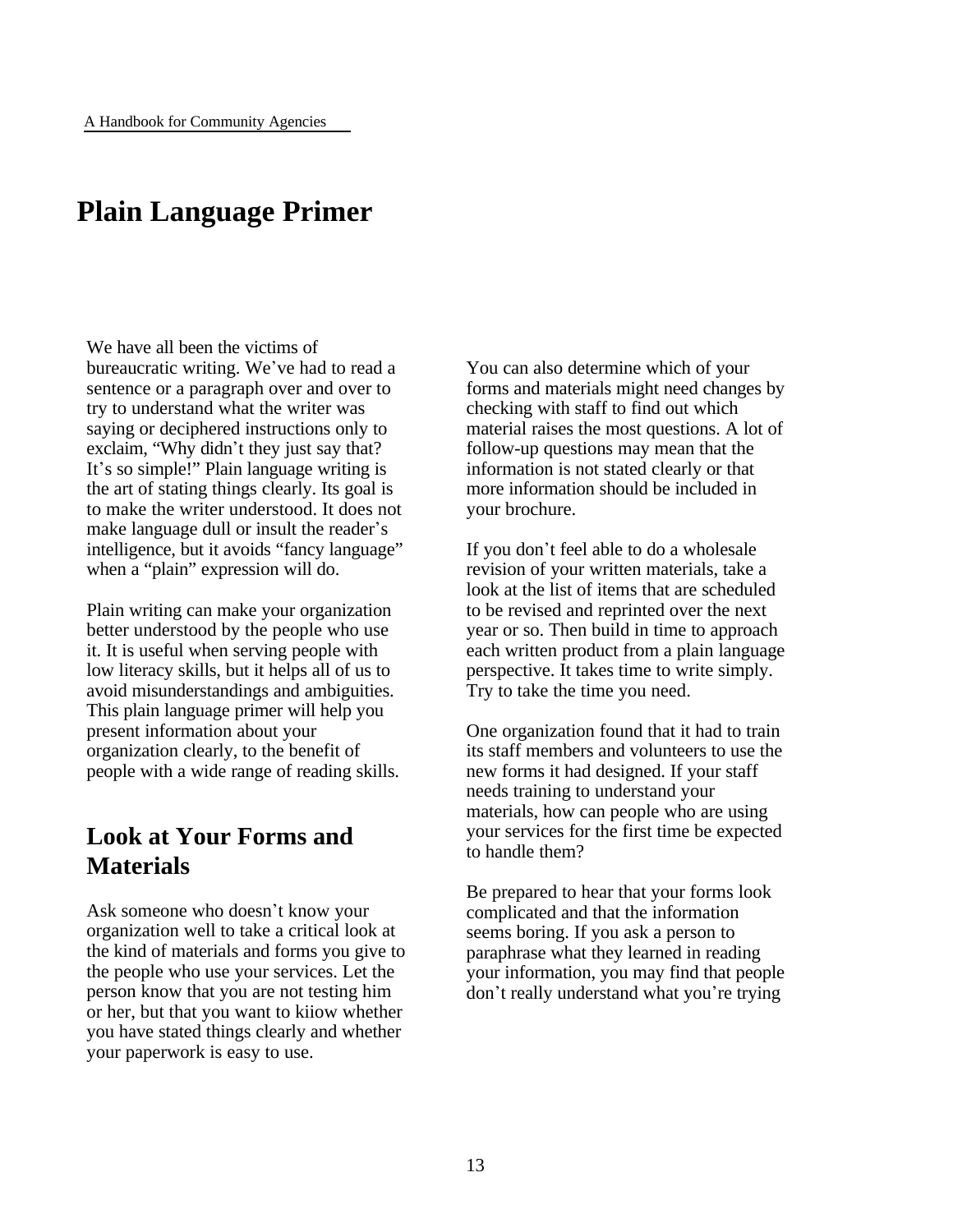# **Plain Language Primer**

We have all been the victims of bureaucratic writing. We've had to read a sentence or a paragraph over and over to try to understand what the writer was saying or deciphered instructions only to exclaim, "Why didn't they just say that? It's so simple!" Plain language writing is the art of stating things clearly. Its goal is to make the writer understood. It does not make language dull or insult the reader's intelligence, but it avoids "fancy language" when a "plain" expression will do.

Plain writing can make your organization better understood by the people who use it. It is useful when serving people with low literacy skills, but it helps all of us to avoid misunderstandings and ambiguities. This plain language primer will help you present information about your organization clearly, to the benefit of people with a wide range of reading skills.

### **Look at Your Forms and Materials**

Ask someone who doesn't know your organization well to take a critical look at the kind of materials and forms you give to the people who use your services. Let the person know that you are not testing him or her, but that you want to kiiow whether you have stated things clearly and whether your paperwork is easy to use.

You can also determine which of your forms and materials might need changes by checking with staff to find out which material raises the most questions. A lot of follow-up questions may mean that the information is not stated clearly or that more information should be included in your brochure.

If you don't feel able to do a wholesale revision of your written materials, take a look at the list of items that are scheduled to be revised and reprinted over the next year or so. Then build in time to approach each written product from a plain language perspective. It takes time to write simply. Try to take the time you need.

One organization found that it had to train its staff members and volunteers to use the new forms it had designed. If your staff needs training to understand your materials, how can people who are using your services for the first time be expected to handle them?

Be prepared to hear that your forms look complicated and that the information seems boring. If you ask a person to paraphrase what they learned in reading your information, you may find that people don't really understand what you're trying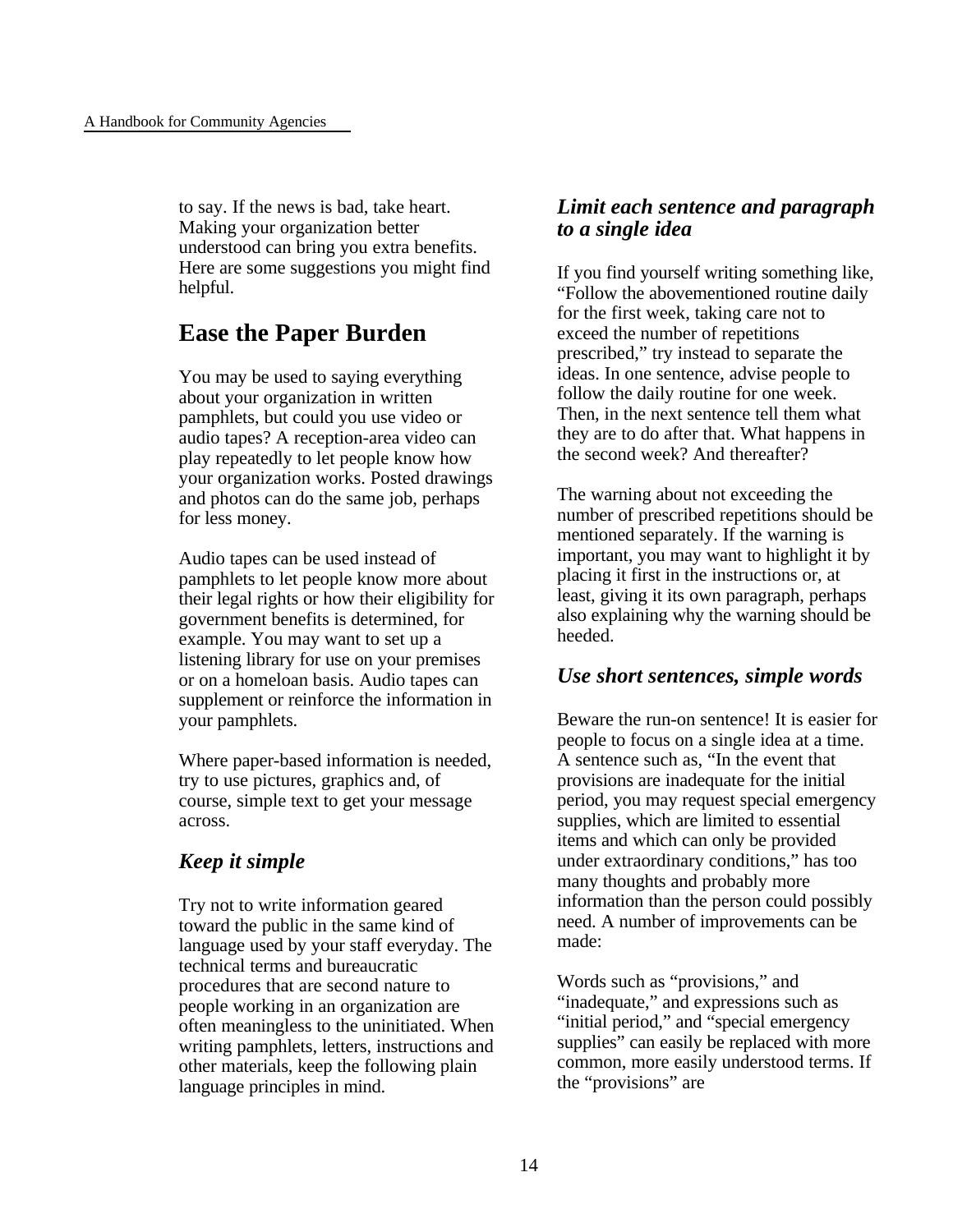to say. If the news is bad, take heart. Making your organization better understood can bring you extra benefits. Here are some suggestions you might find helpful.

### **Ease the Paper Burden**

You may be used to saying everything about your organization in written pamphlets, but could you use video or audio tapes? A reception-area video can play repeatedly to let people know how your organization works. Posted drawings and photos can do the same job, perhaps for less money.

Audio tapes can be used instead of pamphlets to let people know more about their legal rights or how their eligibility for government benefits is determined, for example. You may want to set up a listening library for use on your premises or on a homeloan basis. Audio tapes can supplement or reinforce the information in your pamphlets.

Where paper-based information is needed, try to use pictures, graphics and, of course, simple text to get your message across.

### *Keep it simple*

Try not to write information geared toward the public in the same kind of language used by your staff everyday. The technical terms and bureaucratic procedures that are second nature to people working in an organization are often meaningless to the uninitiated. When writing pamphlets, letters, instructions and other materials, keep the following plain language principles in mind.

### *Limit each sentence and paragraph to a single idea*

If you find yourself writing something like, "Follow the abovementioned routine daily for the first week, taking care not to exceed the number of repetitions prescribed," try instead to separate the ideas. In one sentence, advise people to follow the daily routine for one week. Then, in the next sentence tell them what they are to do after that. What happens in the second week? And thereafter?

The warning about not exceeding the number of prescribed repetitions should be mentioned separately. If the warning is important, you may want to highlight it by placing it first in the instructions or, at least, giving it its own paragraph, perhaps also explaining why the warning should be heeded.

### *Use short sentences, simple words*

Beware the run-on sentence! It is easier for people to focus on a single idea at a time. A sentence such as, "In the event that provisions are inadequate for the initial period, you may request special emergency supplies, which are limited to essential items and which can only be provided under extraordinary conditions," has too many thoughts and probably more information than the person could possibly need. A number of improvements can be made:

Words such as "provisions," and "inadequate," and expressions such as "initial period," and "special emergency supplies" can easily be replaced with more common, more easily understood terms. If the "provisions" are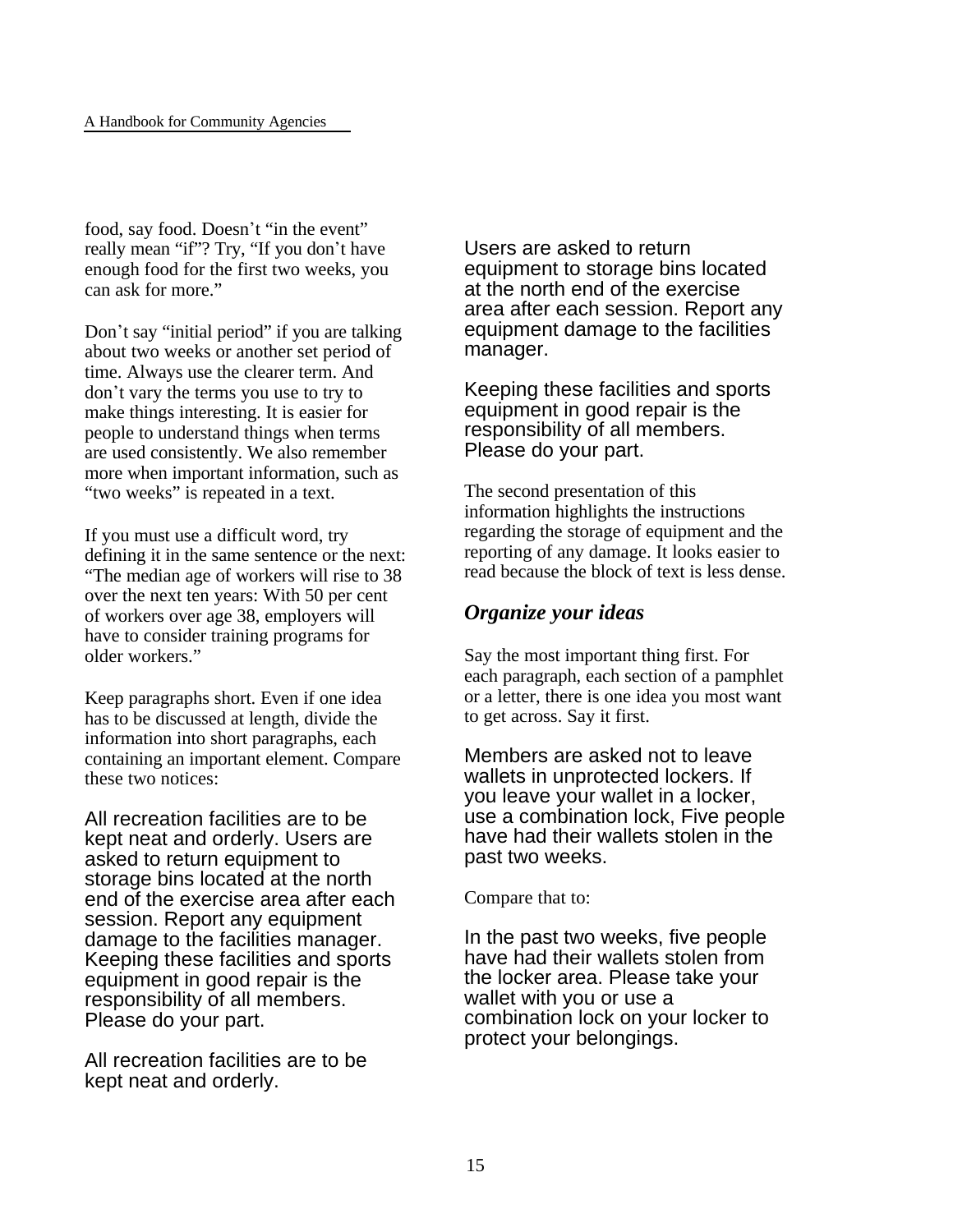food, say food. Doesn't "in the event" really mean "if"? Try, "If you don't have enough food for the first two weeks, you can ask for more."

Don't say "initial period" if you are talking about two weeks or another set period of time. Always use the clearer term. And don't vary the terms you use to try to make things interesting. It is easier for people to understand things when terms are used consistently. We also remember more when important information, such as "two weeks" is repeated in a text.

If you must use a difficult word, try defining it in the same sentence or the next: "The median age of workers will rise to 38 over the next ten years: With 50 per cent of workers over age 38, employers will have to consider training programs for older workers."

Keep paragraphs short. Even if one idea has to be discussed at length, divide the information into short paragraphs, each containing an important element. Compare these two notices:

All recreation facilities are to be kept neat and orderly. Users are asked to return equipment to storage bins located at the north end of the exercise area after each session. Report any equipment damage to the facilities manager. Keeping these facilities and sports equipment in good repair is the responsibility of all members. Please do your part.

All recreation facilities are to be kept neat and orderly.

Users are asked to return equipment to storage bins located at the north end of the exercise area after each session. Report any equipment damage to the facilities manager.

Keeping these facilities and sports equipment in good repair is the responsibility of all members. Please do your part.

The second presentation of this information highlights the instructions regarding the storage of equipment and the reporting of any damage. It looks easier to read because the block of text is less dense.

### *Organize your ideas*

Say the most important thing first. For each paragraph, each section of a pamphlet or a letter, there is one idea you most want to get across. Say it first.

Members are asked not to leave wallets in unprotected lockers. If you leave your wallet in a locker, use a combination lock, Five people have had their wallets stolen in the past two weeks.

Compare that to:

In the past two weeks, five people have had their wallets stolen from the locker area. Please take your wallet with you or use a combination lock on your locker to protect your belongings.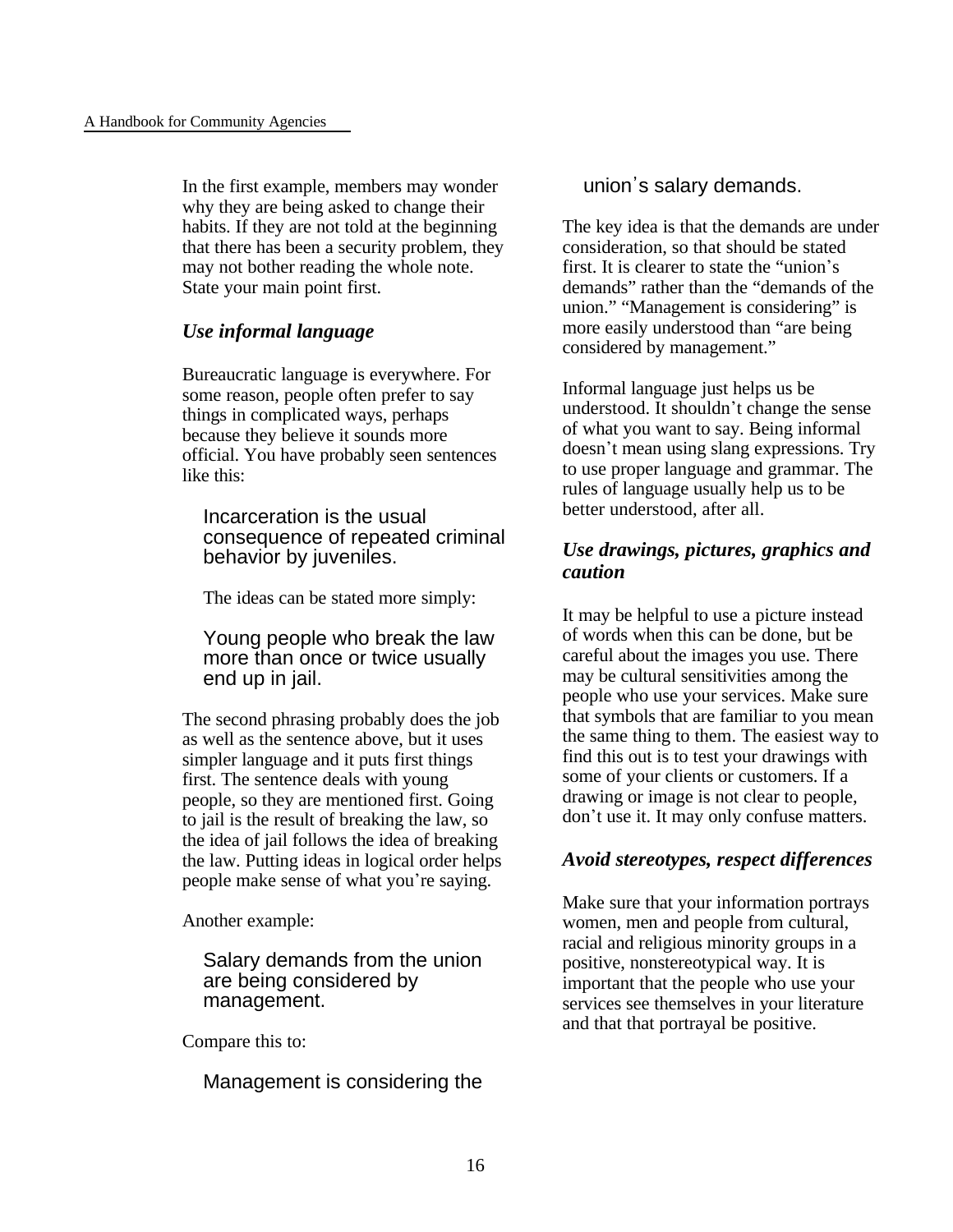In the first example, members may wonder why they are being asked to change their habits. If they are not told at the beginning that there has been a security problem, they may not bother reading the whole note. State your main point first.

### *Use informal language*

Bureaucratic language is everywhere. For some reason, people often prefer to say things in complicated ways, perhaps because they believe it sounds more official. You have probably seen sentences like this:

Incarceration is the usual consequence of repeated criminal behavior by juveniles.

The ideas can be stated more simply:

Young people who break the law more than once or twice usually end up in jail.

The second phrasing probably does the job as well as the sentence above, but it uses simpler language and it puts first things first. The sentence deals with young people, so they are mentioned first. Going to jail is the result of breaking the law, so the idea of jail follows the idea of breaking the law. Putting ideas in logical order helps people make sense of what you're saying.

Another example:

Salary demands from the union are being considered by management.

Compare this to:

Management is considering the

### union's salary demands.

The key idea is that the demands are under consideration, so that should be stated first. It is clearer to state the "union's demands" rather than the "demands of the union." "Management is considering" is more easily understood than "are being considered by management."

Informal language just helps us be understood. It shouldn't change the sense of what you want to say. Being informal doesn't mean using slang expressions. Try to use proper language and grammar. The rules of language usually help us to be better understood, after all.

### *Use drawings, pictures, graphics and caution*

It may be helpful to use a picture instead of words when this can be done, but be careful about the images you use. There may be cultural sensitivities among the people who use your services. Make sure that symbols that are familiar to you mean the same thing to them. The easiest way to find this out is to test your drawings with some of your clients or customers. If a drawing or image is not clear to people, don't use it. It may only confuse matters.

### *Avoid stereotypes, respect differences*

Make sure that your information portrays women, men and people from cultural, racial and religious minority groups in a positive, nonstereotypical way. It is important that the people who use your services see themselves in your literature and that that portrayal be positive.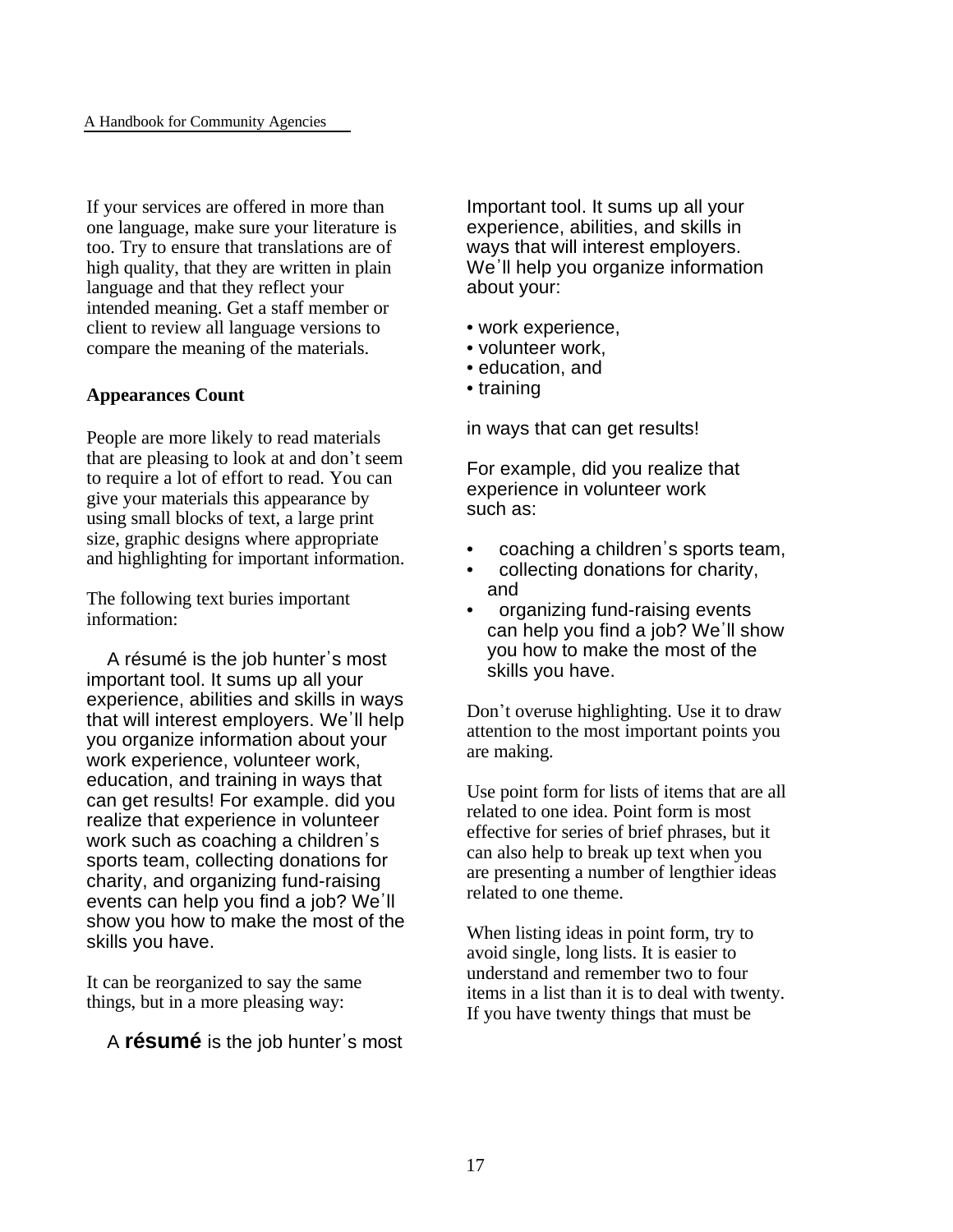If your services are offered in more than one language, make sure your literature is too. Try to ensure that translations are of high quality, that they are written in plain language and that they reflect your intended meaning. Get a staff member or client to review all language versions to compare the meaning of the materials.

#### **Appearances Count**

People are more likely to read materials that are pleasing to look at and don't seem to require a lot of effort to read. You can give your materials this appearance by using small blocks of text, a large print size, graphic designs where appropriate and highlighting for important information.

The following text buries important information:

A résumé is the job hunter's most important tool. It sums up all your experience, abilities and skills in ways that will interest employers. We'll help you organize information about your work experience, volunteer work, education, and training in ways that can get results! For example. did you realize that experience in volunteer work such as coaching a children's sports team, collecting donations for charity, and organizing fund-raising events can help you find a job? We'll show you how to make the most of the skills you have.

It can be reorganized to say the same things, but in a more pleasing way:

A **résumé** is the job hunter's most

Important tool. It sums up all your experience, abilities, and skills in ways that will interest employers. We'll help you organize information about your:

- work experience,
- volunteer work,
- education, and
- training

in ways that can get results!

For example, did you realize that experience in volunteer work such as:

- coaching a children's sports team,
- collecting donations for charity, and
- organizing fund-raising events can help you find a job? We'll show you how to make the most of the skills you have.

Don't overuse highlighting. Use it to draw attention to the most important points you are making.

Use point form for lists of items that are all related to one idea. Point form is most effective for series of brief phrases, but it can also help to break up text when you are presenting a number of lengthier ideas related to one theme.

When listing ideas in point form, try to avoid single, long lists. It is easier to understand and remember two to four items in a list than it is to deal with twenty. If you have twenty things that must be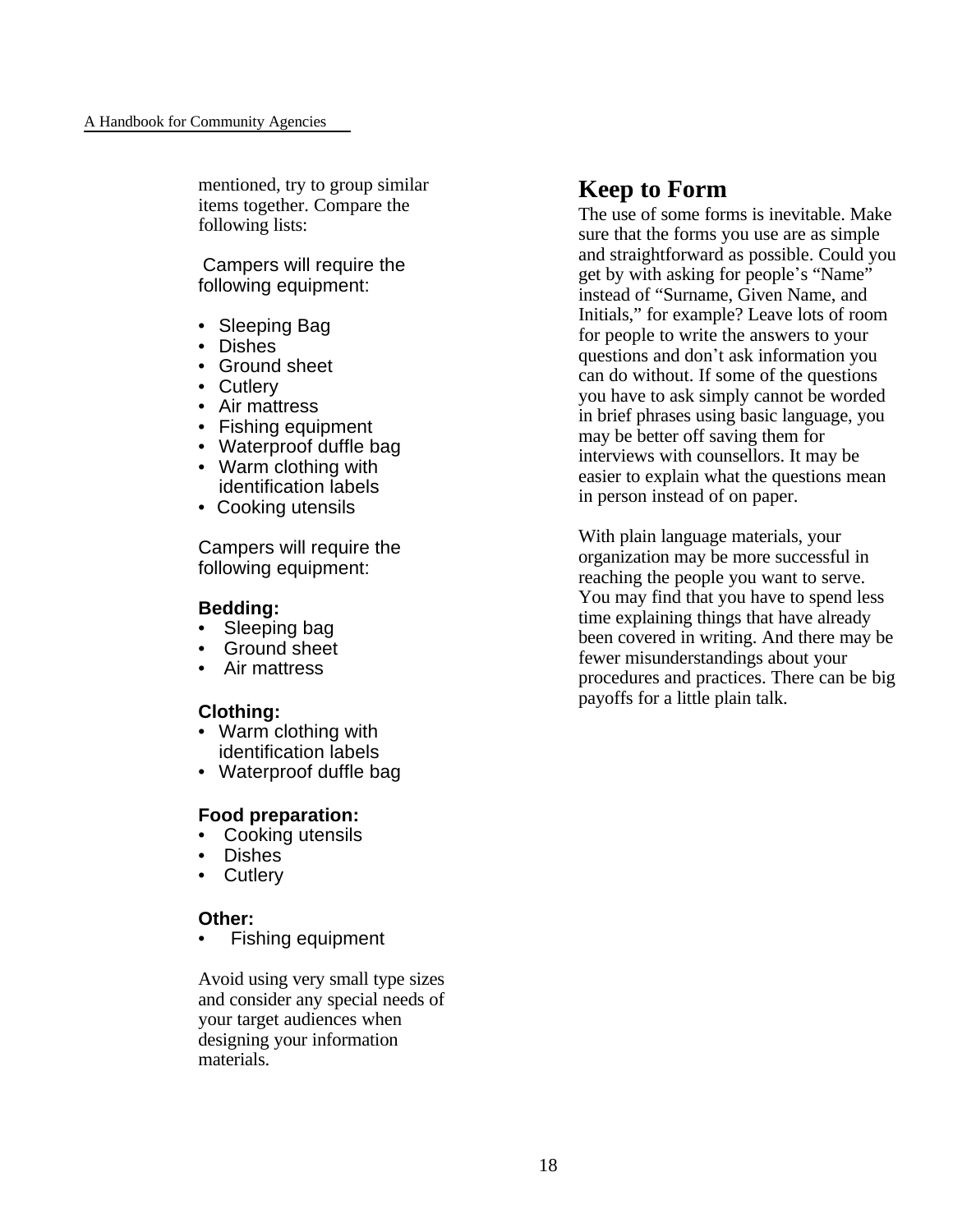mentioned, try to group similar items together. Compare the following lists:

Campers will require the following equipment:

- Sleeping Bag
- Dishes
- Ground sheet
- Cutlery
- Air mattress
- Fishing equipment
- Waterproof duffle bag
- Warm clothing with identification labels
- Cooking utensils

Campers will require the following equipment:

#### **Bedding:**

- Sleeping bag
- Ground sheet
- Air mattress

### **Clothing:**

- Warm clothing with identification labels
- Waterproof duffle bag

### **Food preparation:**

- Cooking utensils
- Dishes
- Cutlery

### **Other:**

Fishing equipment

Avoid using very small type sizes and consider any special needs of your target audiences when designing your information materials.

### **Keep to Form**

The use of some forms is inevitable. Make sure that the forms you use are as simple and straightforward as possible. Could you get by with asking for people's "Name" instead of "Surname, Given Name, and Initials," for example? Leave lots of room for people to write the answers to your questions and don't ask information you can do without. If some of the questions you have to ask simply cannot be worded in brief phrases using basic language, you may be better off saving them for interviews with counsellors. It may be easier to explain what the questions mean in person instead of on paper.

With plain language materials, your organization may be more successful in reaching the people you want to serve. You may find that you have to spend less time explaining things that have already been covered in writing. And there may be fewer misunderstandings about your procedures and practices. There can be big payoffs for a little plain talk.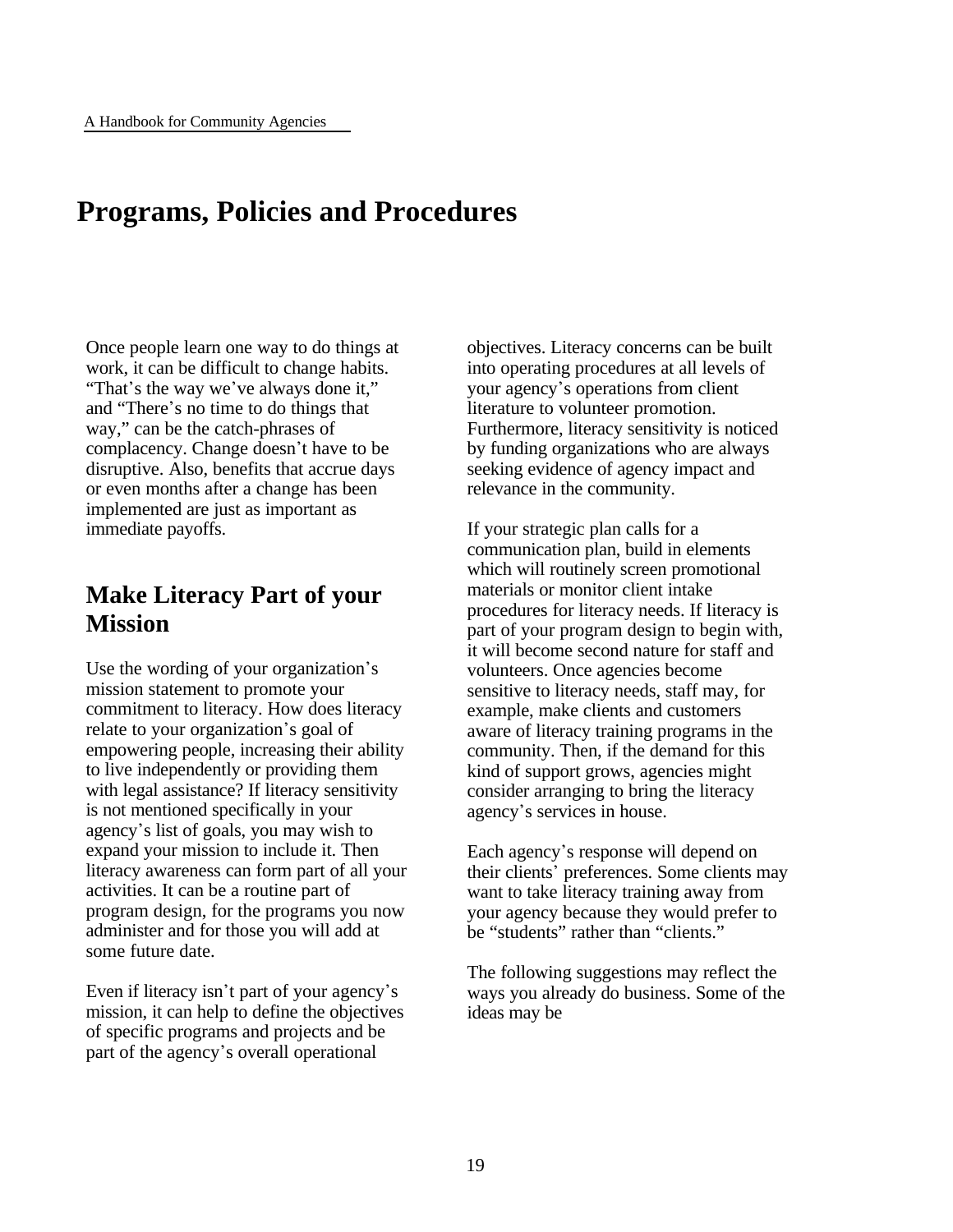### **Programs, Policies and Procedures**

Once people learn one way to do things at work, it can be difficult to change habits. "That's the way we've always done it," and "There's no time to do things that way," can be the catch-phrases of complacency. Change doesn't have to be disruptive. Also, benefits that accrue days or even months after a change has been implemented are just as important as immediate payoffs.

### **Make Literacy Part of your Mission**

Use the wording of your organization's mission statement to promote your commitment to literacy. How does literacy relate to your organization's goal of empowering people, increasing their ability to live independently or providing them with legal assistance? If literacy sensitivity is not mentioned specifically in your agency\*s list of goals, you may wish to expand your mission to include it. Then literacy awareness can form part of all your activities. It can be a routine part of program design, for the programs you now administer and for those you will add at some future date.

Even if literacy isn't part of your agency's mission, it can help to define the objectives of specific programs and projects and be part of the agency's overall operational

objectives. Literacy concerns can be built into operating procedures at all levels of your agency's operations from client literature to volunteer promotion. Furthermore, literacy sensitivity is noticed by funding organizations who are always seeking evidence of agency impact and relevance in the community.

If your strategic plan calls for a communication plan, build in elements which will routinely screen promotional materials or monitor client intake procedures for literacy needs. If literacy is part of your program design to begin with, it will become second nature for staff and volunteers. Once agencies become sensitive to literacy needs, staff may, for example, make clients and customers aware of literacy training programs in the community. Then, if the demand for this kind of support grows, agencies might consider arranging to bring the literacy agency's services in house.

Each agency's response will depend on their clients' preferences. Some clients may want to take literacy training away from your agency because they would prefer to be "students" rather than "clients."

The following suggestions may reflect the ways you already do business. Some of the ideas may be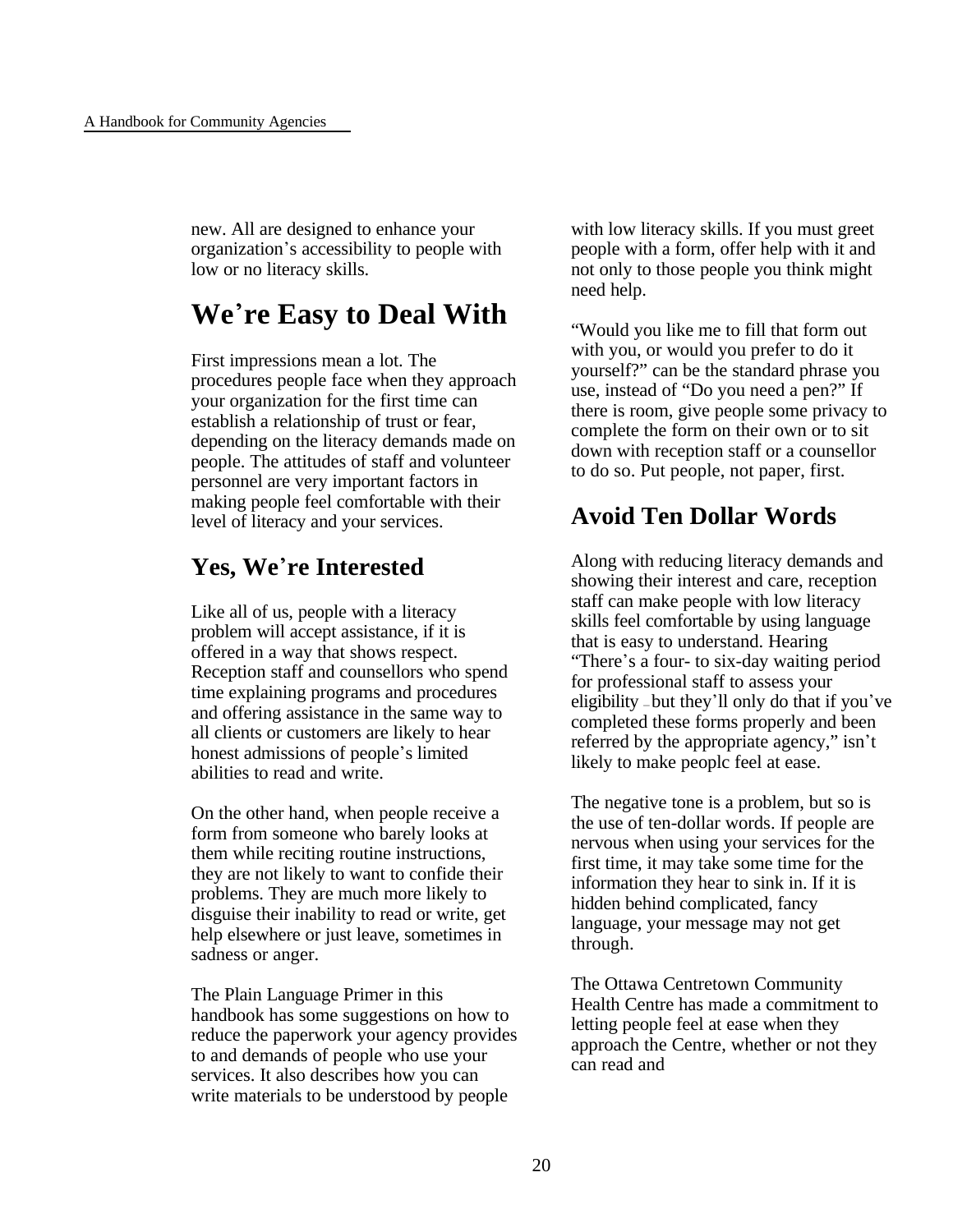new. All are designed to enhance your organization\*s accessibility to people with low or no literacy skills.

# **We**\***re Easy to Deal With**

First impressions mean a lot. The procedures people face when they approach your organization for the first time can establish a relationship of trust or fear, depending on the literacy demands made on people. The attitudes of staff and volunteer personnel are very important factors in making people feel comfortable with their level of literacy and your services.

### **Yes, We**\***re Interested**

Like all of us, people with a literacy problem will accept assistance, if it is offered in a way that shows respect. Reception staff and counsellors who spend time explaining programs and procedures and offering assistance in the same way to all clients or customers are likely to hear honest admissions of people's limited abilities to read and write.

On the other hand, when people receive a form from someone who barely looks at them while reciting routine instructions, they are not likely to want to confide their problems. They are much more likely to disguise their inability to read or write, get help elsewhere or just leave, sometimes in sadness or anger.

The Plain Language Primer in this handbook has some suggestions on how to reduce the paperwork your agency provides to and demands of people who use your services. It also describes how you can write materials to be understood by people

with low literacy skills. If you must greet people with a form, offer help with it and not only to those people you think might need help.

"Would you like me to fill that form out with you, or would you prefer to do it yourself?" can be the standard phrase you use, instead of "Do you need a pen?" If there is room, give people some privacy to complete the form on their own or to sit down with reception staff or a counsellor to do so. Put people, not paper, first.

# **Avoid Ten Dollar Words**

Along with reducing literacy demands and showing their interest and care, reception staff can make people with low literacy skills feel comfortable by using language that is easy to understand. Hearing "There's a four- to six-day waiting period" for professional staff to assess your eligibility — but they\*ll only do that if you\*ve completed these forms properly and been referred by the appropriate agency," isn't likely to make peoplc feel at ease.

The negative tone is a problem, but so is the use of ten-dollar words. If people are nervous when using your services for the first time, it may take some time for the information they hear to sink in. If it is hidden behind complicated, fancy language, your message may not get through.

The Ottawa Centretown Community Health Centre has made a commitment to letting people feel at ease when they approach the Centre, whether or not they can read and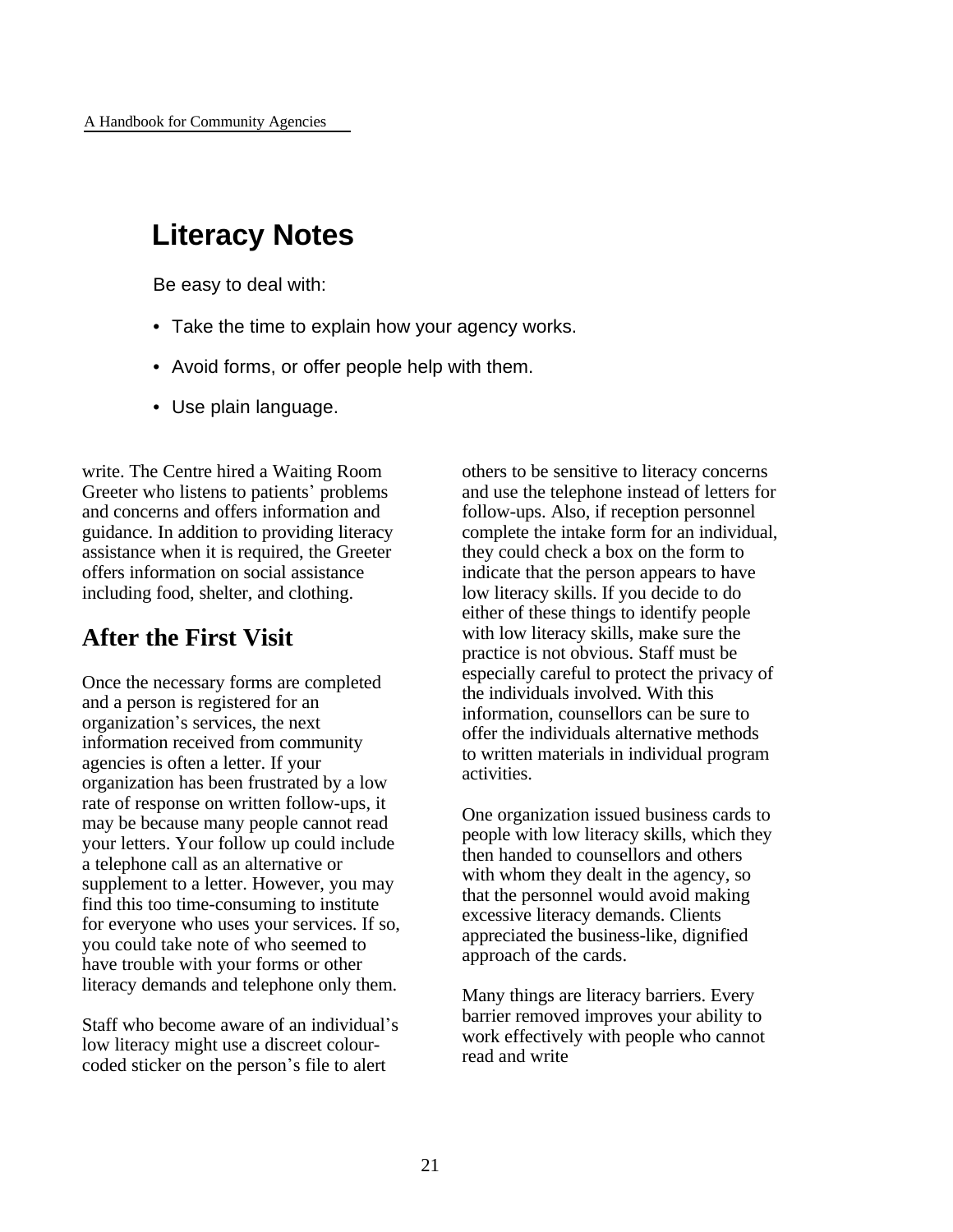# **Literacy Notes**

Be easy to deal with:

- Take the time to explain how your agency works.
- Avoid forms, or offer people help with them.
- Use plain language.

write. The Centre hired a Waiting Room Greeter who listens to patients' problems and concerns and offers information and guidance. In addition to providing literacy assistance when it is required, the Greeter offers information on social assistance including food, shelter, and clothing.

### **After the First Visit**

Once the necessary forms are completed and a person is registered for an organization\*s services, the next information received from community agencies is often a letter. If your organization has been frustrated by a low rate of response on written follow-ups, it may be because many people cannot read your letters. Your follow up could include a telephone call as an alternative or supplement to a letter. However, you may find this too time-consuming to institute for everyone who uses your services. If so, you could take note of who seemed to have trouble with your forms or other literacy demands and telephone only them.

Staff who become aware of an individual's low literacy might use a discreet colourcoded sticker on the person's file to alert

others to be sensitive to literacy concerns and use the telephone instead of letters for follow-ups. Also, if reception personnel complete the intake form for an individual, they could check a box on the form to indicate that the person appears to have low literacy skills. If you decide to do either of these things to identify people with low literacy skills, make sure the practice is not obvious. Staff must be especially careful to protect the privacy of the individuals involved. With this information, counsellors can be sure to offer the individuals alternative methods to written materials in individual program activities.

One organization issued business cards to people with low literacy skills, which they then handed to counsellors and others with whom they dealt in the agency, so that the personnel would avoid making excessive literacy demands. Clients appreciated the business-like, dignified approach of the cards.

Many things are literacy barriers. Every barrier removed improves your ability to work effectively with people who cannot read and write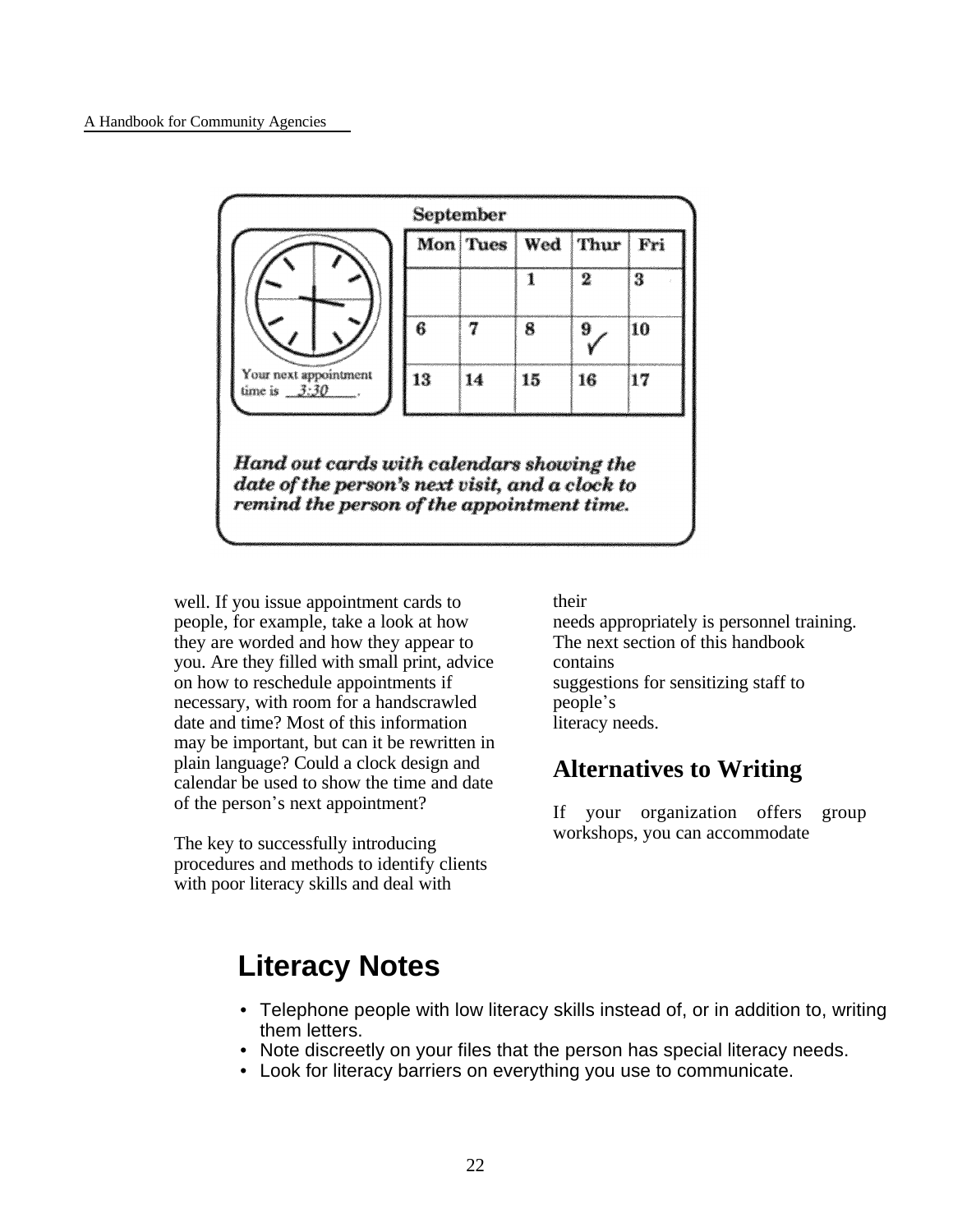

date of the person's next visit, and a clock to remind the person of the appointment time.

well. If you issue appointment cards to people, for example, take a look at how they are worded and how they appear to you. Are they filled with small print, advice on how to reschedule appointments if necessary, with room for a handscrawled date and time? Most of this information may be important, but can it be rewritten in plain language? Could a clock design and calendar be used to show the time and date of the person's next appointment?

The key to successfully introducing procedures and methods to identify clients with poor literacy skills and deal with

their

needs appropriately is personnel training. The next section of this handbook contains suggestions for sensitizing staff to people\*s literacy needs.

### **Alternatives to Writing**

If your organization offers group workshops, you can accommodate

# **Literacy Notes**

- Telephone people with low literacy skills instead of, or in addition to, writing them letters.
- Note discreetly on your files that the person has special literacy needs.
- Look for literacy barriers on everything you use to communicate.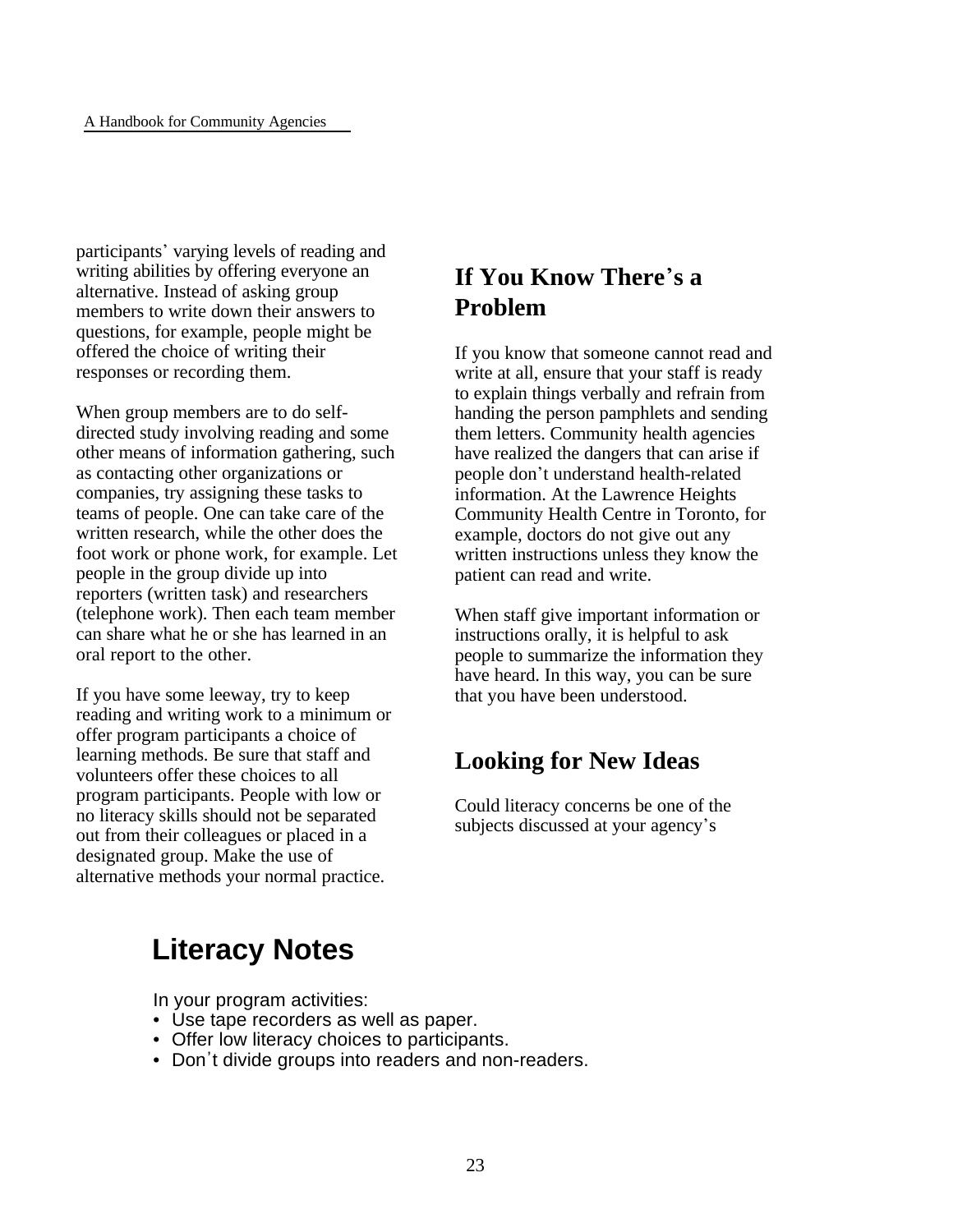participants' varying levels of reading and writing abilities by offering everyone an alternative. Instead of asking group members to write down their answers to questions, for example, people might be offered the choice of writing their responses or recording them.

When group members are to do selfdirected study involving reading and some other means of information gathering, such as contacting other organizations or companies, try assigning these tasks to teams of people. One can take care of the written research, while the other does the foot work or phone work, for example. Let people in the group divide up into reporters (written task) and researchers (telephone work). Then each team member can share what he or she has learned in an oral report to the other.

If you have some leeway, try to keep reading and writing work to a minimum or offer program participants a choice of learning methods. Be sure that staff and volunteers offer these choices to all program participants. People with low or no literacy skills should not be separated out from their colleagues or placed in a designated group. Make the use of alternative methods your normal practice.

# **If You Know There**\***s a Problem**

If you know that someone cannot read and write at all, ensure that your staff is ready to explain things verbally and refrain from handing the person pamphlets and sending them letters. Community health agencies have realized the dangers that can arise if people don\*t understand health-related information. At the Lawrence Heights Community Health Centre in Toronto, for example, doctors do not give out any written instructions unless they know the patient can read and write.

When staff give important information or instructions orally, it is helpful to ask people to summarize the information they have heard. In this way, you can be sure that you have been understood.

# **Looking for New Ideas**

Could literacy concerns be one of the subjects discussed at your agency's

# **Literacy Notes**

In your program activities:

- Use tape recorders as well as paper.
- Offer low literacy choices to participants.
- Don't divide groups into readers and non-readers.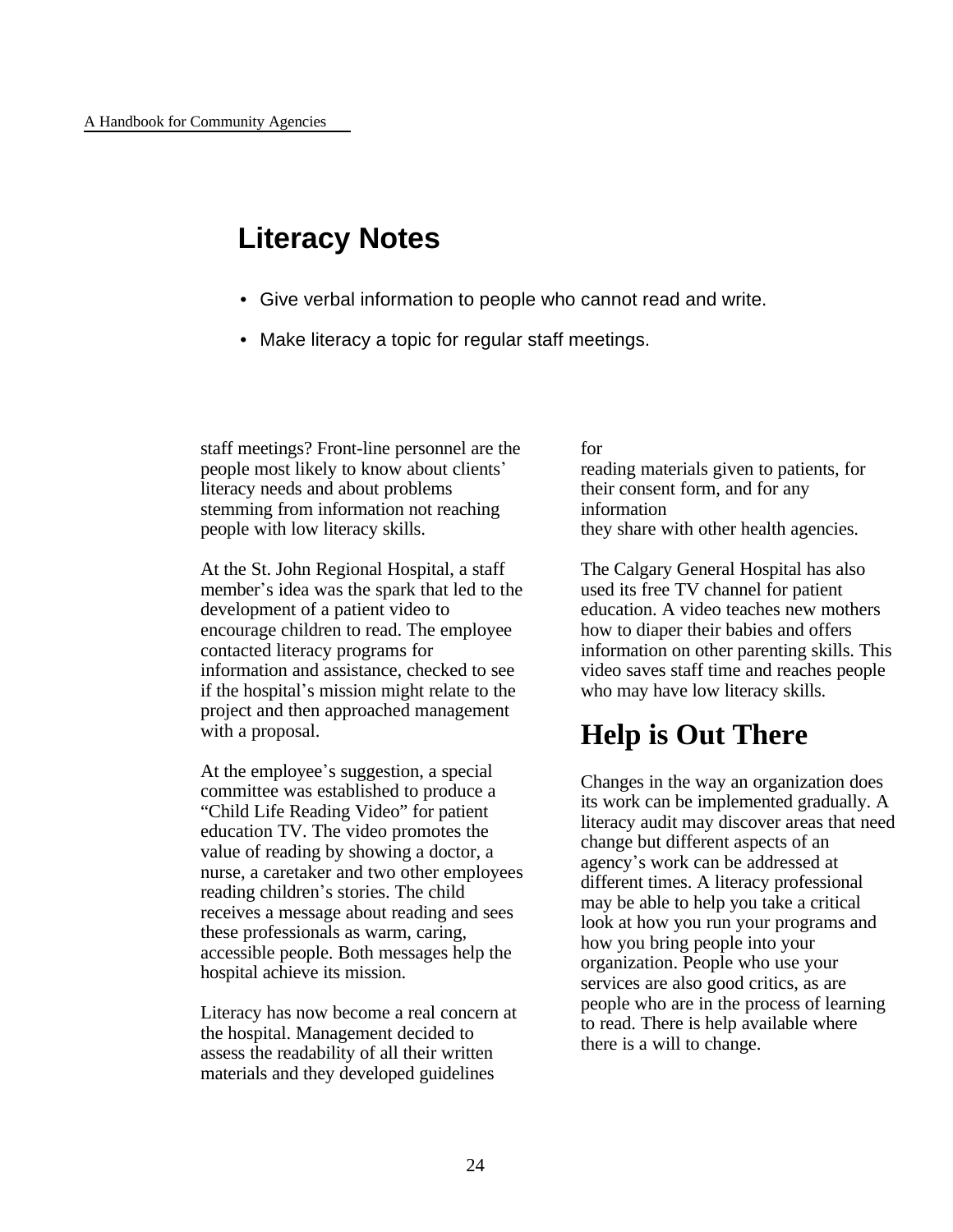# **Literacy Notes**

- Give verbal information to people who cannot read and write.
- Make literacy a topic for regular staff meetings.

staff meetings? Front-line personnel are the people most likely to know about clients\* literacy needs and about problems stemming from information not reaching people with low literacy skills.

At the St. John Regional Hospital, a staff member's idea was the spark that led to the development of a patient video to encourage children to read. The employee contacted literacy programs for information and assistance, checked to see if the hospital\*s mission might relate to the project and then approached management with a proposal.

At the employee's suggestion, a special committee was established to produce a "Child Life Reading Video" for patient education TV. The video promotes the value of reading by showing a doctor, a nurse, a caretaker and two other employees reading children's stories. The child receives a message about reading and sees these professionals as warm, caring, accessible people. Both messages help the hospital achieve its mission.

Literacy has now become a real concern at the hospital. Management decided to assess the readability of all their written materials and they developed guidelines

#### for

reading materials given to patients, for their consent form, and for any information they share with other health agencies.

The Calgary General Hospital has also used its free TV channel for patient education. A video teaches new mothers how to diaper their babies and offers information on other parenting skills. This video saves staff time and reaches people who may have low literacy skills.

# **Help is Out There**

Changes in the way an organization does its work can be implemented gradually. A literacy audit may discover areas that need change but different aspects of an agency's work can be addressed at different times. A literacy professional may be able to help you take a critical look at how you run your programs and how you bring people into your organization. People who use your services are also good critics, as are people who are in the process of learning to read. There is help available where there is a will to change.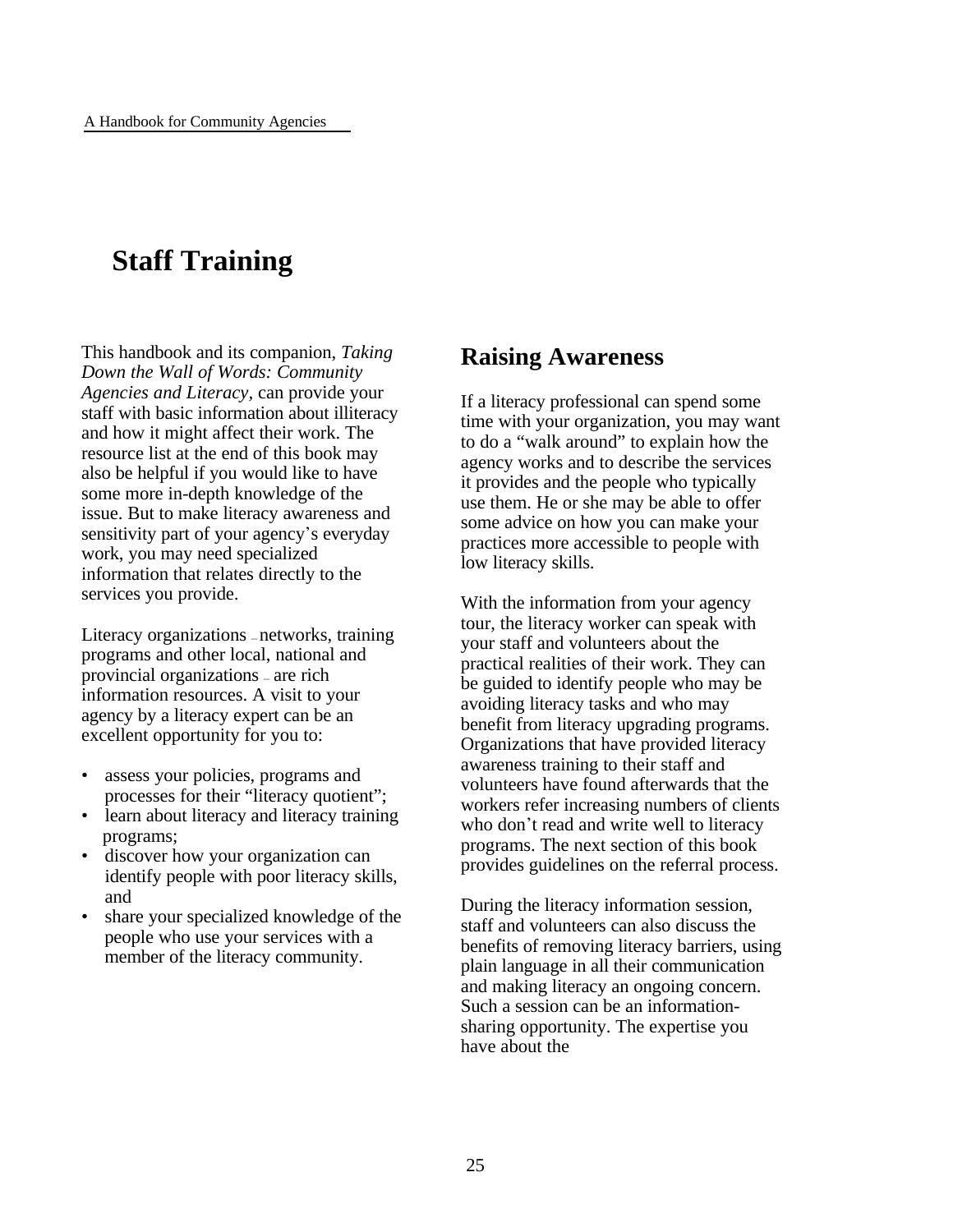# **Staff Training**

This handbook and its companion, *Taking Down the Wall of Words: Community Agencies and Literacy,* can provide your staff with basic information about illiteracy and how it might affect their work. The resource list at the end of this book may also be helpful if you would like to have some more in-depth knowledge of the issue. But to make literacy awareness and sensitivity part of your agency's everyday work, you may need specialized information that relates directly to the services you provide.

Literacy organizations — networks, training programs and other local, national and provincial organizations — are rich information resources. A visit to your agency by a literacy expert can be an excellent opportunity for you to:

- assess your policies, programs and processes for their "literacy quotient";
- learn about literacy and literacy training programs;
- discover how your organization can identify people with poor literacy skills, and
- share your specialized knowledge of the people who use your services with a member of the literacy community.

### **Raising Awareness**

If a literacy professional can spend some time with your organization, you may want to do a "walk around" to explain how the agency works and to describe the services it provides and the people who typically use them. He or she may be able to offer some advice on how you can make your practices more accessible to people with low literacy skills.

With the information from your agency tour, the literacy worker can speak with your staff and volunteers about the practical realities of their work. They can be guided to identify people who may be avoiding literacy tasks and who may benefit from literacy upgrading programs. Organizations that have provided literacy awareness training to their staff and volunteers have found afterwards that the workers refer increasing numbers of clients who don't read and write well to literacy programs. The next section of this book provides guidelines on the referral process.

During the literacy information session, staff and volunteers can also discuss the benefits of removing literacy barriers, using plain language in all their communication and making literacy an ongoing concern. Such a session can be an informationsharing opportunity. The expertise you have about the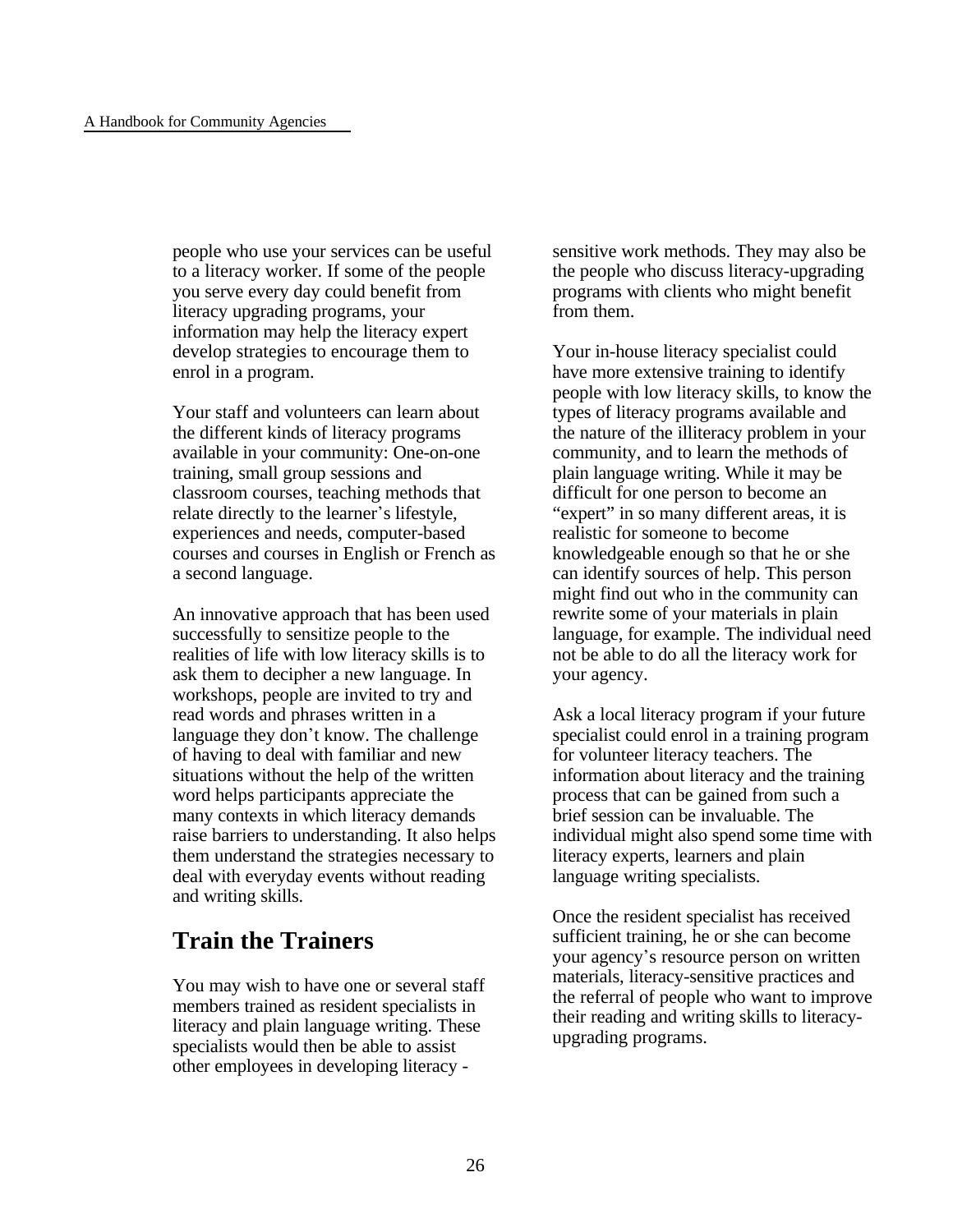people who use your services can be useful to a literacy worker. If some of the people you serve every day could benefit from literacy upgrading programs, your information may help the literacy expert develop strategies to encourage them to enrol in a program.

Your staff and volunteers can learn about the different kinds of literacy programs available in your community: One-on-one training, small group sessions and classroom courses, teaching methods that relate directly to the learner's lifestyle, experiences and needs, computer-based courses and courses in English or French as a second language.

An innovative approach that has been used successfully to sensitize people to the realities of life with low literacy skills is to ask them to decipher a new language. In workshops, people are invited to try and read words and phrases written in a language they don't know. The challenge of having to deal with familiar and new situations without the help of the written word helps participants appreciate the many contexts in which literacy demands raise barriers to understanding. It also helps them understand the strategies necessary to deal with everyday events without reading and writing skills.

### **Train the Trainers**

You may wish to have one or several staff members trained as resident specialists in literacy and plain language writing. These specialists would then be able to assist other employees in developing literacy -

sensitive work methods. They may also be the people who discuss literacy-upgrading programs with clients who might benefit from them.

Your in-house literacy specialist could have more extensive training to identify people with low literacy skills, to know the types of literacy programs available and the nature of the illiteracy problem in your community, and to learn the methods of plain language writing. While it may be difficult for one person to become an "expert" in so many different areas, it is realistic for someone to become knowledgeable enough so that he or she can identify sources of help. This person might find out who in the community can rewrite some of your materials in plain language, for example. The individual need not be able to do all the literacy work for your agency.

Ask a local literacy program if your future specialist could enrol in a training program for volunteer literacy teachers. The information about literacy and the training process that can be gained from such a brief session can be invaluable. The individual might also spend some time with literacy experts, learners and plain language writing specialists.

Once the resident specialist has received sufficient training, he or she can become your agency's resource person on written materials, literacy-sensitive practices and the referral of people who want to improve their reading and writing skills to literacyupgrading programs.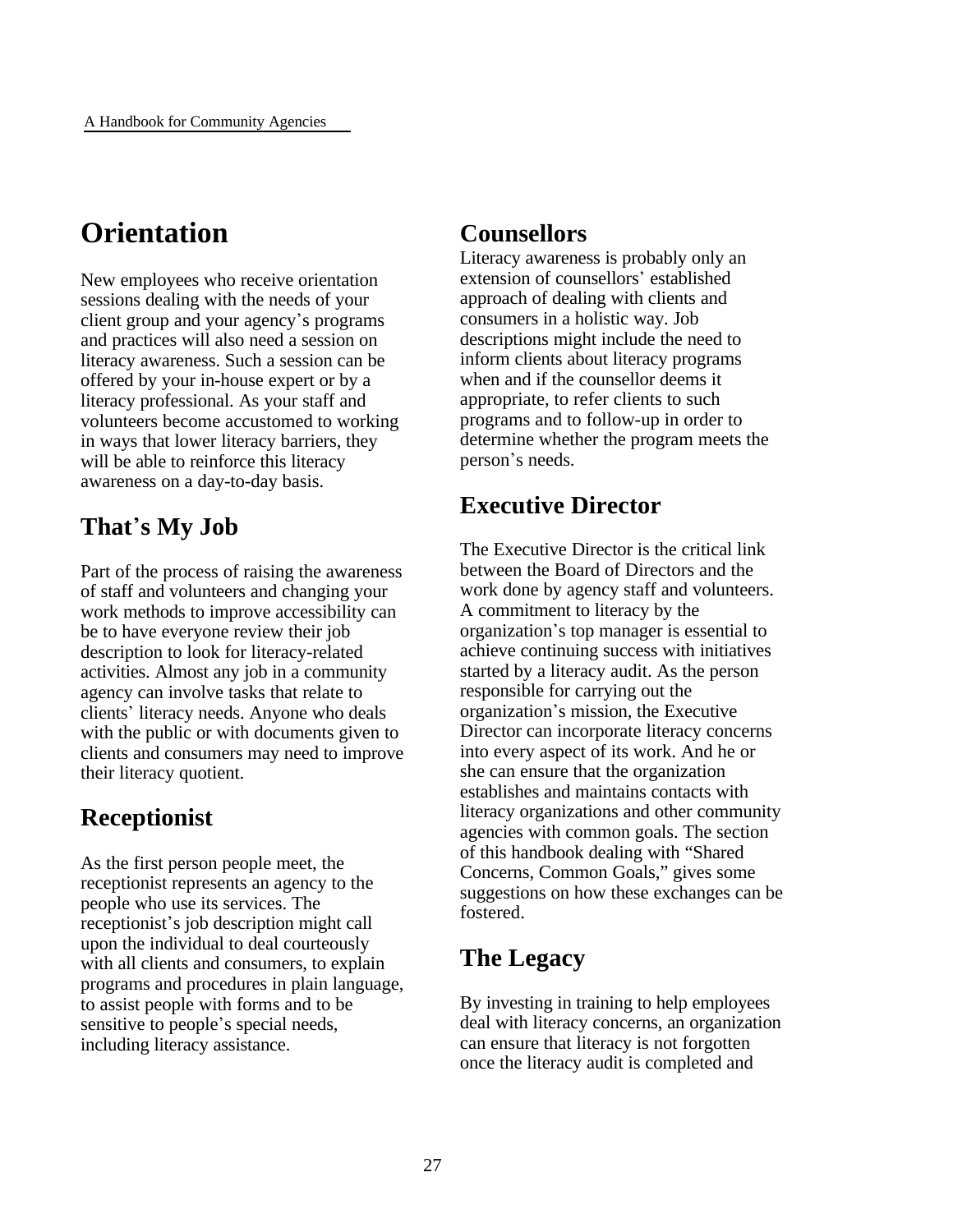# **Orientation**

New employees who receive orientation sessions dealing with the needs of your client group and your agency's programs and practices will also need a session on literacy awareness. Such a session can be offered by your in-house expert or by a literacy professional. As your staff and volunteers become accustomed to working in ways that lower literacy barriers, they will be able to reinforce this literacy awareness on a day-to-day basis.

# **That**\***s My Job**

Part of the process of raising the awareness of staff and volunteers and changing your work methods to improve accessibility can be to have everyone review their job description to look for literacy-related activities. Almost any job in a community agency can involve tasks that relate to clients' literacy needs. Anyone who deals with the public or with documents given to clients and consumers may need to improve their literacy quotient.

# **Receptionist**

As the first person people meet, the receptionist represents an agency to the people who use its services. The receptionist's job description might call upon the individual to deal courteously with all clients and consumers, to explain programs and procedures in plain language, to assist people with forms and to be sensitive to people's special needs, including literacy assistance.

### **Counsellors**

Literacy awareness is probably only an extension of counsellors' established approach of dealing with clients and consumers in a holistic way. Job descriptions might include the need to inform clients about literacy programs when and if the counsellor deems it appropriate, to refer clients to such programs and to follow-up in order to determine whether the program meets the person's needs.

### **Executive Director**

The Executive Director is the critical link between the Board of Directors and the work done by agency staff and volunteers. A commitment to literacy by the organization\*s top manager is essential to achieve continuing success with initiatives started by a literacy audit. As the person responsible for carrying out the organization's mission, the Executive Director can incorporate literacy concerns into every aspect of its work. And he or she can ensure that the organization establishes and maintains contacts with literacy organizations and other community agencies with common goals. The section of this handbook dealing with "Shared Concerns, Common Goals," gives some suggestions on how these exchanges can be fostered.

### **The Legacy**

By investing in training to help employees deal with literacy concerns, an organization can ensure that literacy is not forgotten once the literacy audit is completed and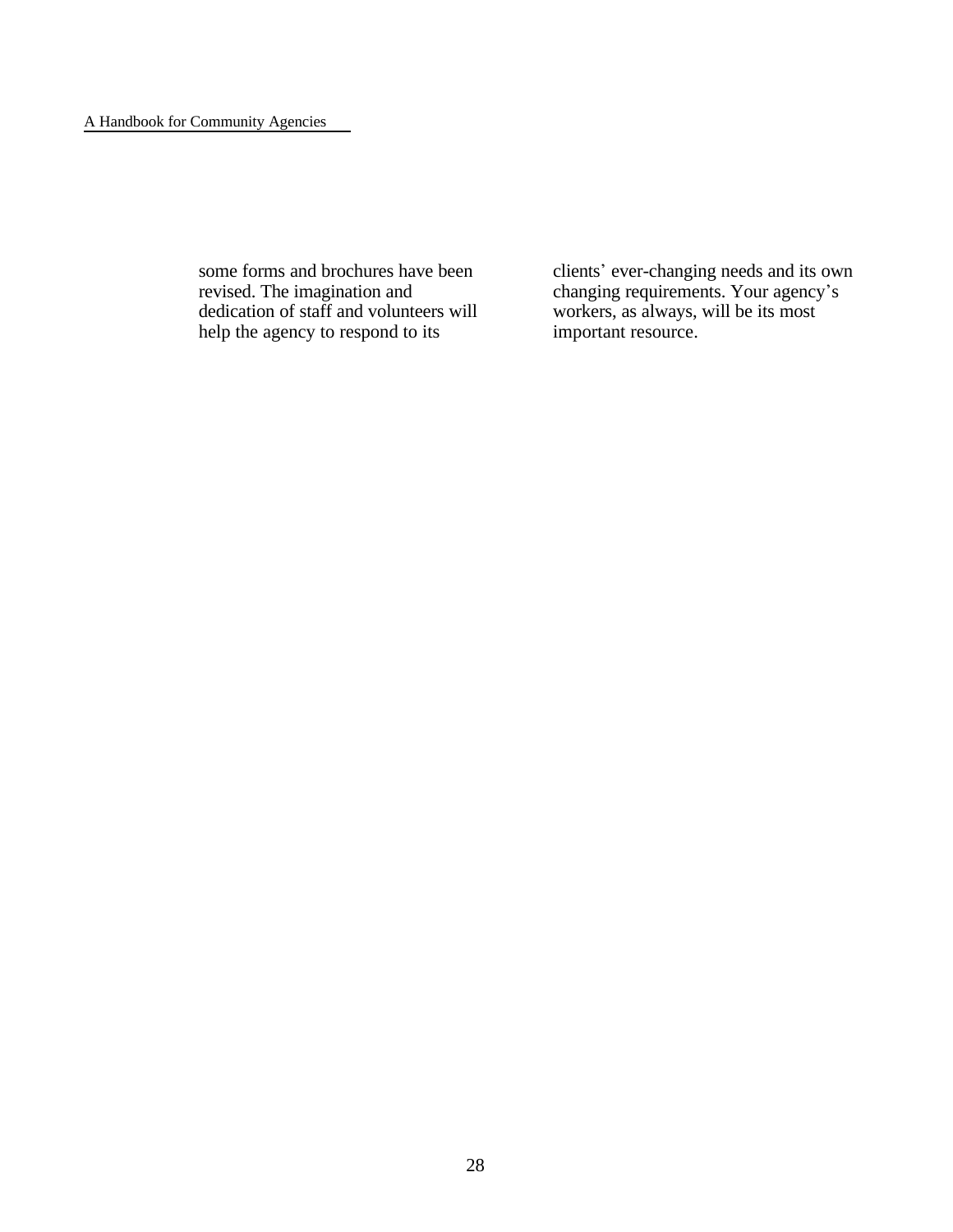#### A Handbook for Community Agencies

some forms and brochures have been revised. The imagination and dedication of staff and volunteers will help the agency to respond to its

clients' ever-changing needs and its own changing requirements. Your agency's workers, as always, will be its most important resource.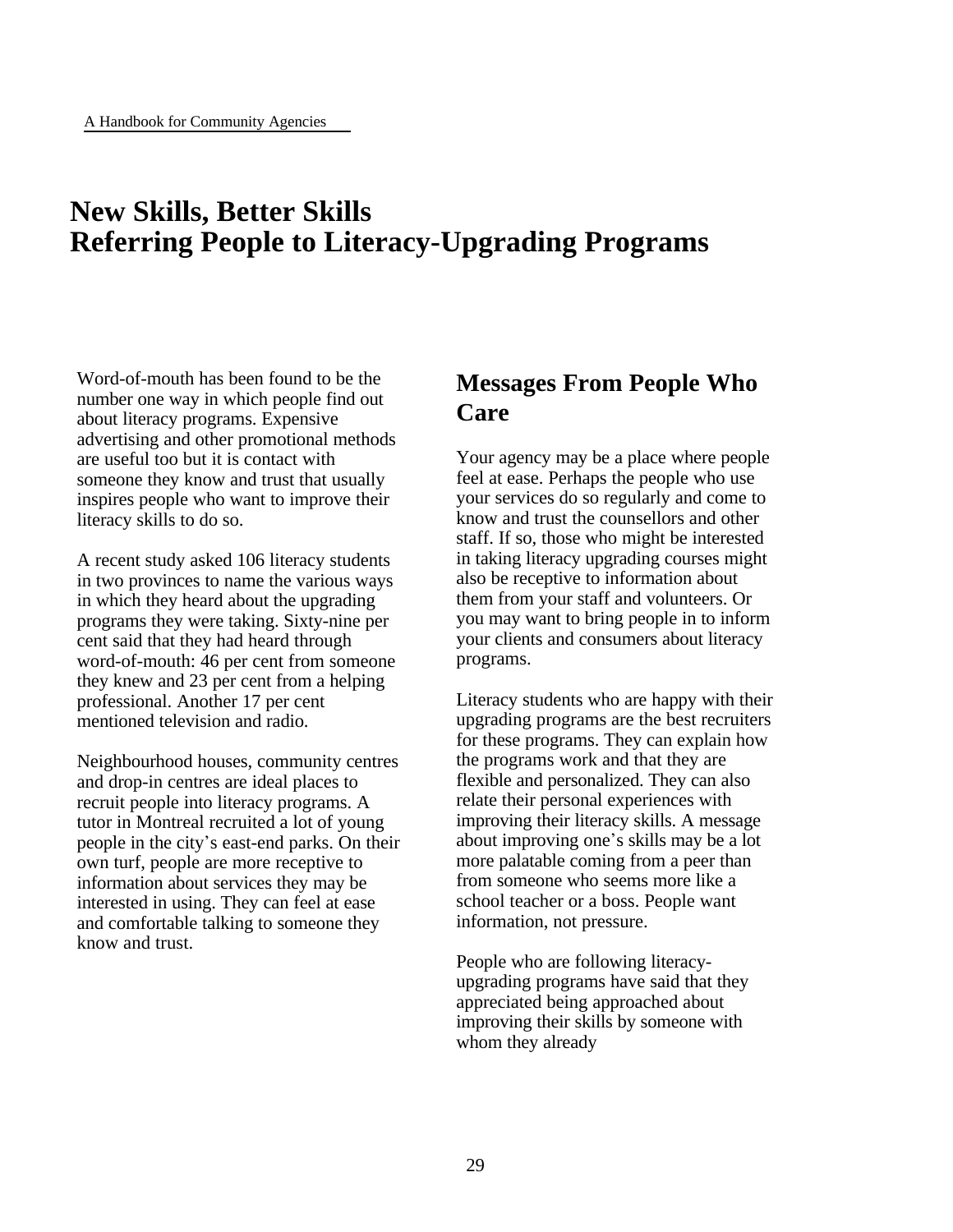# **New Skills, Better Skills Referring People to Literacy-Upgrading Programs**

Word-of-mouth has been found to be the number one way in which people find out about literacy programs. Expensive advertising and other promotional methods are useful too but it is contact with someone they know and trust that usually inspires people who want to improve their literacy skills to do so.

A recent study asked 106 literacy students in two provinces to name the various ways in which they heard about the upgrading programs they were taking. Sixty-nine per cent said that they had heard through word-of-mouth: 46 per cent from someone they knew and 23 per cent from a helping professional. Another 17 per cent mentioned television and radio.

Neighbourhood houses, community centres and drop-in centres are ideal places to recruit people into literacy programs. A tutor in Montreal recruited a lot of young people in the city's east-end parks. On their own turf, people are more receptive to information about services they may be interested in using. They can feel at ease and comfortable talking to someone they know and trust.

### **Messages From People Who Care**

Your agency may be a place where people feel at ease. Perhaps the people who use your services do so regularly and come to know and trust the counsellors and other staff. If so, those who might be interested in taking literacy upgrading courses might also be receptive to information about them from your staff and volunteers. Or you may want to bring people in to inform your clients and consumers about literacy programs.

Literacy students who are happy with their upgrading programs are the best recruiters for these programs. They can explain how the programs work and that they are flexible and personalized. They can also relate their personal experiences with improving their literacy skills. A message about improving one's skills may be a lot more palatable coming from a peer than from someone who seems more like a school teacher or a boss. People want information, not pressure.

People who are following literacyupgrading programs have said that they appreciated being approached about improving their skills by someone with whom they already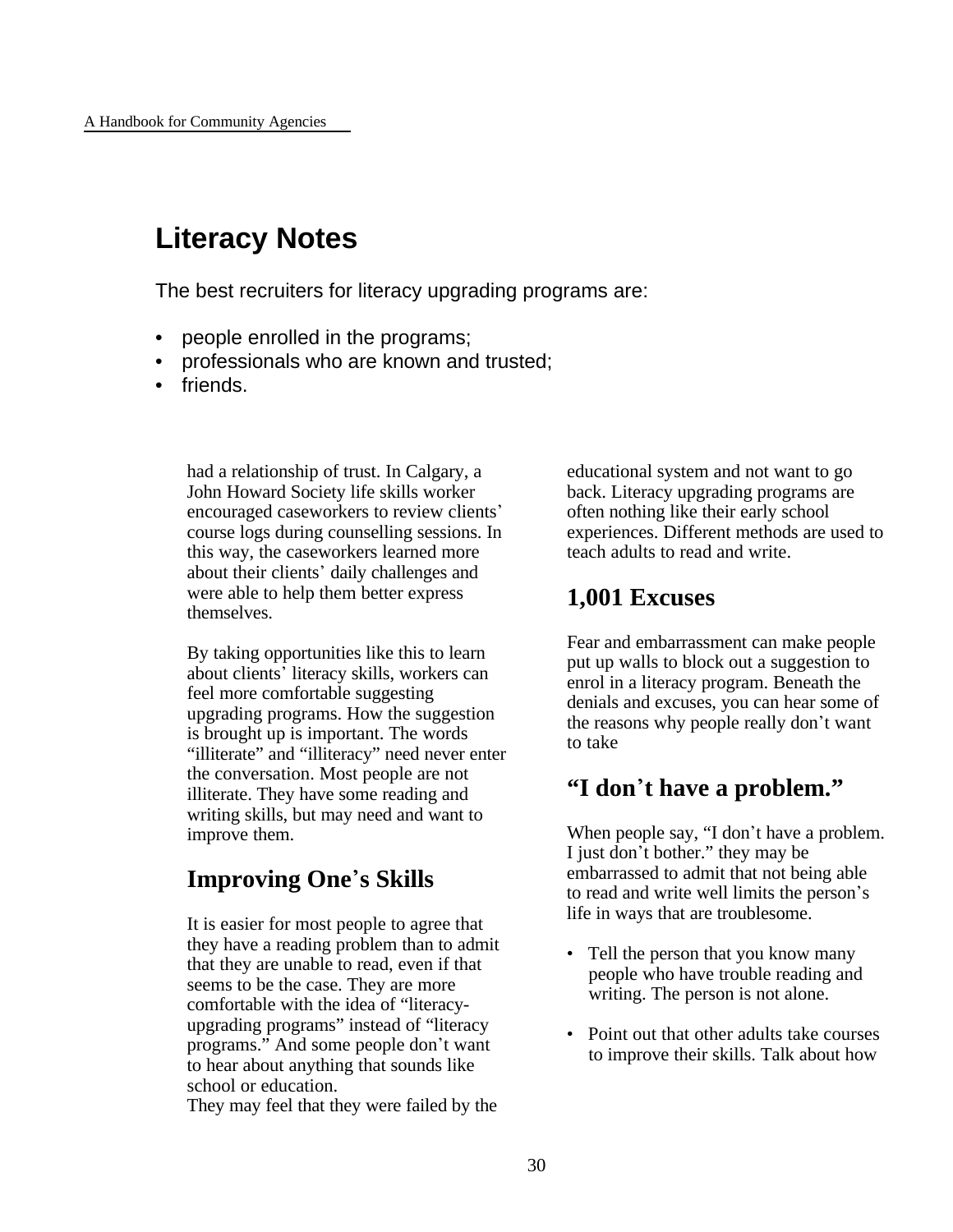# **Literacy Notes**

The best recruiters for literacy upgrading programs are:

- people enrolled in the programs;
- professionals who are known and trusted;
- friends.

had a relationship of trust. In Calgary, a John Howard Society life skills worker encouraged caseworkers to review clients' course logs during counselling sessions. In this way, the caseworkers learned more about their clients' daily challenges and were able to help them better express themselves.

By taking opportunities like this to learn about clients' literacy skills, workers can feel more comfortable suggesting upgrading programs. How the suggestion is brought up is important. The words "illiterate" and "illiteracy" need never enter the conversation. Most people are not illiterate. They have some reading and writing skills, but may need and want to improve them.

### **Improving One**\***s Skills**

It is easier for most people to agree that they have a reading problem than to admit that they are unable to read, even if that seems to be the case. They are more comfortable with the idea of "literacyupgrading programs" instead of "literacy programs." And some people don't want to hear about anything that sounds like school or education.

They may feel that they were failed by the

educational system and not want to go back. Literacy upgrading programs are often nothing like their early school experiences. Different methods are used to teach adults to read and write.

### **1,001 Excuses**

Fear and embarrassment can make people put up walls to block out a suggestion to enrol in a literacy program. Beneath the denials and excuses, you can hear some of the reasons why people really don't want to take

### **"I don**\***t have a problem."**

When people say, "I don't have a problem. I just don't bother." they may be embarrassed to admit that not being able to read and write well limits the person's life in ways that are troublesome.

- Tell the person that you know many people who have trouble reading and writing. The person is not alone.
- Point out that other adults take courses to improve their skills. Talk about how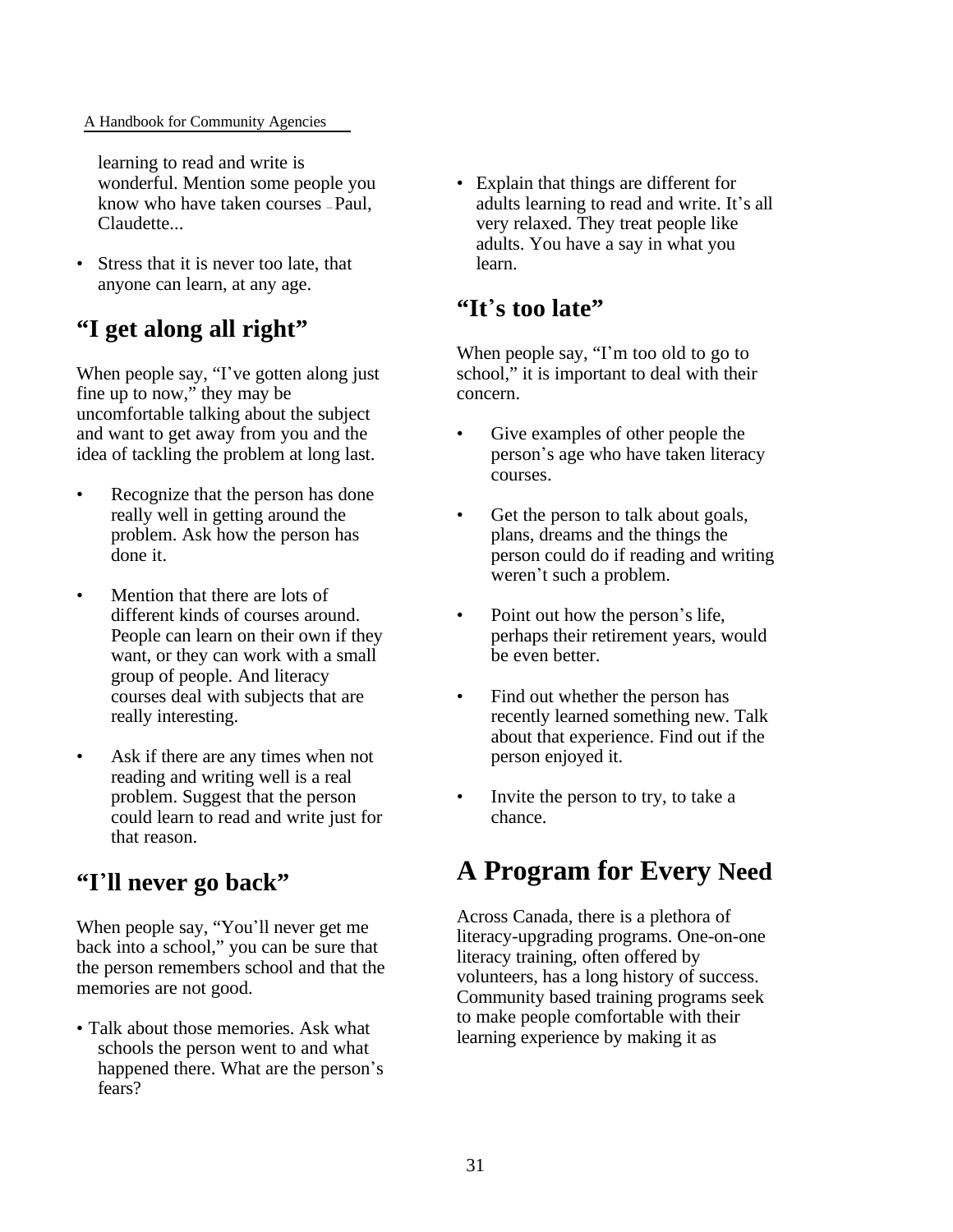#### A Handbook for Community Agencies

learning to read and write is wonderful. Mention some people you know who have taken courses — Paul, Claudette...

• Stress that it is never too late, that anyone can learn, at any age.

### **"I get along all right"**

When people say, "I've gotten along just fine up to now," they may be uncomfortable talking about the subject and want to get away from you and the idea of tackling the problem at long last.

- Recognize that the person has done really well in getting around the problem. Ask how the person has done it.
- Mention that there are lots of different kinds of courses around. People can learn on their own if they want, or they can work with a small group of people. And literacy courses deal with subjects that are really interesting.
- Ask if there are any times when not reading and writing well is a real problem. Suggest that the person could learn to read and write just for that reason.

### **"I**\***ll never go back"**

When people say, "You'll never get me back into a school," you can be sure that the person remembers school and that the memories are not good.

• Talk about those memories. Ask what schools the person went to and what happened there. What are the person's fears?

• Explain that things are different for adults learning to read and write. It's all very relaxed. They treat people like adults. You have a say in what you learn.

### **"It**\***s too late"**

When people say, "I'm too old to go to school," it is important to deal with their concern.

- Give examples of other people the person's age who have taken literacy courses.
- Get the person to talk about goals, plans, dreams and the things the person could do if reading and writing weren't such a problem.
- Point out how the person's life, perhaps their retirement years, would be even better.
- Find out whether the person has recently learned something new. Talk about that experience. Find out if the person enjoyed it.
- Invite the person to try, to take a chance.

# **A Program for Every Need**

Across Canada, there is a plethora of literacy-upgrading programs. One-on-one literacy training, often offered by volunteers, has a long history of success. Community based training programs seek to make people comfortable with their learning experience by making it as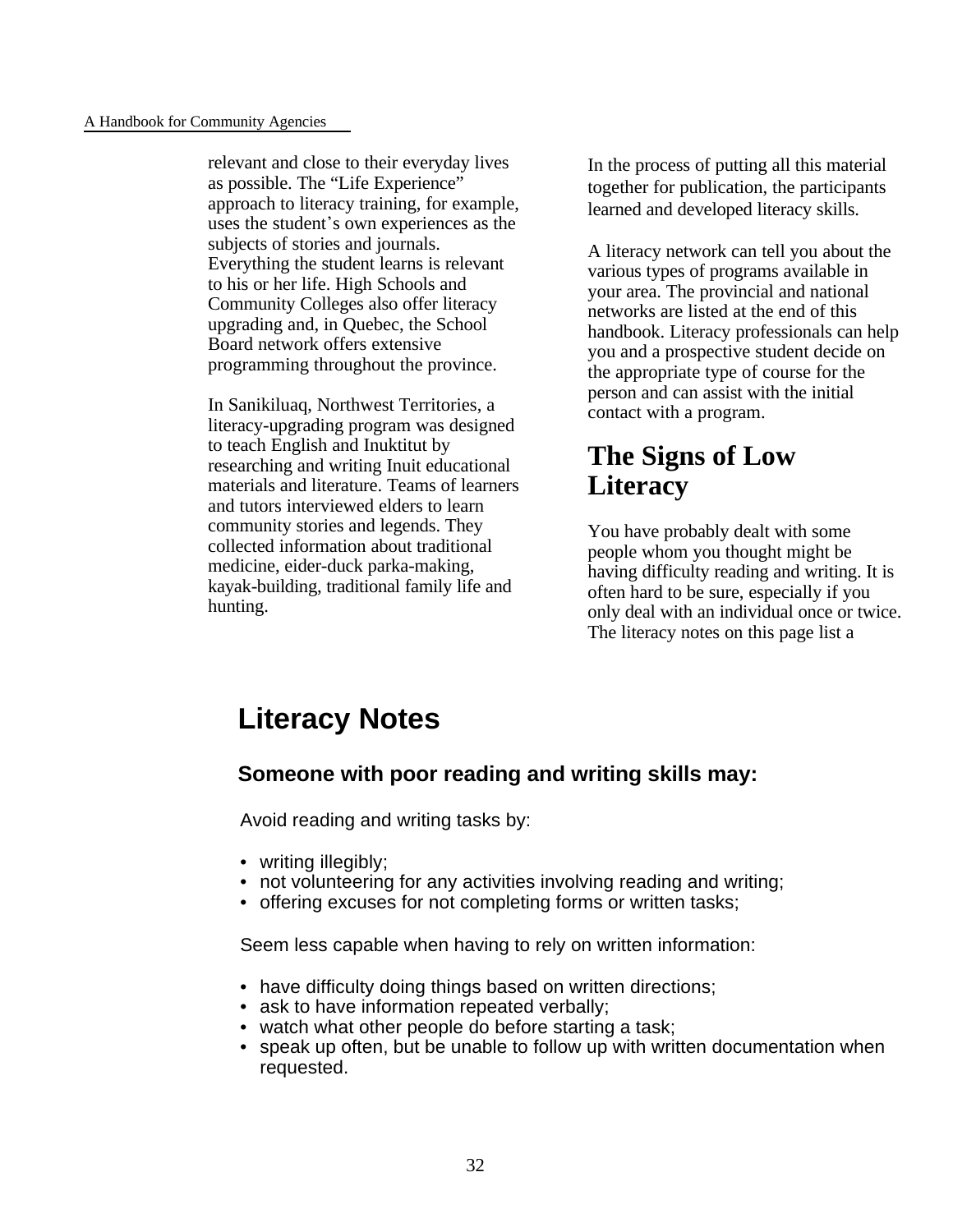#### A Handbook for Community Agencies

relevant and close to their everyday lives as possible. The "Life Experience" approach to literacy training, for example, uses the student's own experiences as the subjects of stories and journals. Everything the student learns is relevant to his or her life. High Schools and Community Colleges also offer literacy upgrading and, in Quebec, the School Board network offers extensive programming throughout the province.

In Sanikiluaq, Northwest Territories, a literacy-upgrading program was designed to teach English and Inuktitut by researching and writing Inuit educational materials and literature. Teams of learners and tutors interviewed elders to learn community stories and legends. They collected information about traditional medicine, eider-duck parka-making, kayak-building, traditional family life and hunting.

In the process of putting all this material together for publication, the participants learned and developed literacy skills.

A literacy network can tell you about the various types of programs available in your area. The provincial and national networks are listed at the end of this handbook. Literacy professionals can help you and a prospective student decide on the appropriate type of course for the person and can assist with the initial contact with a program.

# **The Signs of Low Literacy**

You have probably dealt with some people whom you thought might be having difficulty reading and writing. It is often hard to be sure, especially if you only deal with an individual once or twice. The literacy notes on this page list a

# **Literacy Notes**

### **Someone with poor reading and writing skills may:**

Avoid reading and writing tasks by:

- writing illegibly:
- not volunteering for any activities involving reading and writing;
- offering excuses for not completing forms or written tasks;

Seem less capable when having to rely on written information:

- have difficulty doing things based on written directions;
- ask to have information repeated verbally;
- watch what other people do before starting a task;
- speak up often, but be unable to follow up with written documentation when requested.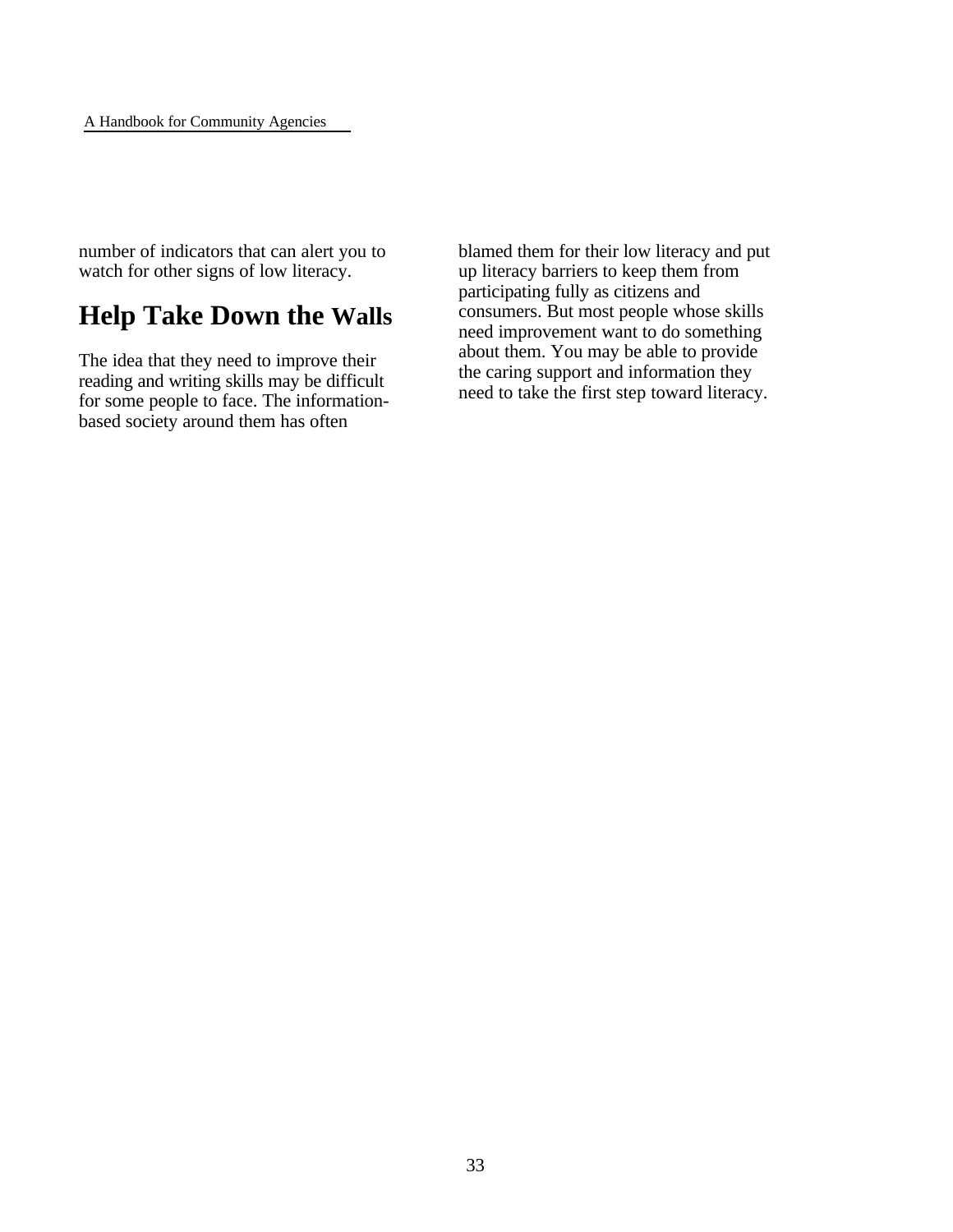number of indicators that can alert you to watch for other signs of low literacy.

# **Help Take Down the Walls**

The idea that they need to improve their reading and writing skills may be difficult for some people to face. The informationbased society around them has often

blamed them for their low literacy and put up literacy barriers to keep them from participating fully as citizens and consumers. But most people whose skills need improvement want to do something about them. You may be able to provide the caring support and information they need to take the first step toward literacy.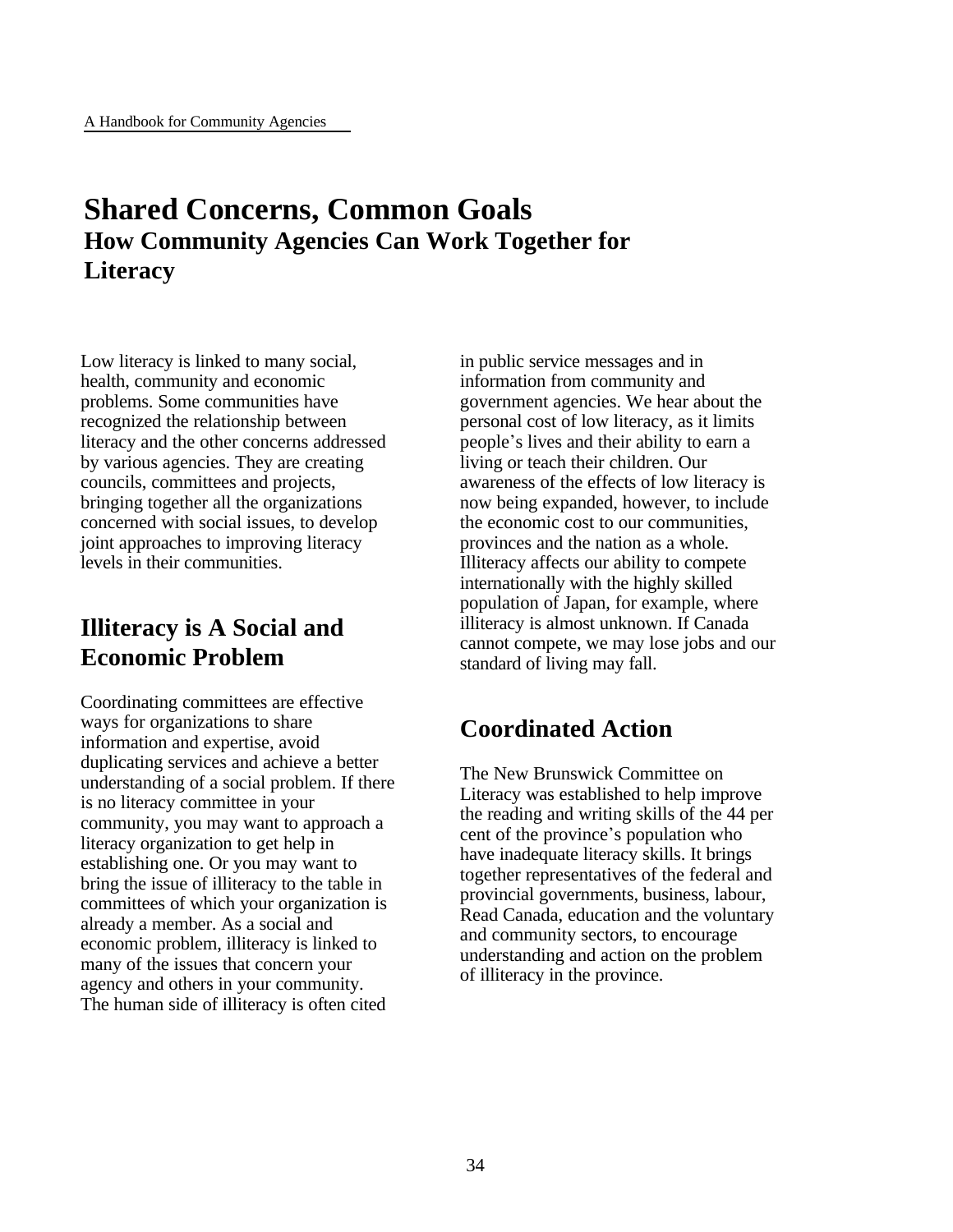# **Shared Concerns, Common Goals How Community Agencies Can Work Together for Literacy**

Low literacy is linked to many social, health, community and economic problems. Some communities have recognized the relationship between literacy and the other concerns addressed by various agencies. They are creating councils, committees and projects, bringing together all the organizations concerned with social issues, to develop joint approaches to improving literacy levels in their communities.

# **Illiteracy is A Social and Economic Problem**

Coordinating committees are effective ways for organizations to share information and expertise, avoid duplicating services and achieve a better understanding of a social problem. If there is no literacy committee in your community, you may want to approach a literacy organization to get help in establishing one. Or you may want to bring the issue of illiteracy to the table in committees of which your organization is already a member. As a social and economic problem, illiteracy is linked to many of the issues that concern your agency and others in your community. The human side of illiteracy is often cited

in public service messages and in information from community and government agencies. We hear about the personal cost of low literacy, as it limits people\*s lives and their ability to earn a living or teach their children. Our awareness of the effects of low literacy is now being expanded, however, to include the economic cost to our communities, provinces and the nation as a whole. Illiteracy affects our ability to compete internationally with the highly skilled population of Japan, for example, where illiteracy is almost unknown. If Canada cannot compete, we may lose jobs and our standard of living may fall.

# **Coordinated Action**

The New Brunswick Committee on Literacy was established to help improve the reading and writing skills of the 44 per cent of the province's population who have inadequate literacy skills. It brings together representatives of the federal and provincial governments, business, labour, Read Canada, education and the voluntary and community sectors, to encourage understanding and action on the problem of illiteracy in the province.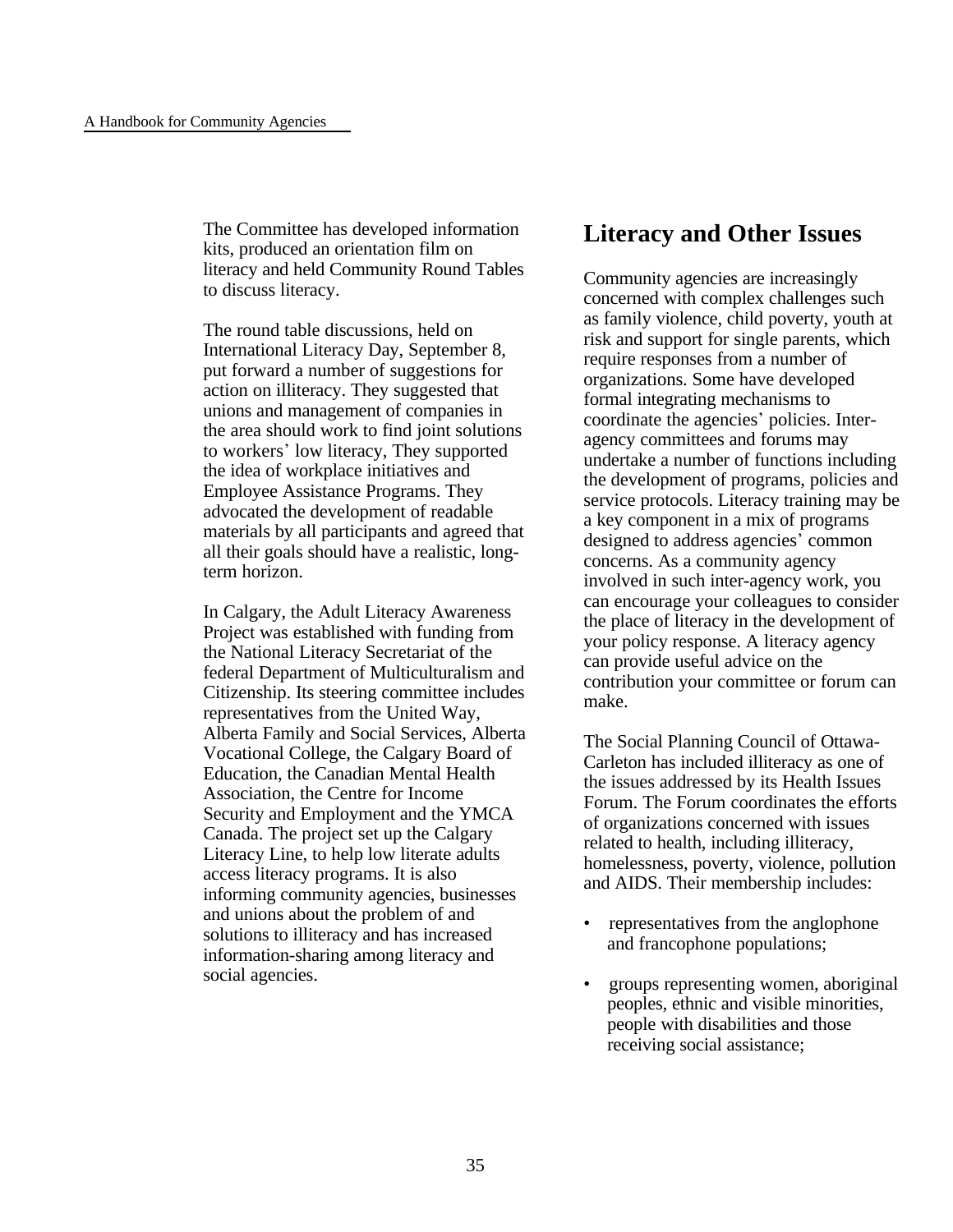The Committee has developed information kits, produced an orientation film on literacy and held Community Round Tables to discuss literacy.

The round table discussions, held on International Literacy Day, September 8, put forward a number of suggestions for action on illiteracy. They suggested that unions and management of companies in the area should work to find joint solutions to workers\* low literacy, They supported the idea of workplace initiatives and Employee Assistance Programs. They advocated the development of readable materials by all participants and agreed that all their goals should have a realistic, longterm horizon.

In Calgary, the Adult Literacy Awareness Project was established with funding from the National Literacy Secretariat of the federal Department of Multiculturalism and Citizenship. Its steering committee includes representatives from the United Way, Alberta Family and Social Services, Alberta Vocational College, the Calgary Board of Education, the Canadian Mental Health Association, the Centre for Income Security and Employment and the YMCA Canada. The project set up the Calgary Literacy Line, to help low literate adults access literacy programs. It is also informing community agencies, businesses and unions about the problem of and solutions to illiteracy and has increased information-sharing among literacy and social agencies.

### **Literacy and Other Issues**

Community agencies are increasingly concerned with complex challenges such as family violence, child poverty, youth at risk and support for single parents, which require responses from a number of organizations. Some have developed formal integrating mechanisms to coordinate the agencies' policies. Interagency committees and forums may undertake a number of functions including the development of programs, policies and service protocols. Literacy training may be a key component in a mix of programs designed to address agencies' common concerns. As a community agency involved in such inter-agency work, you can encourage your colleagues to consider the place of literacy in the development of your policy response. A literacy agency can provide useful advice on the contribution your committee or forum can make.

The Social Planning Council of Ottawa-Carleton has included illiteracy as one of the issues addressed by its Health Issues Forum. The Forum coordinates the efforts of organizations concerned with issues related to health, including illiteracy, homelessness, poverty, violence, pollution and AIDS. Their membership includes:

- representatives from the anglophone and francophone populations;
- groups representing women, aboriginal peoples, ethnic and visible minorities, people with disabilities and those receiving social assistance;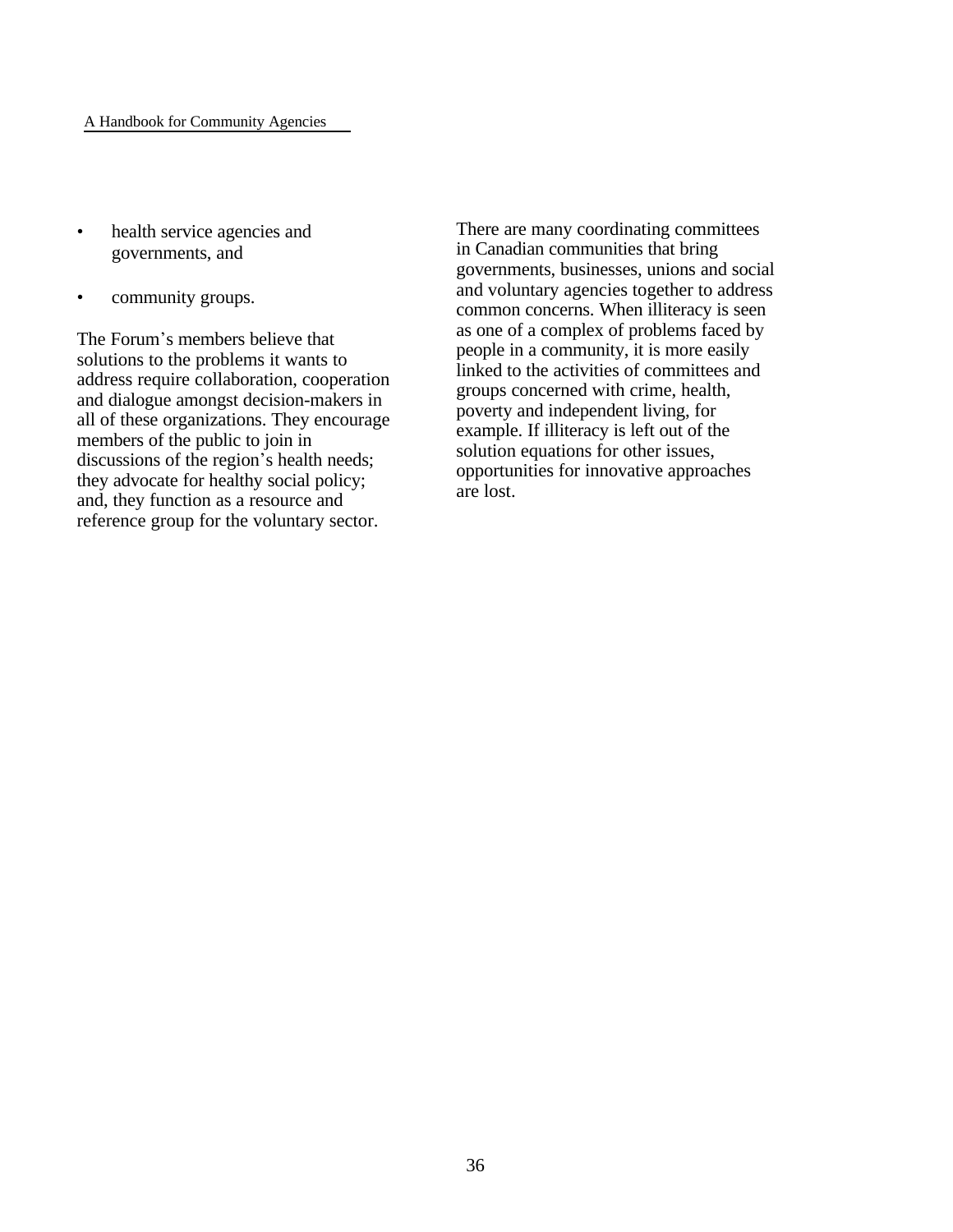- health service agencies and governments, and
- community groups.

The Forum's members believe that solutions to the problems it wants to address require collaboration, cooperation and dialogue amongst decision-makers in all of these organizations. They encourage members of the public to join in discussions of the region's health needs; they advocate for healthy social policy; and, they function as a resource and reference group for the voluntary sector.

There are many coordinating committees in Canadian communities that bring governments, businesses, unions and social and voluntary agencies together to address common concerns. When illiteracy is seen as one of a complex of problems faced by people in a community, it is more easily linked to the activities of committees and groups concerned with crime, health, poverty and independent living, for example. If illiteracy is left out of the solution equations for other issues, opportunities for innovative approaches are lost.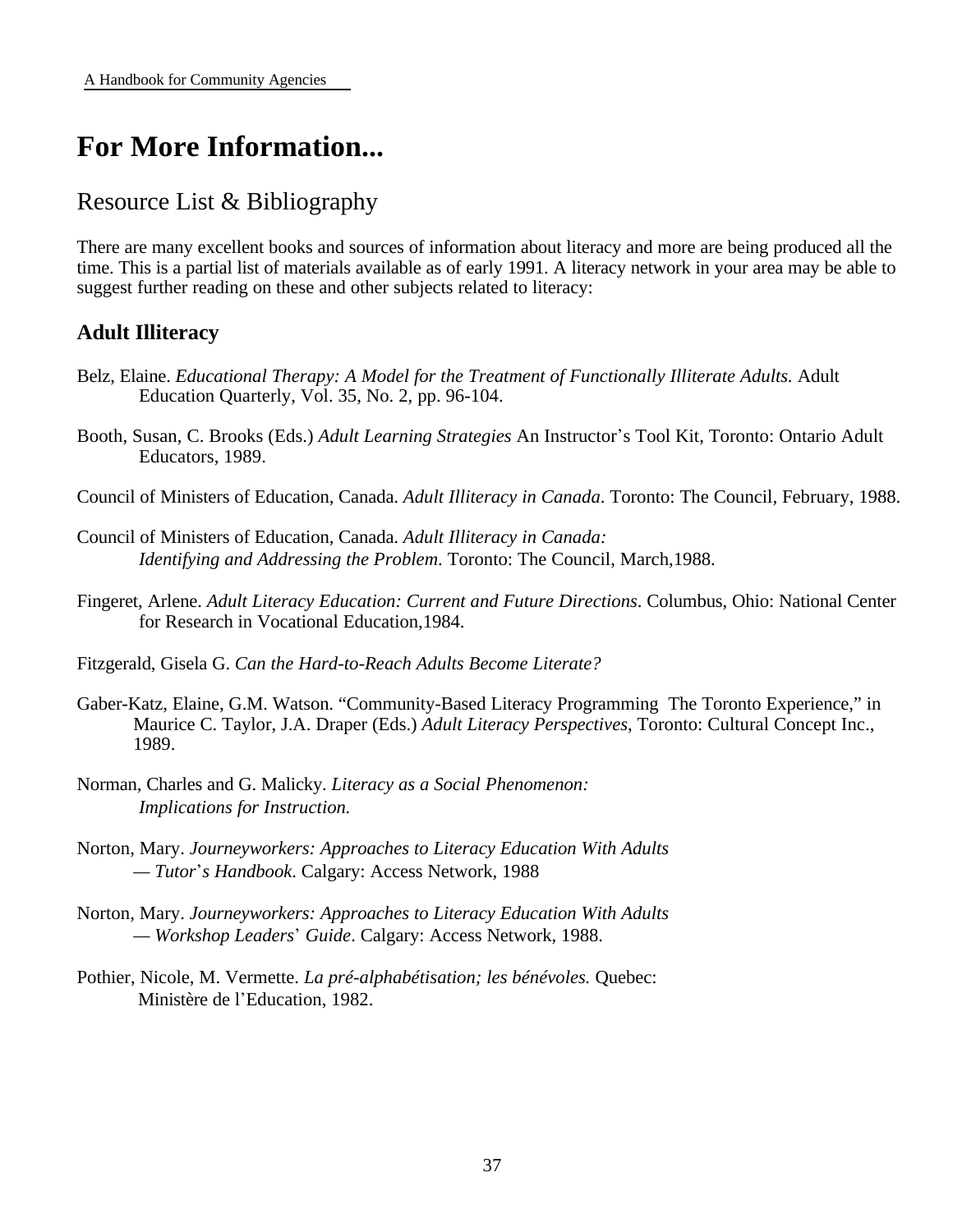# **For More Information...**

### Resource List & Bibliography

There are many excellent books and sources of information about literacy and more are being produced all the time. This is a partial list of materials available as of early 1991. A literacy network in your area may be able to suggest further reading on these and other subjects related to literacy:

### **Adult Illiteracy**

- Belz, Elaine. *Educational Therapy: A Model for the Treatment of Functionally Illiterate Adults.* Adult Education Quarterly, Vol. 35, No. 2, pp. 96-104.
- Booth, Susan, C. Brooks (Eds.) *Adult Learning Strategies* An Instructor's Tool Kit, Toronto: Ontario Adult Educators, 1989.
- Council of Ministers of Education, Canada. *Adult Illiteracy in Canada*. Toronto: The Council, February, 1988.
- Council of Ministers of Education, Canada. *Adult Illiteracy in Canada: Identifying and Addressing the Problem*. Toronto: The Council, March,1988.
- Fingeret, Arlene. *Adult Literacy Education: Current and Future Directions*. Columbus, Ohio: National Center for Research in Vocational Education,1984.
- Fitzgerald, Gisela G. *Can the Hard-to-Reach Adults Become Literate?*
- Gaber-Katz, Elaine, G.M. Watson. "Community-Based Literacy Programming The Toronto Experience," in Maurice C. Taylor, J.A. Draper (Eds.) *Adult Literacy Perspectives*, Toronto: Cultural Concept Inc., 1989.
- Norman, Charles and G. Malicky. *Literacy as a Social Phenomenon: Implications for Instruction.*
- Norton, Mary. *Journeyworkers: Approaches to Literacy Education With Adults — Tutor\*s Handbook*. Calgary: Access Network, 1988
- Norton, Mary. *Journeyworkers: Approaches to Literacy Education With Adults — Workshop Leaders\* Guide*. Calgary: Access Network, 1988.
- Pothier, Nicole, M. Vermette. *La pré-alphabétisation; les bénévoles.* Quebec: Ministère de l\*Education, 1982.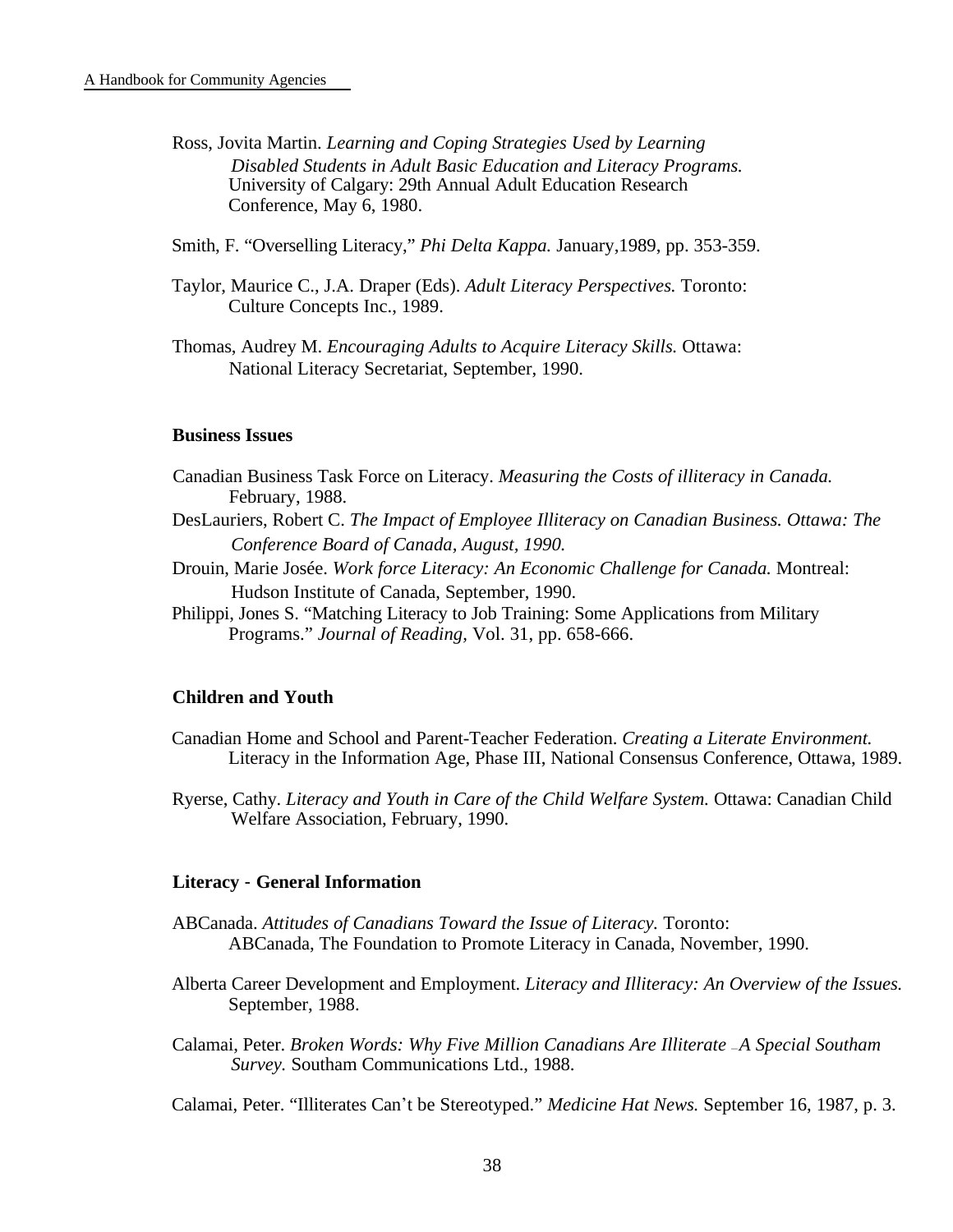- Ross, Jovita Martin. *Learning and Coping Strategies Used by Learning Disabled Students in Adult Basic Education and Literacy Programs.* University of Calgary: 29th Annual Adult Education Research Conference, May 6, 1980.
- Smith, F. "Overselling Literacy," *Phi Delta Kappa.* January,1989, pp. 353-359.
- Taylor, Maurice C., J.A. Draper (Eds). *Adult Literacy Perspectives.* Toronto: Culture Concepts Inc., 1989.
- Thomas, Audrey M. *Encouraging Adults to Acquire Literacy Skills.* Ottawa: National Literacy Secretariat, September, 1990.

#### **Business Issues**

- Canadian Business Task Force on Literacy. *Measuring the Costs of illiteracy in Canada.* February, 1988.
- DesLauriers, Robert C. *The Impact of Employee Illiteracy on Canadian Business. Ottawa: The Conference Board of Canada, August, 1990.*
- Drouin, Marie Josée. *Work force Literacy: An Economic Challenge for Canada.* Montreal: Hudson Institute of Canada, September, 1990.
- Philippi, Jones S. "Matching Literacy to Job Training: Some Applications from Military Programs." *Journal of Reading,* Vol. 31, pp. 658-666.

#### **Children and Youth**

- Canadian Home and School and Parent-Teacher Federation. *Creating a Literate Environment.* Literacy in the Information Age, Phase III, National Consensus Conference, Ottawa, 1989.
- Ryerse, Cathy. *Literacy and Youth in Care of the Child Welfare System.* Ottawa: Canadian Child Welfare Association, February, 1990.

#### **Literacy** - **General Information**

- ABCanada. *Attitudes of Canadians Toward the Issue of Literacy.* Toronto: ABCanada, The Foundation to Promote Literacy in Canada, November, 1990.
- Alberta Career Development and Employment. *Literacy and Illiteracy: An Overview of the Issues.* September, 1988.
- Calamai, Peter. *Broken Words: Why Five Million Canadians Are Illiterate -A Special Southam Survey.* Southam Communications Ltd., 1988.

Calamai, Peter. "Illiterates Can\*t be Stereotyped." *Medicine Hat News.* September 16, 1987, p. 3.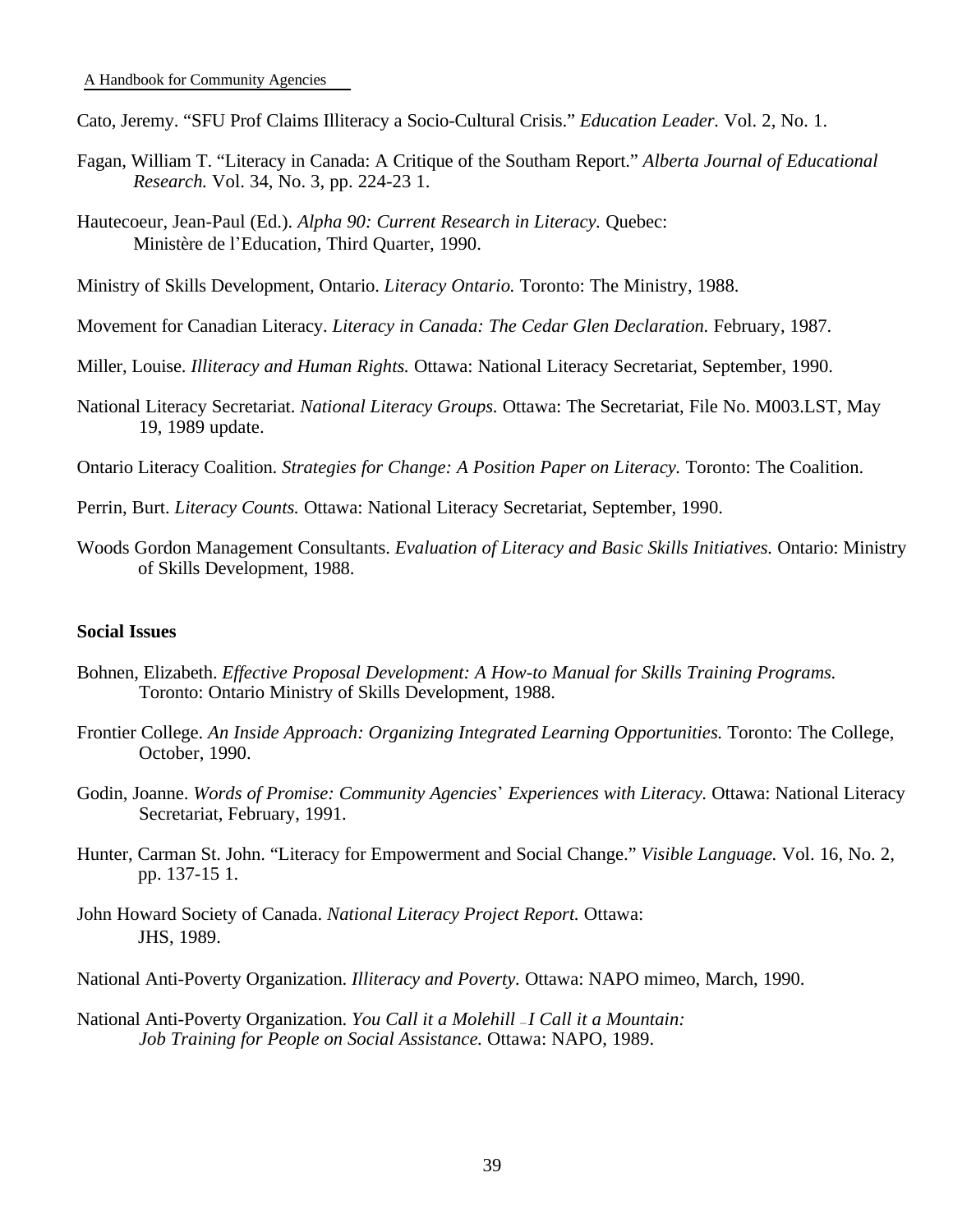Cato, Jeremy. "SFU Prof Claims Illiteracy a Socio-Cultural Crisis." *Education Leader.* Vol. 2, No. 1.

- Fagan, William T. "Literacy in Canada: A Critique of the Southam Report." *Alberta Journal of Educational Research.* Vol. 34, No. 3, pp. 224-23 1.
- Hautecoeur, Jean-Paul (Ed.). *Alpha 90: Current Research in Literacy.* Quebec: Ministère de l\*Education, Third Quarter, 1990.
- Ministry of Skills Development, Ontario. *Literacy Ontario.* Toronto: The Ministry, 1988.
- Movement for Canadian Literacy. *Literacy in Canada: The Cedar Glen Declaration.* February, 1987.
- Miller, Louise. *Illiteracy and Human Rights.* Ottawa: National Literacy Secretariat, September, 1990.
- National Literacy Secretariat. *National Literacy Groups.* Ottawa: The Secretariat, File No. M003.LST, May 19, 1989 update.
- Ontario Literacy Coalition. *Strategies for Change: A Position Paper on Literacy.* Toronto: The Coalition.
- Perrin, Burt. *Literacy Counts.* Ottawa: National Literacy Secretariat, September, 1990.
- Woods Gordon Management Consultants. *Evaluation of Literacy and Basic Skills Initiatives.* Ontario: Ministry of Skills Development, 1988.

#### **Social Issues**

- Bohnen, Elizabeth. *Effective Proposal Development: A How-to Manual for Skills Training Programs.* Toronto: Ontario Ministry of Skills Development, 1988.
- Frontier College. *An Inside Approach: Organizing Integrated Learning Opportunities.* Toronto: The College, October, 1990.
- Godin, Joanne. *Words of Promise: Community Agencies\* Experiences with Literacy.* Ottawa: National Literacy Secretariat, February, 1991.
- Hunter, Carman St. John. "Literacy for Empowerment and Social Change." *Visible Language.* Vol. 16, No. 2, pp. 137-15 1.
- John Howard Society of Canada. *National Literacy Project Report.* Ottawa: JHS, 1989.
- National Anti-Poverty Organization. *Illiteracy and Poverty.* Ottawa: NAPO mimeo, March, 1990.
- National Anti-Poverty Organization. *You Call it a Molehill -I Call it a Mountain*: *Job Training for People on Social Assistance.* Ottawa: NAPO, 1989.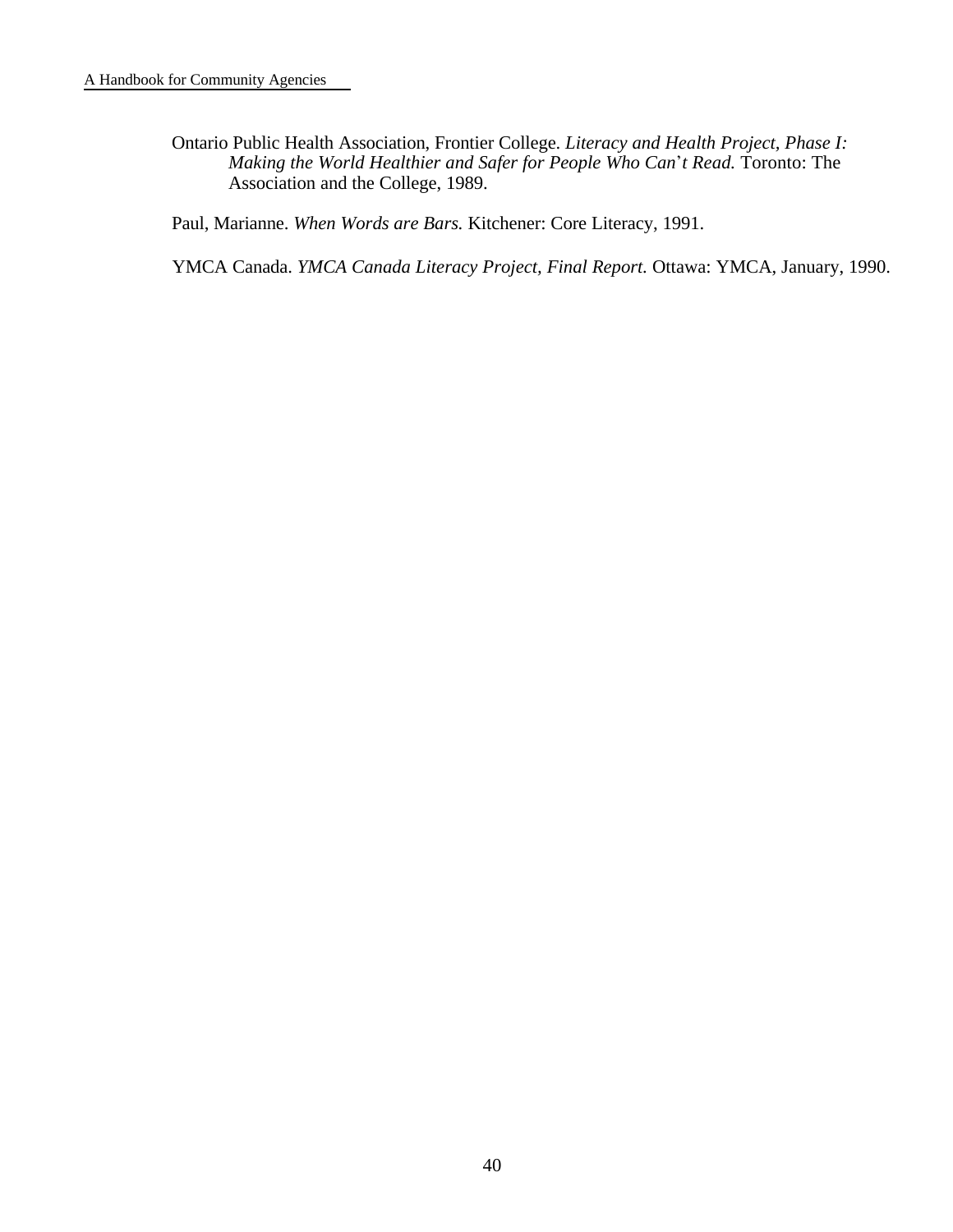Ontario Public Health Association, Frontier College. *Literacy and Health Project, Phase I: Making the World Healthier and Safer for People Who Can\*t Read.* Toronto: The Association and the College, 1989.

Paul, Marianne. *When Words are Bars.* Kitchener: Core Literacy, 1991.

YMCA Canada. *YMCA Canada Literacy Project, Final Report.* Ottawa: YMCA, January, 1990.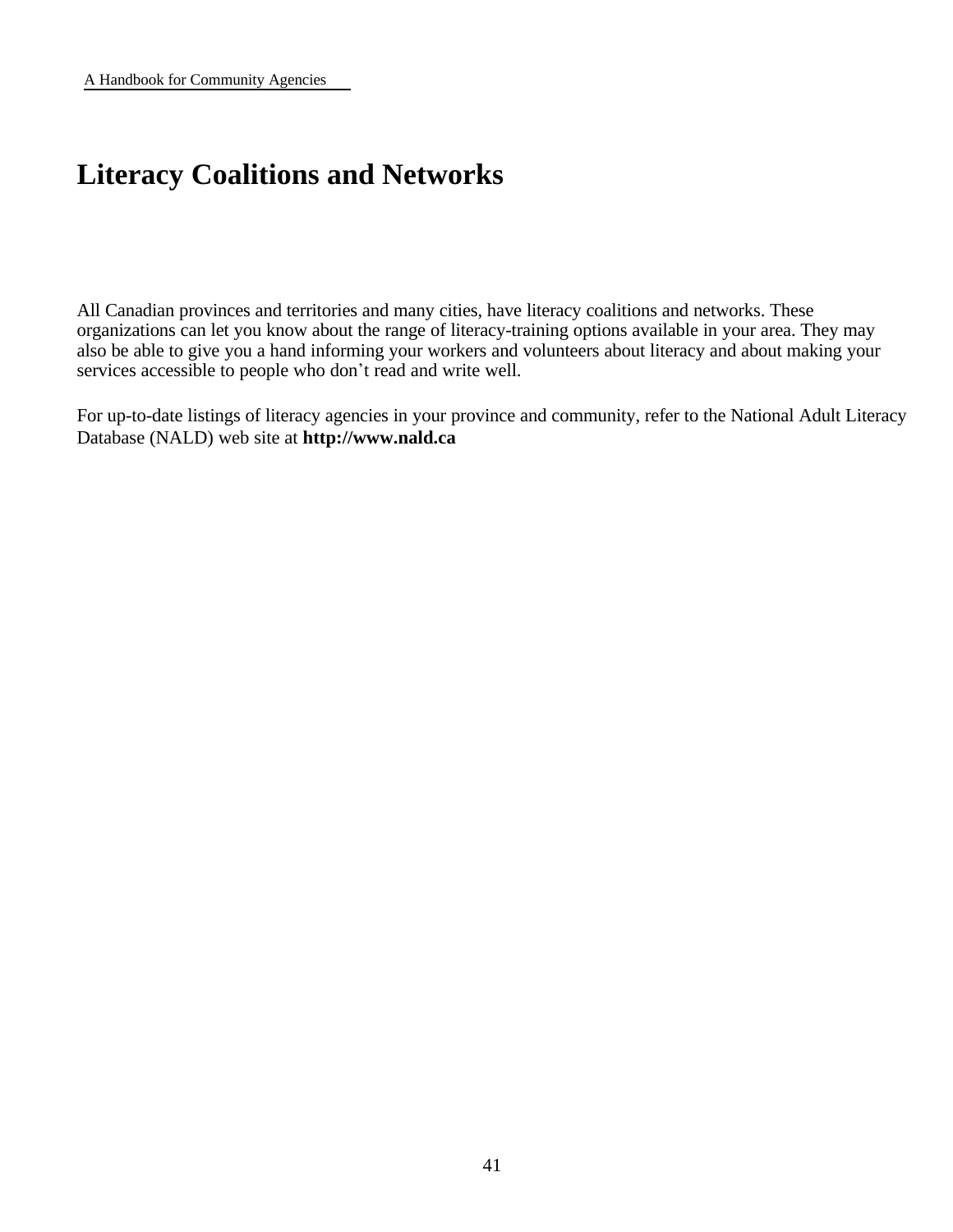# **Literacy Coalitions and Networks**

All Canadian provinces and territories and many cities, have literacy coalitions and networks. These organizations can let you know about the range of literacy-training options available in your area. They may also be able to give you a hand informing your workers and volunteers about literacy and about making your services accessible to people who don't read and write well.

For up-to-date listings of literacy agencies in your province and community, refer to the National Adult Literacy Database (NALD) web site at **http://www.nald.ca**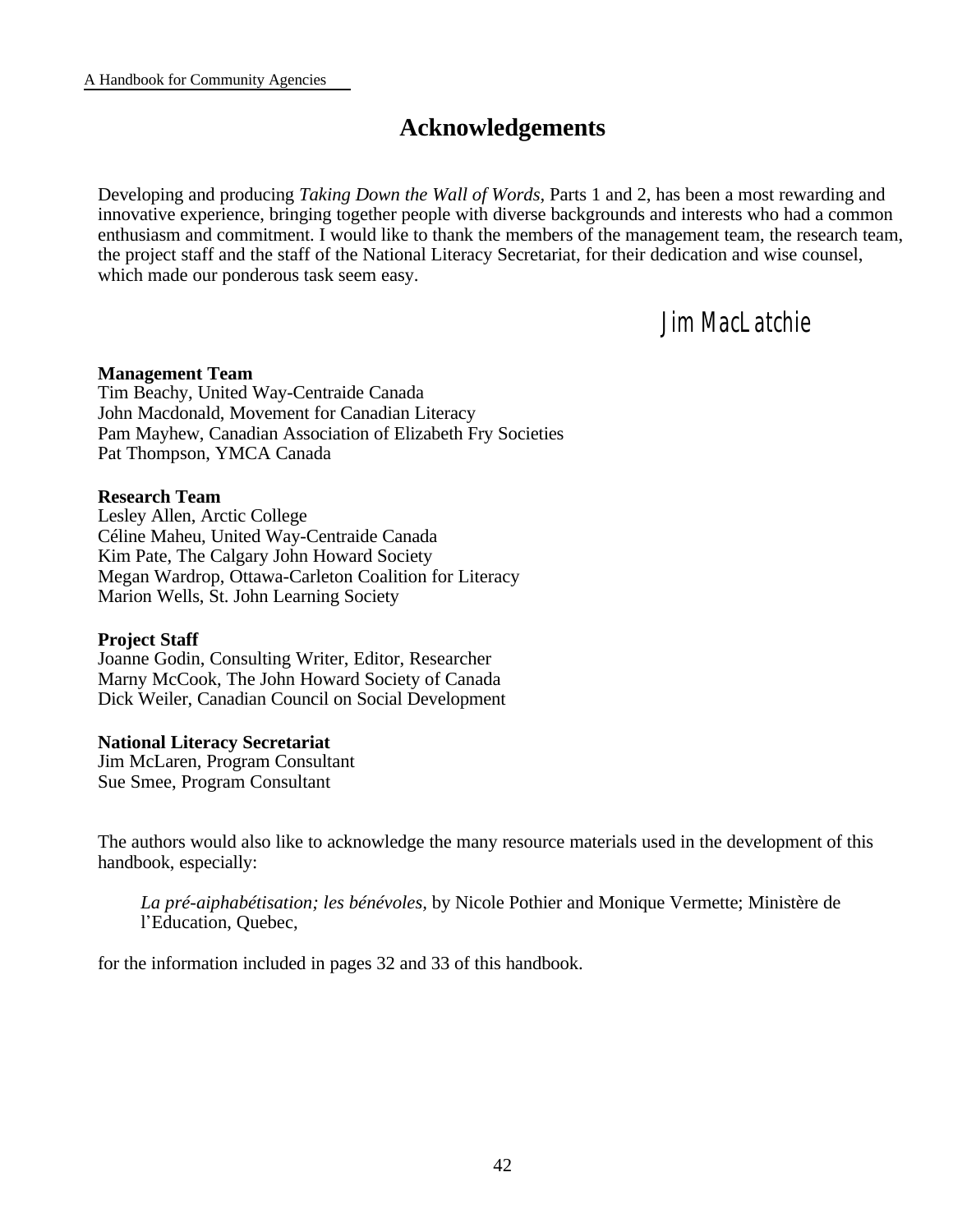### **Acknowledgements**

Developing and producing *Taking Down the Wall of Words,* Parts 1 and 2, has been a most rewarding and innovative experience, bringing together people with diverse backgrounds and interests who had a common enthusiasm and commitment. I would like to thank the members of the management team, the research team, the project staff and the staff of the National Literacy Secretariat, for their dedication and wise counsel, which made our ponderous task seem easy.

### *Jim MacLatchie*

#### **Management Team**

Tim Beachy, United Way-Centraide Canada John Macdonald, Movement for Canadian Literacy Pam Mayhew, Canadian Association of Elizabeth Fry Societies Pat Thompson, YMCA Canada

#### **Research Team**

Lesley Allen, Arctic College Céline Maheu, United Way-Centraide Canada Kim Pate, The Calgary John Howard Society Megan Wardrop, Ottawa-Carleton Coalition for Literacy Marion Wells, St. John Learning Society

#### **Project Staff**

Joanne Godin, Consulting Writer, Editor, Researcher Marny McCook, The John Howard Society of Canada Dick Weiler, Canadian Council on Social Development

#### **National Literacy Secretariat**

Jim McLaren, Program Consultant Sue Smee, Program Consultant

The authors would also like to acknowledge the many resource materials used in the development of this handbook, especially:

*La pré-aiphabétisation; les bénévoles,* by Nicole Pothier and Monique Vermette; Ministère de l'Education, Quebec,

for the information included in pages 32 and 33 of this handbook.